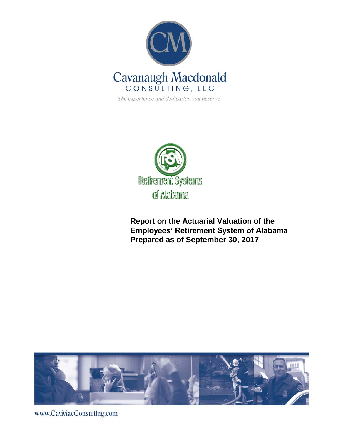

The experience and dedication you deserve



**Report on the Actuarial Valuation of the Employees' Retirement System of Alabama Prepared as of September 30, 2017**



www.CavMacConsulting.com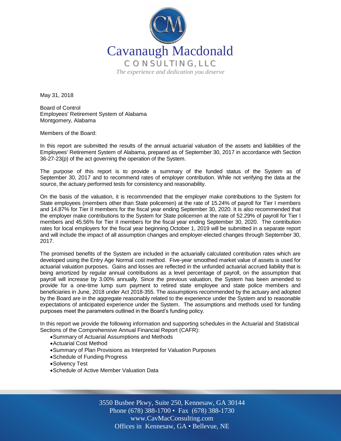

May 31, 2018

Board of Control Employees' Retirement System of Alabama Montgomery, Alabama

Members of the Board:

In this report are submitted the results of the annual actuarial valuation of the assets and liabilities of the Employees' Retirement System of Alabama, prepared as of September 30, 2017 in accordance with Section 36-27-23(p) of the act governing the operation of the System.

The purpose of this report is to provide a summary of the funded status of the System as of September 30, 2017 and to recommend rates of employer contribution. While not verifying the data at the source, the actuary performed tests for consistency and reasonability.

On the basis of the valuation, it is recommended that the employer make contributions to the System for State employees (members other than State policemen) at the rate of 15.24% of payroll for Tier I members and 14.87% for Tier II members for the fiscal year ending September 30, 2020. It is also recommended that the employer make contributions to the System for State policemen at the rate of 52.29% of payroll for Tier I members and 45.56% for Tier II members for the fiscal year ending September 30, 2020. The contribution rates for local employers for the fiscal year beginning October 1, 2019 will be submitted in a separate report and will include the impact of all assumption changes and employer-elected changes through September 30, 2017.

The promised benefits of the System are included in the actuarially calculated contribution rates which are developed using the Entry Age Normal cost method. Five-year smoothed market value of assets is used for actuarial valuation purposes. Gains and losses are reflected in the unfunded actuarial accrued liability that is being amortized by regular annual contributions as a level percentage of payroll, on the assumption that payroll will increase by 3.00% annually. Since the previous valuation, the System has been amended to provide for a one-time lump sum payment to retired state employee and state police members and beneficiaries in June, 2018 under Act 2018-355. The assumptions recommended by the actuary and adopted by the Board are in the aggregate reasonably related to the experience under the System and to reasonable expectations of anticipated experience under the System. The assumptions and methods used for funding purposes meet the parameters outlined in the Board's funding policy.

In this report we provide the following information and supporting schedules in the Actuarial and Statistical Sections of the Comprehensive Annual Financial Report (CAFR):

- Summary of Actuarial Assumptions and Methods
- Actuarial Cost Method
- Summary of Plan Provisions as Interpreted for Valuation Purposes
- Schedule of Funding Progress
- Solvency Test
- Schedule of Active Member Valuation Data

Off Offices in Kennesaw, GA • Bellevue, NE 3550 Busbee Pkwy, Suite 250, Kennesaw, GA 30144 Phone (678) 388-1700 • Fax (678) 388-1730 www.CavMacConsulting.com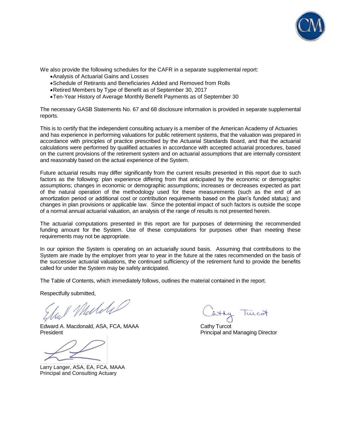

We also provide the following schedules for the CAFR in a separate supplemental report:

- Analysis of Actuarial Gains and Losses
- Schedule of Retirants and Beneficiaries Added and Removed from Rolls
- Retired Members by Type of Benefit as of September 30, 2017
- Ten-Year History of Average Monthly Benefit Payments as of September 30

The necessary GASB Statements No. 67 and 68 disclosure information is provided in separate supplemental reports.

This is to certify that the independent consulting actuary is a member of the American Academy of Actuaries and has experience in performing valuations for public retirement systems, that the valuation was prepared in accordance with principles of practice prescribed by the Actuarial Standards Board, and that the actuarial calculations were performed by qualified actuaries in accordance with accepted actuarial procedures, based on the current provisions of the retirement system and on actuarial assumptions that are internally consistent and reasonably based on the actual experience of the System.

Future actuarial results may differ significantly from the current results presented in this report due to such factors as the following: plan experience differing from that anticipated by the economic or demographic assumptions; changes in economic or demographic assumptions; increases or decreases expected as part of the natural operation of the methodology used for these measurements (such as the end of an amortization period or additional cost or contribution requirements based on the plan's funded status); and changes in plan provisions or applicable law. Since the potential impact of such factors is outside the scope of a normal annual actuarial valuation, an analysis of the range of results is not presented herein.

The actuarial computations presented in this report are for purposes of determining the recommended funding amount for the System. Use of these computations for purposes other than meeting these requirements may not be appropriate.

In our opinion the System is operating on an actuarially sound basis. Assuming that contributions to the System are made by the employer from year to year in the future at the rates recommended on the basis of the successive actuarial valuations, the continued sufficiency of the retirement fund to provide the benefits called for under the System may be safely anticipated.

The Table of Contents, which immediately follows, outlines the material contained in the report.

Respectfully submitted,

1 Muliki

Edward A. Macdonald, ASA, FCA, MAAA Cathy Turcot President **President** President **Principal and Managing Director** Principal and Managing Director

Larry Langer, ASA, EA, FCA, MAAA Principal and Consulting Actuary

y luncot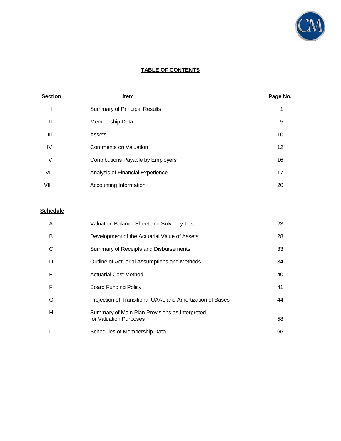

## **TABLE OF CONTENTS**

| <b>Section</b> | <u>Item</u>                         | Page No. |
|----------------|-------------------------------------|----------|
|                | <b>Summary of Principal Results</b> | 1        |
| Ш              | Membership Data                     | 5        |
| Ш              | Assets                              | 10       |
| IV             | <b>Comments on Valuation</b>        | 12       |
| ٧              | Contributions Payable by Employers  | 16       |
| VI             | Analysis of Financial Experience    | 17       |
| VII            | Accounting Information              | 20       |

## **Schedule**

| A | <b>Valuation Balance Sheet and Solvency Test</b>                         | 23 |
|---|--------------------------------------------------------------------------|----|
| B | Development of the Actuarial Value of Assets                             | 28 |
| C | Summary of Receipts and Disbursements                                    | 33 |
| D | Outline of Actuarial Assumptions and Methods                             | 34 |
| Е | <b>Actuarial Cost Method</b>                                             | 40 |
| F | <b>Board Funding Policy</b>                                              | 41 |
| G | Projection of Transitional UAAL and Amortization of Bases                | 44 |
| Н | Summary of Main Plan Provisions as Interpreted<br>for Valuation Purposes | 58 |
|   | Schedules of Membership Data                                             | 66 |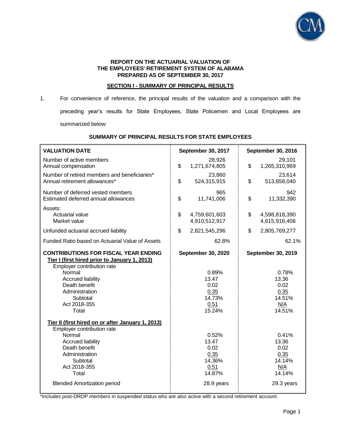

#### **REPORT ON THE ACTUARIAL VALUATION OF THE EMPLOYEES' RETIREMENT SYSTEM OF ALABAMA PREPARED AS OF SEPTEMBER 30, 2017**

### **SECTION I - SUMMARY OF PRINCIPAL RESULTS**

1. For convenience of reference, the principal results of the valuation and a comparison with the preceding year's results for State Employees, State Policemen and Local Employees are summarized below:

| <b>VALUATION DATE</b>                                                                                                                                                                                                                                                                         | September 30, 2017                                                               | September 30, 2016                                                                     |  |
|-----------------------------------------------------------------------------------------------------------------------------------------------------------------------------------------------------------------------------------------------------------------------------------------------|----------------------------------------------------------------------------------|----------------------------------------------------------------------------------------|--|
| Number of active members<br>Annual compensation                                                                                                                                                                                                                                               | 28,926<br>\$<br>1,271,674,805                                                    | 29,101<br>\$<br>1,265,310,969                                                          |  |
| Number of retired members and beneficiaries*<br>Annual retirement allowances*                                                                                                                                                                                                                 | 23,860<br>\$<br>524,315,915                                                      | 23,614<br>\$<br>513,858,040                                                            |  |
| Number of deferred vested members<br>Estimated deferred annual allowances                                                                                                                                                                                                                     | 965<br>\$<br>11,741,006                                                          | 942<br>\$<br>11,332,390                                                                |  |
| Assets:<br>Actuarial value<br>Market value                                                                                                                                                                                                                                                    | \$<br>4,759,601,603<br>4,910,512,917                                             | \$<br>4,598,818,390<br>4,615,916,406                                                   |  |
| Unfunded actuarial accrued liability                                                                                                                                                                                                                                                          | \$<br>2,821,545,296                                                              | \$<br>2,805,769,277                                                                    |  |
| Funded Ratio based on Actuarial Value of Assets                                                                                                                                                                                                                                               | 62.8%                                                                            | 62.1%                                                                                  |  |
| <b>CONTRIBUTIONS FOR FISCAL YEAR ENDING</b><br>Tier I (first hired prior to January 1, 2013)<br>Employer contribution rate<br>Normal<br><b>Accrued liability</b><br>Death benefit<br>Administration<br>Subtotal<br>Act 2018-355<br>Total<br>Tier II (first hired on or after January 1, 2013) | September 30, 2020<br>0.89%<br>13.47<br>0.02<br>0.35<br>14.73%<br>0.51<br>15.24% | <b>September 30, 2019</b><br>0.78%<br>13.36<br>0.02<br>0.35<br>14.51%<br>N/A<br>14.51% |  |
| Employer contribution rate<br>Normal<br><b>Accrued liability</b><br>Death benefit<br>Administration<br>Subtotal<br>Act 2018-355<br>Total<br><b>Blended Amortization period</b>                                                                                                                | 0.52%<br>13.47<br>0.02<br>0.35<br>14.36%<br>0.51<br>14.87%<br>28.9 years         | 0.41%<br>13.36<br>0.02<br>0.35<br>14.14%<br>N/A<br>14.14%<br>29.3 years                |  |

### **SUMMARY OF PRINCIPAL RESULTS FOR STATE EMPLOYEES**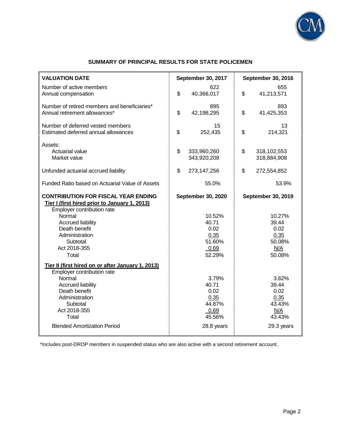

## **SUMMARY OF PRINCIPAL RESULTS FOR STATE POLICEMEN**

| <b>VALUATION DATE</b>                                                                                                     | September 30, 2017               | September 30, 2016               |
|---------------------------------------------------------------------------------------------------------------------------|----------------------------------|----------------------------------|
| Number of active members<br>Annual compensation                                                                           | 622<br>\$<br>40,366,017          | 655<br>\$<br>41,213,571          |
| Number of retired members and beneficiaries*<br>Annual retirement allowances*                                             | 895<br>\$<br>42,198,295          | 893<br>\$<br>41,425,353          |
| Number of deferred vested members<br>Estimated deferred annual allowances                                                 | 15<br>\$<br>252,435              | 13<br>\$<br>214,321              |
| Assets:<br>Actuarial value<br>Market value                                                                                | \$<br>333,960,260<br>343,920,208 | \$<br>318,102,553<br>318,884,908 |
| Unfunded actuarial accrued liability                                                                                      | \$<br>273,147,256                | \$<br>272,554,852                |
| Funded Ratio based on Actuarial Value of Assets                                                                           | 55.0%                            | 53.9%                            |
| <b>CONTRIBUTION FOR FISCAL YEAR ENDING</b><br>Tier I (first hired prior to January 1, 2013)<br>Employer contribution rate | September 30, 2020               | <b>September 30, 2019</b>        |
| Normal                                                                                                                    | 10.52%                           | 10.27%                           |
| <b>Accrued liability</b>                                                                                                  | 40.71                            | 39.44                            |
| Death benefit<br>Administration                                                                                           | 0.02                             | 0.02                             |
| Subtotal                                                                                                                  | 0.35<br>51.60%                   | 0.35<br>50.08%                   |
| Act 2018-355                                                                                                              | 0.69                             | <u>N/A</u>                       |
| Total                                                                                                                     | 52.29%                           | 50.08%                           |
| Tier II (first hired on or after January 1, 2013)<br>Employer contribution rate                                           |                                  |                                  |
| Normal                                                                                                                    | 3.79%                            | 3.62%                            |
| <b>Accrued liability</b>                                                                                                  | 40.71                            | 39.44                            |
| Death benefit                                                                                                             | 0.02                             | 0.02                             |
| Administration                                                                                                            | 0.35                             | 0.35                             |
| Subtotal                                                                                                                  | 44.87%                           | 43.43%                           |
| Act 2018-355<br>Total                                                                                                     | 0.69<br>45.56%                   | N/A<br>43.43%                    |
| <b>Blended Amortization Period</b>                                                                                        | 28.8 years                       | 29.3 years                       |
|                                                                                                                           |                                  |                                  |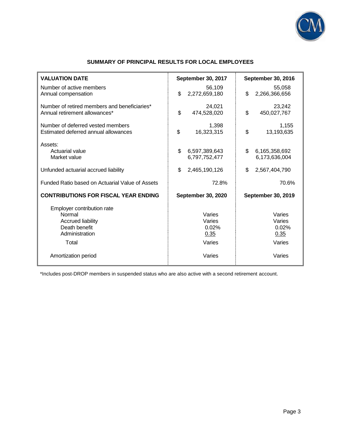

| <b>VALUATION DATE</b>                                                                                                               | September 30, 2017                                    | <b>September 30, 2016</b>                             |
|-------------------------------------------------------------------------------------------------------------------------------------|-------------------------------------------------------|-------------------------------------------------------|
| Number of active members<br>Annual compensation                                                                                     | 56,109<br>\$<br>2,272,659,180                         | 55,058<br>\$<br>2,266,366,656                         |
| Number of retired members and beneficiaries*<br>Annual retirement allowances*                                                       | 24,021<br>\$<br>474,528,020                           | 23,242<br>\$<br>450,027,767                           |
| Number of deferred vested members<br>Estimated deferred annual allowances                                                           | 1,398<br>\$<br>16,323,315                             | 1,155<br>\$<br>13,193,635                             |
| Assets:<br>Actuarial value<br>Market value                                                                                          | \$<br>6,597,389,643<br>6,797,752,477                  | \$<br>6,165,358,692<br>6,173,636,004                  |
| Unfunded actuarial accrued liability                                                                                                | \$<br>2,465,190,126                                   | \$<br>2,567,404,790                                   |
| Funded Ratio based on Actuarial Value of Assets                                                                                     | 72.8%                                                 | 70.6%                                                 |
| <b>CONTRIBUTIONS FOR FISCAL YEAR ENDING</b>                                                                                         | September 30, 2020                                    | September 30, 2019                                    |
| Employer contribution rate<br>Normal<br><b>Accrued liability</b><br>Death benefit<br>Administration<br>Total<br>Amortization period | Varies<br>Varies<br>0.02%<br>0.35<br>Varies<br>Varies | Varies<br>Varies<br>0.02%<br>0.35<br>Varies<br>Varies |

## **SUMMARY OF PRINCIPAL RESULTS FOR LOCAL EMPLOYEES**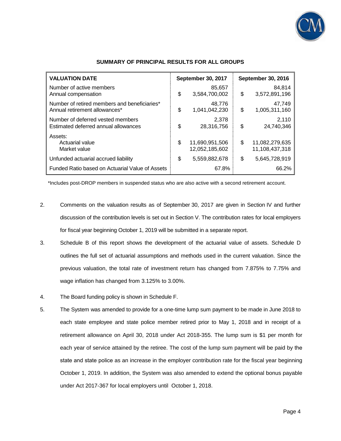

| <b>VALUATION DATE</b>                                                         | <b>September 30, 2017</b>              |    | <b>September 30, 2016</b>        |  |
|-------------------------------------------------------------------------------|----------------------------------------|----|----------------------------------|--|
| Number of active members<br>Annual compensation                               | \$<br>85,657<br>3,584,700,002          | \$ | 84,814<br>3,572,891,196          |  |
| Number of retired members and beneficiaries*<br>Annual retirement allowances* | \$<br>48,776<br>1,041,042,230          | \$ | 47,749<br>1,005,311,160          |  |
| Number of deferred vested members<br>Estimated deferred annual allowances     | \$<br>2.378<br>28,316,756              | \$ | 2,110<br>24,740,346              |  |
| Assets:<br>Actuarial value<br>Market value                                    | \$<br>11,690,951,506<br>12,052,185,602 | \$ | 11,082,279,635<br>11,108,437,318 |  |
| Unfunded actuarial accrued liability                                          | \$<br>5,559,882,678                    | \$ | 5,645,728,919                    |  |
| Funded Ratio based on Actuarial Value of Assets                               | 67.8%                                  |    | 66.2%                            |  |

#### **SUMMARY OF PRINCIPAL RESULTS FOR ALL GROUPS**

- 2. Comments on the valuation results as of September 30, 2017 are given in Section IV and further discussion of the contribution levels is set out in Section V. The contribution rates for local employers for fiscal year beginning October 1, 2019 will be submitted in a separate report.
- 3. Schedule B of this report shows the development of the actuarial value of assets. Schedule D outlines the full set of actuarial assumptions and methods used in the current valuation. Since the previous valuation, the total rate of investment return has changed from 7.875% to 7.75% and wage inflation has changed from 3.125% to 3.00%.
- 4. The Board funding policy is shown in Schedule F.
- 5. The System was amended to provide for a one-time lump sum payment to be made in June 2018 to each state employee and state police member retired prior to May 1, 2018 and in receipt of a retirement allowance on April 30, 2018 under Act 2018-355. The lump sum is \$1 per month for each year of service attained by the retiree. The cost of the lump sum payment will be paid by the state and state police as an increase in the employer contribution rate for the fiscal year beginning October 1, 2019. In addition, the System was also amended to extend the optional bonus payable under Act 2017-367 for local employers until October 1, 2018.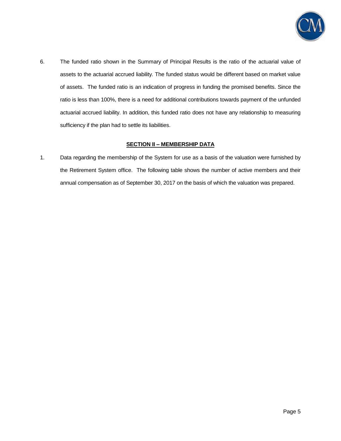

6. The funded ratio shown in the Summary of Principal Results is the ratio of the actuarial value of assets to the actuarial accrued liability. The funded status would be different based on market value of assets. The funded ratio is an indication of progress in funding the promised benefits. Since the ratio is less than 100%, there is a need for additional contributions towards payment of the unfunded actuarial accrued liability. In addition, this funded ratio does not have any relationship to measuring sufficiency if the plan had to settle its liabilities.

## **SECTION II – MEMBERSHIP DATA**

1. Data regarding the membership of the System for use as a basis of the valuation were furnished by the Retirement System office. The following table shows the number of active members and their annual compensation as of September 30, 2017 on the basis of which the valuation was prepared.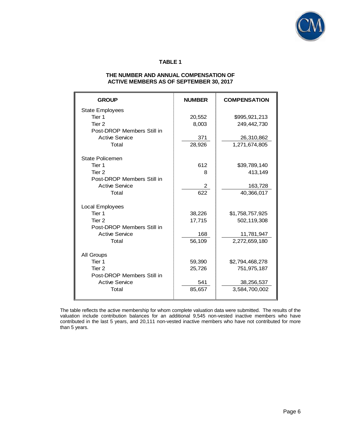

### **TABLE 1**

#### **THE NUMBER AND ANNUAL COMPENSATION OF ACTIVE MEMBERS AS OF SEPTEMBER 30, 2017**

| <b>GROUP</b>               | <b>NUMBER</b> | <b>COMPENSATION</b> |
|----------------------------|---------------|---------------------|
| <b>State Employees</b>     |               |                     |
| Tier 1                     | 20,552        | \$995,921,213       |
| Tier 2                     | 8,003         | 249,442,730         |
| Post-DROP Members Still in |               |                     |
| <b>Active Service</b>      | 371           | 26,310,862          |
| Total                      | 28,926        | 1,271,674,805       |
| State Policemen            |               |                     |
| Tier 1                     | 612           | \$39,789,140        |
| Tier 2                     | 8             | 413,149             |
| Post-DROP Members Still in |               |                     |
| <b>Active Service</b>      | $\mathbf{2}$  | 163,728             |
| Total                      | 622           | 40,366,017          |
|                            |               |                     |
| Local Employees            |               |                     |
| Tier 1                     | 38,226        | \$1,758,757,925     |
| Tier <sub>2</sub>          | 17,715        | 502,119,308         |
| Post-DROP Members Still in |               |                     |
| <b>Active Service</b>      | 168           | 11,781,947          |
| Total                      | 56,109        | 2,272,659,180       |
| All Groups                 |               |                     |
| Tier 1                     | 59,390        | \$2,794,468,278     |
| Tier 2                     | 25,726        | 751,975,187         |
| Post-DROP Members Still in |               |                     |
| <b>Active Service</b>      | 541           | 38,256,537          |
| Total                      | 85,657        | 3,584,700,002       |
|                            |               |                     |

The table reflects the active membership for whom complete valuation data were submitted. The results of the valuation include contribution balances for an additional 9,545 non-vested inactive members who have contributed in the last 5 years, and 20,111 non-vested inactive members who have not contributed for more than 5 years.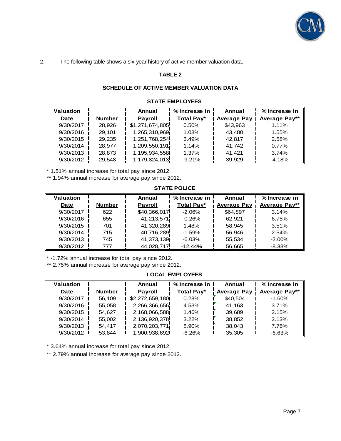

2. The following table shows a six-year history of active member valuation data.

## **TABLE 2**

## **SCHEDULE OF ACTIVE MEMBER VALUATION DATA**

### **STATE EMPLOYEES**

| Valuation |               | Annual          | % Increase in | Annual             | % Increase in        |
|-----------|---------------|-----------------|---------------|--------------------|----------------------|
| Date      | <b>Number</b> | <b>Payroll</b>  | Total Pay*    | <b>Average Pay</b> | <b>Average Pay**</b> |
| 9/30/2017 | 28.926        | \$1,271,674,805 | 0.50%         | \$43,963           | 1.11%                |
| 9/30/2016 | 29,101        | 1,265,310,969   | 1.08%         | 43.480             | 1.55%                |
| 9/30/2015 | 29.235        | 1,251,768,254   | 3.49%         | 42.817             | 2.58%                |
| 9/30/2014 | 28.977        | 1,209,550,191   | 1.14%         | 41.742             | 0.77%                |
| 9/30/2013 | 28.873        | 1,195,934,558   | 1.37%         | 41.421             | 3.74%                |
| 9/30/2012 | 29.548        | 1,179,824,013   | $-9.21%$      | 39.929             | $-4.18%$             |

\* 1.51% annual increase for total pay since 2012.

\*\* 1.94% annual increase for average pay since 2012.

#### **STATE POLICE**

| Valuation |               | Annual         | % Increase in | Annual             | % Increase in        |
|-----------|---------------|----------------|---------------|--------------------|----------------------|
| Date      | <b>Number</b> | <b>Payroll</b> | Total Pay*    | <b>Average Pay</b> | <b>Average Pay**</b> |
| 9/30/2017 | 622           | \$40,366,017   | $-2.06%$      | \$64.897           | 3.14%                |
| 9/30/2016 | 655           | 41,213,571     | $-0.26%$      | 62.921             | 6.75%                |
| 9/30/2015 | 701           | 41.320.289     | 1.48%         | 58.945             | 3.51%                |
| 9/30/2014 | 715           | 40,716,289     | $-1.59%$      | 56.946             | 2.54%                |
| 9/30/2013 | 745           | 41,373,139     | $-6.03%$      | 55.534             | $-2.00%$             |
| 9/30/2012 | 777           | 44,028,717     | $-12.44%$     | 56,665             | $-8.38%$             |

\* -1.72% annual increase for total pay since 2012.

\*\* 2.75% annual increase for average pay since 2012.

**LOCAL EMPLOYEES**

| <b>Valuation</b> |               | Annual          | % Increase in | Annual             | % Increase in        |
|------------------|---------------|-----------------|---------------|--------------------|----------------------|
| Date             | <b>Number</b> | Payroll         | Total Pay*    | <b>Average Pay</b> | <b>Average Pay**</b> |
| 9/30/2017        | 56,109        | \$2,272,659,180 | 0.28%         | \$40.504           | $-1.60%$             |
| 9/30/2016        | 55.058        | 2,266,366,656   | 4.53%         | 41.163             | 3.71%                |
| 9/30/2015        | 54.627        | 2,168,066,588   | 1.46%         | 39.689             | 2.15%                |
| 9/30/2014        | 55.002        | 2,136,920,378   | 3.22%         | 38.852             | 2.13%                |
| 9/30/2013        | 54.417        | 2,070,203,771   | 8.90%         | 38.043             | 7.76%                |
| 9/30/2012        | 53.844        | 1,900,938,692   | $-6.26%$      | 35,305             | $-6.63%$             |

\* 3.64% annual increase for total pay since 2012.

\*\* 2.79% annual increase for average pay since 2012.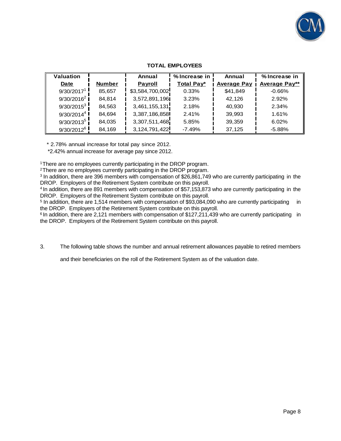

| Valuation              |               | Annual                                                                                                                                                                                                                                                                                                                                                                                                                                                                                                                                                                                                                                                                                                                                                                                                                                                         | % Increase in | Annual             | % Increase in                                                                                                                                                                                                                                                                                                                                  |
|------------------------|---------------|----------------------------------------------------------------------------------------------------------------------------------------------------------------------------------------------------------------------------------------------------------------------------------------------------------------------------------------------------------------------------------------------------------------------------------------------------------------------------------------------------------------------------------------------------------------------------------------------------------------------------------------------------------------------------------------------------------------------------------------------------------------------------------------------------------------------------------------------------------------|---------------|--------------------|------------------------------------------------------------------------------------------------------------------------------------------------------------------------------------------------------------------------------------------------------------------------------------------------------------------------------------------------|
| Date                   | <b>Number</b> | Payroll                                                                                                                                                                                                                                                                                                                                                                                                                                                                                                                                                                                                                                                                                                                                                                                                                                                        | Total Pay*    | <b>Average Pay</b> | <b>Average Pay**</b>                                                                                                                                                                                                                                                                                                                           |
| 9/30/2017 <sup>1</sup> | 85,657        | \$3,584,700,002                                                                                                                                                                                                                                                                                                                                                                                                                                                                                                                                                                                                                                                                                                                                                                                                                                                | 0.33%         | \$41,849           | $-0.66%$                                                                                                                                                                                                                                                                                                                                       |
| $9/30/2016^2$          | 84,814        | 3,572,891,196                                                                                                                                                                                                                                                                                                                                                                                                                                                                                                                                                                                                                                                                                                                                                                                                                                                  | 3.23%         | 42,126             | 2.92%                                                                                                                                                                                                                                                                                                                                          |
| $9/30/2015^3$          | 84,563        | 3,461,155,131                                                                                                                                                                                                                                                                                                                                                                                                                                                                                                                                                                                                                                                                                                                                                                                                                                                  | 2.18%         | 40,930             | 2.34%                                                                                                                                                                                                                                                                                                                                          |
| 9/30/2014 <sup>4</sup> | 84,694        | 3,387,186,858                                                                                                                                                                                                                                                                                                                                                                                                                                                                                                                                                                                                                                                                                                                                                                                                                                                  | 2.41%         | 39,993             | 1.61%                                                                                                                                                                                                                                                                                                                                          |
| $9/30/2013^5$          | 84,035        | 3,307,511,468                                                                                                                                                                                                                                                                                                                                                                                                                                                                                                                                                                                                                                                                                                                                                                                                                                                  | 5.85%         | 39,359             | 6.02%                                                                                                                                                                                                                                                                                                                                          |
| $9/30/2012^6$          | 84,169        | 3, 124, 791, 422                                                                                                                                                                                                                                                                                                                                                                                                                                                                                                                                                                                                                                                                                                                                                                                                                                               | $-7.49%$      | 37,125             | $-5.88%$                                                                                                                                                                                                                                                                                                                                       |
|                        |               | * 2.78% annual increase for total pay since 2012.<br>*2.42% annual increase for average pay since 2012.<br>here are no employees currently participating in the DROP program.<br>here are no employees currently participating in the DROP program.<br>ROP. Employers of the Retirement System contribute on this payroll.<br>ROP. Employers of the Retirement System contribute on this payroll.<br>addition, there are 1,514 members with compensation of \$93,084,090 who are currently participating<br>B DROP. Employers of the Retirement System contribute on this payroll.<br>addition, there are 2,121 members with compensation of \$127,211,439 who are currently participating<br>B DROP. Employers of the Retirement System contribute on this payroll.<br>and their beneficiaries on the roll of the Retirement System as of the valuation date. |               |                    | addition, there are 396 members with compensation of \$26,861,749 who are currently participating in the<br>addition, there are 891 members with compensation of \$57,153,873 who are currently participating in the<br>in<br>in<br>The following table shows the number and annual retirement allowances payable to retired members<br>Page 8 |
|                        |               |                                                                                                                                                                                                                                                                                                                                                                                                                                                                                                                                                                                                                                                                                                                                                                                                                                                                |               |                    |                                                                                                                                                                                                                                                                                                                                                |

#### **TOTAL EMPLOYEES**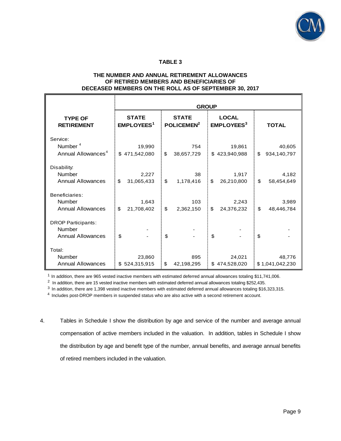

#### **TABLE 3**

#### **THE NUMBER AND ANNUAL RETIREMENT ALLOWANCES OF RETIRED MEMBERS AND BENEFICIARIES OF DECEASED MEMBERS ON THE ROLL AS OF SEPTEMBER 30, 2017**

|                                                                 | <b>GROUP</b>                                 |                                        |                                              |                   |  |  |
|-----------------------------------------------------------------|----------------------------------------------|----------------------------------------|----------------------------------------------|-------------------|--|--|
| <b>TYPE OF</b><br><b>RETIREMENT</b>                             | <b>STATE</b><br><b>EMPLOYEES<sup>1</sup></b> | <b>STATE</b><br>POLICEMEN <sup>2</sup> | <b>LOCAL</b><br><b>EMPLOYEES<sup>3</sup></b> | <b>TOTAL</b>      |  |  |
| Service:                                                        |                                              |                                        |                                              |                   |  |  |
| Number <sup>4</sup>                                             | 19,990                                       | 754                                    | 19,861                                       | 40,605            |  |  |
| Annual Allowances <sup>4</sup>                                  | 471,542,080<br>\$                            | \$<br>38,657,729                       | 423,940,988<br>\$                            | \$<br>934,140,797 |  |  |
| Disability:                                                     |                                              |                                        |                                              |                   |  |  |
| <b>Number</b>                                                   | 2,227                                        | 38                                     | 1,917                                        | 4,182             |  |  |
| <b>Annual Allowances</b>                                        | \$<br>31,065,433                             | \$<br>1,178,416                        | \$<br>26,210,800                             | \$<br>58,454,649  |  |  |
| Beneficiaries:<br>Number                                        | 1,643                                        | 103                                    | 2,243                                        | 3,989             |  |  |
| <b>Annual Allowances</b>                                        | \$<br>21,708,402                             | \$<br>2,362,150                        | \$<br>24,376,232                             | \$<br>48,446,784  |  |  |
| <b>DROP Participants:</b><br>Number<br><b>Annual Allowances</b> | \$                                           | \$                                     | \$                                           | \$                |  |  |
| Total:                                                          |                                              |                                        |                                              |                   |  |  |
| <b>Number</b>                                                   | 23,860                                       | 895                                    | 24,021                                       | 48,776            |  |  |
| <b>Annual Allowances</b>                                        | \$524,315,915                                | \$<br>42,198,295                       | \$474,528,020                                | \$1,041,042,230   |  |  |

 $1$  In addition, there are 965 vested inactive members with estimated deferred annual allowances totaling \$11,741,006.

 $2$  In addition, there are 15 vested inactive members with estimated deferred annual allowances totaling \$252,435.

 $3$  In addition, there are 1,398 vested inactive members with estimated deferred annual allowances totaling \$16,323,315.

4 Includes post-DROP members in suspended status who are also active with a second retirement account.

4. Tables in Schedule I show the distribution by age and service of the number and average annual compensation of active members included in the valuation. In addition, tables in Schedule I show the distribution by age and benefit type of the number, annual benefits, and average annual benefits of retired members included in the valuation.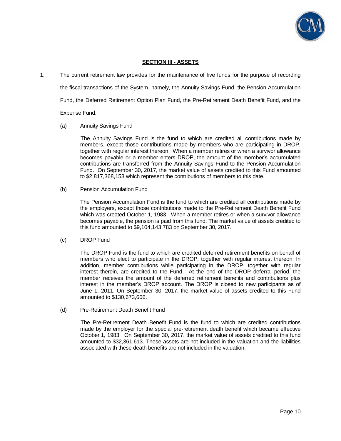

#### **SECTION III - ASSETS**

1. The current retirement law provides for the maintenance of five funds for the purpose of recording the fiscal transactions of the System, namely, the Annuity Savings Fund, the Pension Accumulation Fund, the Deferred Retirement Option Plan Fund, the Pre-Retirement Death Benefit Fund, and the Expense Fund.

# (a) Annuity Savings Fund

 The Annuity Savings Fund is the fund to which are credited all contributions made by members, except those contributions made by members who are participating in DROP, together with regular interest thereon. When a member retires or when a survivor allowance becomes payable or a member enters DROP, the amount of the member's accumulated contributions are transferred from the Annuity Savings Fund to the Pension Accumulation Fund. On September 30, 2017, the market value of assets credited to this Fund amounted to \$2,817,368,153 which represent the contributions of members to this date.

(b) Pension Accumulation Fund

The Pension Accumulation Fund is the fund to which are credited all contributions made by the employers, except those contributions made to the Pre-Retirement Death Benefit Fund which was created October 1, 1983. When a member retires or when a survivor allowance becomes payable, the pension is paid from this fund. The market value of assets credited to this fund amounted to \$9,104,143,783 on September 30, 2017.

#### (c) DROP Fund

The DROP Fund is the fund to which are credited deferred retirement benefits on behalf of members who elect to participate in the DROP, together with regular interest thereon. In addition, member contributions while participating in the DROP, together with regular interest therein, are credited to the Fund. At the end of the DROP deferral period, the member receives the amount of the deferred retirement benefits and contributions plus interest in the member's DROP account. The DROP is closed to new participants as of June 1, 2011. On September 30, 2017, the market value of assets credited to this Fund amounted to \$130,673,666.

(d) Pre-Retirement Death Benefit Fund

 The Pre-Retirement Death Benefit Fund is the fund to which are credited contributions made by the employer for the special pre-retirement death benefit which became effective October 1, 1983. On September 30, 2017, the market value of assets credited to this fund amounted to \$32,361,613. These assets are not included in the valuation and the liabilities associated with these death benefits are not included in the valuation.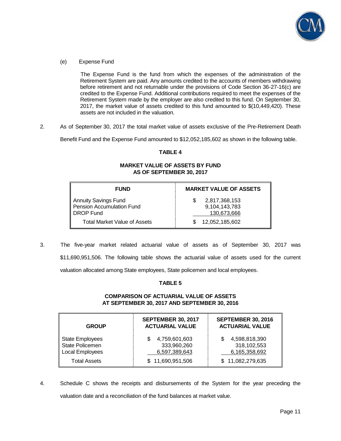

(e) Expense Fund

 The Expense Fund is the fund from which the expenses of the administration of the Retirement System are paid. Any amounts credited to the accounts of members withdrawing before retirement and not returnable under the provisions of Code Section 36-27-16(c) are credited to the Expense Fund. Additional contributions required to meet the expenses of the Retirement System made by the employer are also credited to this fund. On September 30, 2017, the market value of assets credited to this fund amounted to \$(10,449,420). These assets are not included in the valuation.

2. As of September 30, 2017 the total market value of assets exclusive of the Pre-Retirement Death

Benefit Fund and the Expense Fund amounted to \$12,052,185,602 as shown in the following table.

#### **TABLE 4**

#### **MARKET VALUE OF ASSETS BY FUND AS OF SEPTEMBER 30, 2017**

| <b>FUND</b>                                                           | <b>MARKET VALUE OF ASSETS</b>                 |
|-----------------------------------------------------------------------|-----------------------------------------------|
| <b>Annuity Savings Fund</b><br>Pension Accumulation Fund<br>DROP Fund | 2,817,368,153<br>9,104,143,783<br>130,673,666 |
| <b>Total Market Value of Assets</b>                                   | 12,052,185,602                                |

3. The five-year market related actuarial value of assets as of September 30, 2017 was \$11,690,951,506. The following table shows the actuarial value of assets used for the current valuation allocated among State employees, State policemen and local employees.

## **TABLE 5**

#### **COMPARISON OF ACTUARIAL VALUE OF ASSETS AT SEPTEMBER 30, 2017 AND SEPTEMBER 30, 2016**

| <b>GROUP</b>                                                 | <b>SEPTEMBER 30, 2017</b><br><b>ACTUARIAL VALUE</b> | <b>SEPTEMBER 30, 2016</b><br><b>ACTUARIAL VALUE</b> |
|--------------------------------------------------------------|-----------------------------------------------------|-----------------------------------------------------|
| <b>State Employees</b><br>State Policemen<br>Local Employees | 4,759,601,603<br>333,960,260<br>6,597,389,643       | 4,598,818,390<br>318,102,553<br>6,165,358,692       |
| <b>Total Assets</b>                                          | \$11,690,951,506                                    | \$11,082,279,635                                    |

4. Schedule C shows the receipts and disbursements of the System for the year preceding the valuation date and a reconciliation of the fund balances at market value.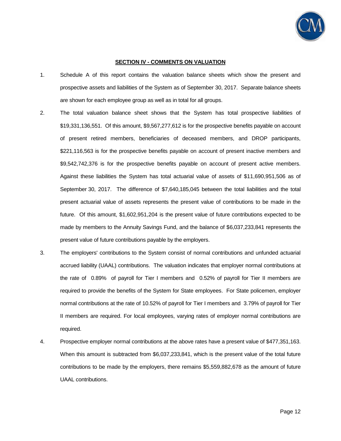

#### **SECTION IV - COMMENTS ON VALUATION**

- 1. Schedule A of this report contains the valuation balance sheets which show the present and prospective assets and liabilities of the System as of September 30, 2017. Separate balance sheets are shown for each employee group as well as in total for all groups.
- 2. The total valuation balance sheet shows that the System has total prospective liabilities of \$19,331,136,551. Of this amount, \$9,567,277,612 is for the prospective benefits payable on account of present retired members, beneficiaries of deceased members, and DROP participants, \$221,116,563 is for the prospective benefits payable on account of present inactive members and \$9,542,742,376 is for the prospective benefits payable on account of present active members. Against these liabilities the System has total actuarial value of assets of \$11,690,951,506 as of September 30, 2017. The difference of \$7,640,185,045 between the total liabilities and the total present actuarial value of assets represents the present value of contributions to be made in the future. Of this amount, \$1,602,951,204 is the present value of future contributions expected to be made by members to the Annuity Savings Fund, and the balance of \$6,037,233,841 represents the present value of future contributions payable by the employers.
- 3. The employers' contributions to the System consist of normal contributions and unfunded actuarial accrued liability (UAAL) contributions. The valuation indicates that employer normal contributions at the rate of 0.89% of payroll for Tier I members and 0.52% of payroll for Tier II members are required to provide the benefits of the System for State employees. For State policemen, employer normal contributions at the rate of 10.52% of payroll for Tier I members and 3.79% of payroll for Tier II members are required. For local employees, varying rates of employer normal contributions are required.
- 4. Prospective employer normal contributions at the above rates have a present value of \$477,351,163. When this amount is subtracted from \$6,037,233,841, which is the present value of the total future contributions to be made by the employers, there remains \$5,559,882,678 as the amount of future UAAL contributions.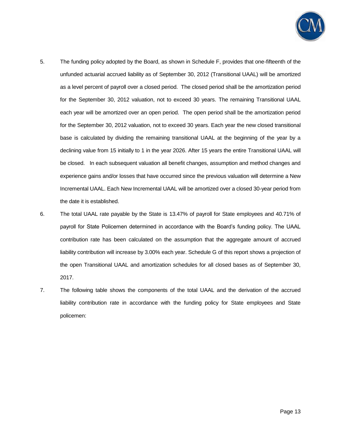

- 5. The funding policy adopted by the Board, as shown in Schedule F, provides that one-fifteenth of the unfunded actuarial accrued liability as of September 30, 2012 (Transitional UAAL) will be amortized as a level percent of payroll over a closed period. The closed period shall be the amortization period for the September 30, 2012 valuation, not to exceed 30 years. The remaining Transitional UAAL each year will be amortized over an open period. The open period shall be the amortization period for the September 30, 2012 valuation, not to exceed 30 years. Each year the new closed transitional base is calculated by dividing the remaining transitional UAAL at the beginning of the year by a declining value from 15 initially to 1 in the year 2026. After 15 years the entire Transitional UAAL will be closed. In each subsequent valuation all benefit changes, assumption and method changes and experience gains and/or losses that have occurred since the previous valuation will determine a New Incremental UAAL. Each New Incremental UAAL will be amortized over a closed 30-year period from the date it is established.
- 6. The total UAAL rate payable by the State is 13.47% of payroll for State employees and 40.71% of payroll for State Policemen determined in accordance with the Board's funding policy. The UAAL contribution rate has been calculated on the assumption that the aggregate amount of accrued liability contribution will increase by 3.00% each year. Schedule G of this report shows a projection of the open Transitional UAAL and amortization schedules for all closed bases as of September 30, 2017.
- 7. The following table shows the components of the total UAAL and the derivation of the accrued liability contribution rate in accordance with the funding policy for State employees and State policemen: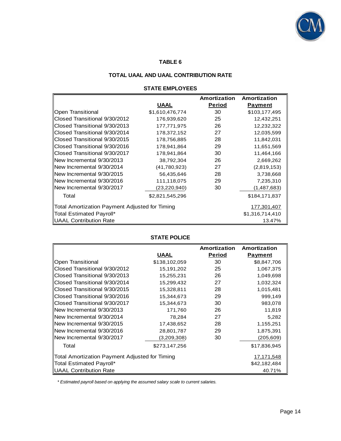

## **TABLE 6**

### **TOTAL UAAL AND UAAL CONTRIBUTION RATE**

#### **STATE EMPLOYEES**

| TOTAL UAAL AND UAAL CONTRIBUTION RATE                         |                 |               |                 |  |  |  |  |
|---------------------------------------------------------------|-----------------|---------------|-----------------|--|--|--|--|
| <b>STATE EMPLOYEES</b>                                        |                 |               |                 |  |  |  |  |
|                                                               |                 | Amortization  | Amortization    |  |  |  |  |
|                                                               | <u>UAAL</u>     | <b>Period</b> | <b>Payment</b>  |  |  |  |  |
| Open Transitional                                             | \$1,610,476,774 | 30            | \$103,177,495   |  |  |  |  |
| Closed Transitional 9/30/2012                                 | 176,939,620     | 25            | 12,432,251      |  |  |  |  |
| Closed Transitional 9/30/2013                                 | 177,771,975     | 26            | 12,232,322      |  |  |  |  |
| Closed Transitional 9/30/2014                                 | 178,372,152     | 27            | 12,035,599      |  |  |  |  |
| Closed Transitional 9/30/2015                                 | 178,756,885     | 28            | 11,842,031      |  |  |  |  |
| Closed Transitional 9/30/2016                                 | 178,941,864     | 29            | 11,651,569      |  |  |  |  |
| Closed Transitional 9/30/2017                                 | 178,941,864     | 30            | 11,464,166      |  |  |  |  |
| New Incremental 9/30/2013                                     | 38,792,304      | 26            | 2,669,262       |  |  |  |  |
| New Incremental 9/30/2014                                     | (41,780,923)    | 27            | (2,819,153)     |  |  |  |  |
| New Incremental 9/30/2015                                     | 56,435,646      | 28            | 3,738,668       |  |  |  |  |
| New Incremental 9/30/2016                                     | 111,118,075     | 29            | 7,235,310       |  |  |  |  |
| New Incremental 9/30/2017                                     | (23, 220, 940)  | 30            | (1,487,683)     |  |  |  |  |
| Total                                                         | \$2,821,545,296 |               | \$184,171,837   |  |  |  |  |
| Total Amortization Payment Adjusted for Timing<br>177,301,407 |                 |               |                 |  |  |  |  |
| Total Estimated Payroll*                                      |                 |               | \$1,316,714,410 |  |  |  |  |
| UAAL Contribution Rate                                        |                 |               | 13.47%          |  |  |  |  |

## **STATE POLICE**

|                                                | <b>STATE POLICE</b> |               |                |
|------------------------------------------------|---------------------|---------------|----------------|
|                                                |                     | Amortization  | Amortization   |
|                                                | <u>UAAL</u>         | <b>Period</b> | <b>Payment</b> |
| Open Transitional                              | \$138,102,059       | 30            | \$8,847,706    |
| Closed Transitional 9/30/2012                  | 15,191,202          | 25            | 1,067,375      |
| Closed Transitional 9/30/2013                  | 15,255,231          | 26            | 1,049,698      |
| Closed Transitional 9/30/2014                  | 15,299,432          | 27            | 1,032,324      |
| Closed Transitional 9/30/2015                  | 15,328,811          | 28            | 1,015,481      |
| Closed Transitional 9/30/2016                  | 15,344,673          | 29            | 999,149        |
| Closed Transitional 9/30/2017                  | 15,344,673          | 30            | 983,078        |
| New Incremental 9/30/2013                      | 171,760             | 26            | 11,819         |
| New Incremental 9/30/2014                      | 78,284              | 27            | 5,282          |
| New Incremental 9/30/2015                      | 17,438,652          | 28            | 1,155,251      |
| New Incremental 9/30/2016                      | 28,801,787          | 29            | 1,875,391      |
| New Incremental 9/30/2017                      | (3,209,308)         | 30            | (205, 609)     |
| Total                                          | \$273,147,256       |               | \$17,836,945   |
| Total Amortization Payment Adjusted for Timing |                     |               | 17,171,548     |
| Total Estimated Payroll*                       |                     |               | \$42,182,484   |
| <b>UAAL Contribution Rate</b>                  |                     |               | 40.71%         |

 *\* Estimated payroll based on applying the assumed salary scale to current salaries.*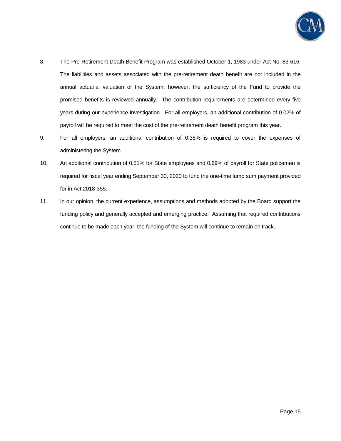

- 8. The Pre-Retirement Death Benefit Program was established October 1, 1983 under Act No. 83-616. The liabilities and assets associated with the pre-retirement death benefit are not included in the annual actuarial valuation of the System; however, the sufficiency of the Fund to provide the promised benefits is reviewed annually. The contribution requirements are determined every five years during our experience investigation. For all employers, an additional contribution of 0.02% of payroll will be required to meet the cost of the pre-retirement death benefit program this year.
- 9. For all employers, an additional contribution of 0.35% is required to cover the expenses of administering the System.
- 10. An additional contribution of 0.51% for State employees and 0.69% of payroll for State policemen is required for fiscal year ending September 30, 2020 to fund the one-time lump sum payment provided for in Act 2018-355.
- 11. In our opinion, the current experience, assumptions and methods adopted by the Board support the funding policy and generally accepted and emerging practice. Assuming that required contributions continue to be made each year, the funding of the System will continue to remain on track.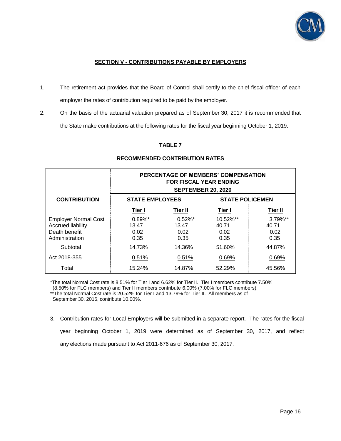

## **SECTION V - CONTRIBUTIONS PAYABLE BY EMPLOYERS**

- 1. The retirement act provides that the Board of Control shall certify to the chief fiscal officer of each employer the rates of contribution required to be paid by the employer.
- 2. On the basis of the actuarial valuation prepared as of September 30, 2017 it is recommended that the State make contributions at the following rates for the fiscal year beginning October 1, 2019:

## **TABLE 7**

|                                                                                            | PERCENTAGE OF MEMBERS' COMPENSATION<br><b>FOR FISCAL YEAR ENDING</b><br><b>SEPTEMBER 20, 2020</b> |                                     |                                   |                                      |  |  |
|--------------------------------------------------------------------------------------------|---------------------------------------------------------------------------------------------------|-------------------------------------|-----------------------------------|--------------------------------------|--|--|
| <b>CONTRIBUTION</b>                                                                        | <b>STATE POLICEMEN</b><br><b>STATE EMPLOYEES</b>                                                  |                                     |                                   |                                      |  |  |
|                                                                                            | Tier I                                                                                            | Tier II                             | Tier I                            | Tier II                              |  |  |
| <b>Employer Normal Cost</b><br><b>Accrued liability</b><br>Death benefit<br>Administration | $0.89\%$ *<br>13.47<br>0.02<br>0.35                                                               | $0.52\%$ *<br>13.47<br>0.02<br>0.35 | 10.52%**<br>40.71<br>0.02<br>0.35 | $3.79\%$ **<br>40.71<br>0.02<br>0.35 |  |  |
| Subtotal                                                                                   | 14.73%                                                                                            | 14.36%                              | 51.60%                            | 44.87%                               |  |  |
| Act 2018-355                                                                               | 0.51%                                                                                             | 0.51%                               | 0.69%                             | 0.69%                                |  |  |
| Total                                                                                      | 15.24%                                                                                            | 14.87%                              | 52.29%                            | 45.56%                               |  |  |

### **RECOMMENDED CONTRIBUTION RATES**

\*The total Normal Cost rate is 8.51% for Tier I and 6.62% for Tier II. Tier I members contribute 7.50% (8.50% for FLC members) and Tier II members contribute 6.00% (7.00% for FLC members). \*\*The total Normal Cost rate is 20.52% for Tier I and 13.79% for Tier II. All members as of

September 30, 2016, contribute 10.00%.

3. Contribution rates for Local Employers will be submitted in a separate report. The rates for the fiscal year beginning October 1, 2019 were determined as of September 30, 2017, and reflect any elections made pursuant to Act 2011-676 as of September 30, 2017.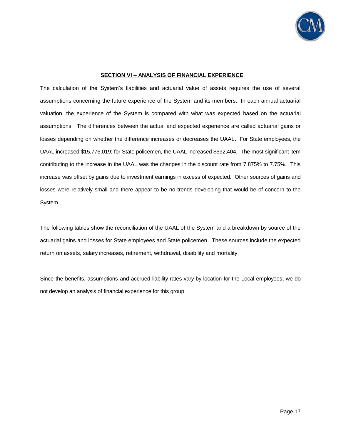

#### **SECTION VI – ANALYSIS OF FINANCIAL EXPERIENCE**

The calculation of the System's liabilities and actuarial value of assets requires the use of several assumptions concerning the future experience of the System and its members. In each annual actuarial valuation, the experience of the System is compared with what was expected based on the actuarial assumptions. The differences between the actual and expected experience are called actuarial gains or losses depending on whether the difference increases or decreases the UAAL. For State employees, the UAAL increased \$15,776,019; for State policemen, the UAAL increased \$592,404. The most significant item contributing to the increase in the UAAL was the changes in the discount rate from 7.875% to 7.75%. This increase was offset by gains due to investment earnings in excess of expected. Other sources of gains and losses were relatively small and there appear to be no trends developing that would be of concern to the System.

The following tables show the reconciliation of the UAAL of the System and a breakdown by source of the actuarial gains and losses for State employees and State policemen. These sources include the expected return on assets, salary increases, retirement, withdrawal, disability and mortality.

Since the benefits, assumptions and accrued liability rates vary by location for the Local employees, we do not develop an analysis of financial experience for this group.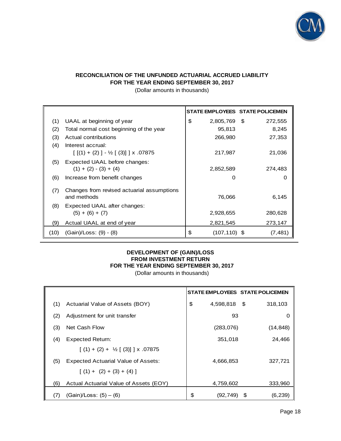

## **RECONCILIATION OF THE UNFUNDED ACTUARIAL ACCRUED LIABILITY FOR THE YEAR ENDING SEPTEMBER 30, 2017**

|      | (Dollar amounts in thousands)                                                   |                       |                                 |
|------|---------------------------------------------------------------------------------|-----------------------|---------------------------------|
|      |                                                                                 |                       | STATE EMPLOYEES STATE POLICEMEN |
| (1)  | UAAL at beginning of year                                                       | \$<br>2,805,769 \$    | 272,555                         |
| (2)  | Total normal cost beginning of the year                                         | 95,813                | 8,245                           |
| (3)  | Actual contributions                                                            | 266,980               | 27,353                          |
| (4)  | Interest accrual:<br>$\lceil$ $\lceil$ (1) + (2) ] - ½ $\lceil$ (3)] ] x .07875 | 217,987               | 21,036                          |
| (5)  | Expected UAAL before changes:                                                   |                       |                                 |
|      | $(1) + (2) - (3) + (4)$                                                         | 2,852,589             | 274,483                         |
| (6)  | Increase from benefit changes                                                   | 0                     | 0                               |
| (7)  | Changes from revised actuarial assumptions<br>and methods                       | 76,066                | 6,145                           |
| (8)  | Expected UAAL after changes:<br>$(5) + (6) + (7)$                               | 2,928,655             | 280,628                         |
| (9)  | Actual UAAL at end of year                                                      | 2,821,545             | 273,147                         |
| (10) | (Gain)/Loss: (9) - (8)                                                          | \$<br>$(107, 110)$ \$ | (7,481)                         |

#### **DEVELOPMENT OF (GAIN)/LOSS FROM INVESTMENT RETURN FOR THE YEAR ENDING SEPTEMBER 30, 2017**

(Dollar amounts in thousands)

|     |                                             | STATE EMPLOYEES STATE POLICEMEN |      |           |
|-----|---------------------------------------------|---------------------------------|------|-----------|
| (1) | Actuarial Value of Assets (BOY)             | \$<br>4,598,818 \$              |      | 318,103   |
| (2) | Adjustment for unit transfer                | 93                              |      |           |
| (3) | Net Cash Flow                               | (283,076)                       |      | (14, 848) |
| (4) | <b>Expected Return:</b>                     | 351,018                         |      | 24,466    |
|     | $(1) + (2) + \frac{1}{2}$ $(3)$     x 07875 |                                 |      |           |
| (5) | Expected Actuarial Value of Assets:         | 4,666,853                       |      | 327,721   |
|     | $(1) + (2) + (3) + (4)$                     |                                 |      |           |
| (6) | Actual Actuarial Value of Assets (EOY)      | 4,759,602                       |      | 333,960   |
|     | $(Gain)/Loss: (5) - (6)$                    | \$<br>(92,749)                  | - \$ | (6, 239)  |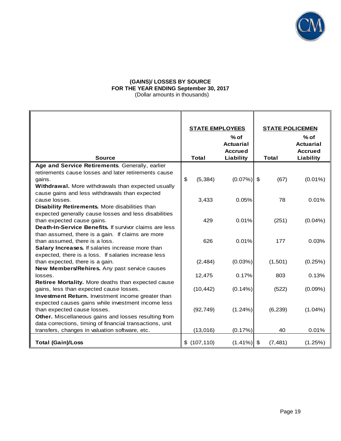

### **(GAINS)/ LOSSES BY SOURCE FOR THE YEAR ENDING September 30, 2017** (Dollar amounts in thousands)

|                                                          | <b>STATE EMPLOYEES</b> |                                                           | <b>STATE POLICEMEN</b> |                                                           |
|----------------------------------------------------------|------------------------|-----------------------------------------------------------|------------------------|-----------------------------------------------------------|
| <b>Source</b>                                            | <b>Total</b>           | $%$ of<br><b>Actuarial</b><br><b>Accrued</b><br>Liability | <b>Total</b>           | $%$ of<br><b>Actuarial</b><br><b>Accrued</b><br>Liability |
| Age and Service Retirements. Generally, earlier          |                        |                                                           |                        |                                                           |
| retirements cause losses and later retirements cause     |                        |                                                           |                        |                                                           |
| gains.                                                   | \$<br>(5, 384)         | $(0.07\%)$ \$                                             | (67)                   | $(0.01\%)$                                                |
| Withdrawal. More withdrawals than expected usually       |                        |                                                           |                        |                                                           |
| cause gains and less withdrawals than expected           |                        |                                                           |                        |                                                           |
| cause losses.                                            | 3,433                  | 0.05%                                                     | 78                     | 0.01%                                                     |
| Disability Retirements. More disabilities than           |                        |                                                           |                        |                                                           |
| expected generally cause losses and less disabilities    |                        |                                                           |                        |                                                           |
| than expected cause gains.                               | 429                    | 0.01%                                                     | (251)                  | $(0.04\%)$                                                |
| Death-In-Service Benefits. If survivor claims are less   |                        |                                                           |                        |                                                           |
| than assumed, there is a gain. If claims are more        |                        |                                                           |                        |                                                           |
| than assumed, there is a loss.                           | 626                    | 0.01%                                                     | 177                    | 0.03%                                                     |
| Salary Increases. If salaries increase more than         |                        |                                                           |                        |                                                           |
| expected, there is a loss. If salaries increase less     |                        |                                                           |                        |                                                           |
| than expected, there is a gain.                          | (2,484)                | (0.03%)                                                   | (1,501)                | (0.25%)                                                   |
| New Members/Rehires. Any past service causes             |                        |                                                           |                        |                                                           |
| losses.                                                  | 12,475                 | 0.17%                                                     | 803                    | 0.13%                                                     |
| Retiree Mortality. More deaths than expected cause       |                        |                                                           |                        |                                                           |
| gains, less than expected cause losses.                  | (10, 442)              | $(0.14\%)$                                                | (522)                  | (0.09%                                                    |
| Investment Return. Investment income greater than        |                        |                                                           |                        |                                                           |
| expected causes gains while investment income less       |                        |                                                           |                        |                                                           |
| than expected cause losses.                              | (92, 749)              | (1.24%)                                                   | (6, 239)               | $(1.04\%)$                                                |
| Other. Miscellaneous gains and losses resulting from     |                        |                                                           |                        |                                                           |
| data corrections, timing of financial transactions, unit |                        |                                                           |                        |                                                           |
| transfers, changes in valuation software, etc.           | (13,016)               | (0.17%)                                                   | 40                     | 0.01%                                                     |
|                                                          |                        |                                                           |                        |                                                           |
| <b>Total (Gain)/Loss</b>                                 | \$(107, 110)           | $(1.41\%)$ \$                                             | (7, 481)               | (1.25%)                                                   |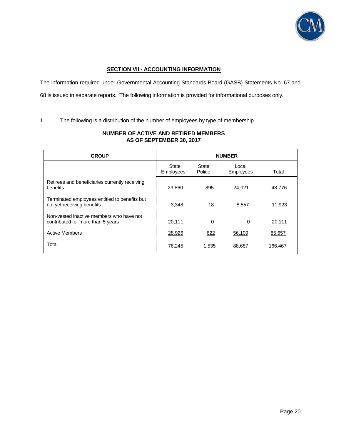

### **SECTION VII - ACCOUNTING INFORMATION**

The information required under Governmental Accounting Standards Board (GASB) Statements No. 67 and 68 is issued in separate reports. The following information is provided for informational purposes only.

1. The following is a distribution of the number of employees by type of membership.

| <b>GROUP</b>                                                                  | <b>NUMBER</b>      |                 |                           |         |  |
|-------------------------------------------------------------------------------|--------------------|-----------------|---------------------------|---------|--|
|                                                                               | State<br>Employees | State<br>Police | Local<br><b>Employees</b> | Total   |  |
| Retirees and beneficiaries currently receiving<br>benefits                    | 23,860             | 895             | 24,021                    | 48,776  |  |
| Terminated employees entitled to benefits but<br>not yet receiving benefits   | 3,348              | 18              | 8,557                     | 11,923  |  |
| Non-vested inactive members who have not<br>contributed for more than 5 years | 20,111             | 0               | 0                         | 20,111  |  |
| <b>Active Members</b>                                                         | 28,926             | 622             | 56,109                    | 85,657  |  |
| Total                                                                         | 76,245             | 1,535           | 88,687                    | 166,467 |  |

## **NUMBER OF ACTIVE AND RETIRED MEMBERS AS OF SEPTEMBER 30, 2017**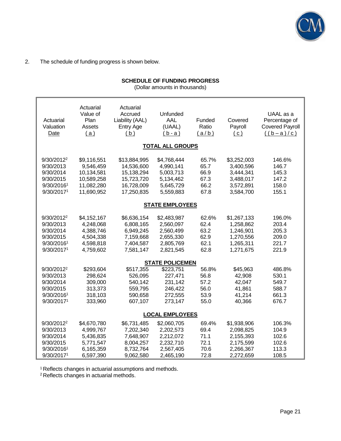

2. The schedule of funding progress is shown below.

## **SCHEDULE OF FUNDING PROGRESS**

(Dollar amounts in thousands)

| Actuarial<br>Valuation<br>Date                                                            | Actuarial<br>Value of<br>Plan<br>Assets<br>(a)                                   | Actuarial<br>Accrued<br>Liability (AAL)<br><b>Entry Age</b><br>(b)                 | Unfunded<br>AAL<br>(UAAL)<br>$(b - a)$                                       | Funded<br>Ratio<br>(a/b)                      | Covered<br>Payroll<br>(c)                                                    | UAAL as a<br>Percentage of<br><b>Covered Payroll</b><br>$((b-a)/c)$ |
|-------------------------------------------------------------------------------------------|----------------------------------------------------------------------------------|------------------------------------------------------------------------------------|------------------------------------------------------------------------------|-----------------------------------------------|------------------------------------------------------------------------------|---------------------------------------------------------------------|
|                                                                                           |                                                                                  |                                                                                    | <b>TOTAL ALL GROUPS</b>                                                      |                                               |                                                                              |                                                                     |
| 9/30/2012 <sup>2</sup><br>9/30/2013<br>9/30/2014<br>9/30/2015<br>9/30/20161<br>9/30/20171 | \$9,116,551<br>9,546,459<br>10,134,581<br>10,589,258<br>11,082,280<br>11,690,952 | \$13,884,995<br>14,536,600<br>15,138,294<br>15,723,720<br>16,728,009<br>17,250,835 | \$4,768,444<br>4,990,141<br>5,003,713<br>5,134,462<br>5,645,729<br>5,559,883 | 65.7%<br>65.7<br>66.9<br>67.3<br>66.2<br>67.8 | \$3,252,003<br>3,400,596<br>3,444,341<br>3,488,017<br>3,572,891<br>3,584,700 | 146.6%<br>146.7<br>145.3<br>147.2<br>158.0<br>155.1                 |
|                                                                                           |                                                                                  |                                                                                    | <b>STATE EMPLOYEES</b>                                                       |                                               |                                                                              |                                                                     |
| 9/30/2012 <sup>2</sup><br>9/30/2013<br>9/30/2014<br>9/30/2015<br>9/30/20161<br>9/30/20171 | \$4,152,167<br>4,248,068<br>4,388,746<br>4,504,338<br>4,598,818<br>4,759,602     | \$6,636,154<br>6,808,165<br>6,949,245<br>7,159,668<br>7,404,587<br>7,581,147       | \$2,483,987<br>2,560,097<br>2,560,499<br>2,655,330<br>2,805,769<br>2,821,545 | 62.6%<br>62.4<br>63.2<br>62.9<br>62.1<br>62.8 | \$1,267,133<br>1,258,862<br>1,246,901<br>1,270,556<br>1,265,311<br>1,271,675 | 196.0%<br>203.4<br>205.3<br>209.0<br>221.7<br>221.9                 |
|                                                                                           |                                                                                  |                                                                                    | <b>STATE POLICEMEN</b>                                                       |                                               |                                                                              |                                                                     |
| 9/30/2012 <sup>2</sup><br>9/30/2013<br>9/30/2014<br>9/30/2015<br>9/30/20161<br>9/30/20171 | \$293,604<br>298,624<br>309,000<br>313,373<br>318,103<br>333,960                 | \$517,355<br>526,095<br>540,142<br>559,795<br>590,658<br>607,107                   | \$223,751<br>227,471<br>231,142<br>246,422<br>272,555<br>273,147             | 56.8%<br>56.8<br>57.2<br>56.0<br>53.9<br>55.0 | \$45,963<br>42,908<br>42,047<br>41,861<br>41,214<br>40,366                   | 486.8%<br>530.1<br>549.7<br>588.7<br>661.3<br>676.7                 |
|                                                                                           |                                                                                  |                                                                                    | <b>LOCAL EMPLOYEES</b>                                                       |                                               |                                                                              |                                                                     |
| 9/30/2012 <sup>2</sup><br>9/30/2013<br>9/30/2014<br>9/30/2015<br>9/30/20161<br>9/30/20171 | \$4,670,780<br>4,999,767<br>5,436,835<br>5,771,547<br>6,165,359<br>6,597,390     | \$6,731,485<br>7,202,340<br>7,648,907<br>8,004,257<br>8,732,764<br>9,062,580       | \$2,060,705<br>2,202,573<br>2,212,072<br>2,232,710<br>2,567,405<br>2,465,190 | 69.4%<br>69.4<br>71.1<br>72.1<br>70.6<br>72.8 | \$1,938,906<br>2,098,825<br>2,155,393<br>2,175,599<br>2,266,367<br>2,272,659 | 106.3%<br>104.9<br>102.6<br>102.6<br>113.3<br>108.5                 |

<sup>1</sup> Reflects changes in actuarial assumptions and methods.

<sup>2</sup> Reflects changes in actuarial methods.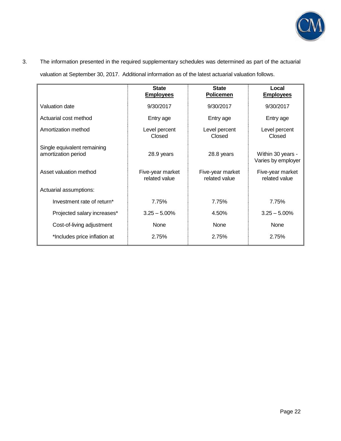

## 3. The information presented in the required supplementary schedules was determined as part of the actuarial

valuation at September 30, 2017. Additional information as of the latest actuarial valuation follows.

|                                                    | <b>State</b><br><b>Employees</b>  | <b>State</b><br><b>Policemen</b>  | Local<br><b>Employees</b>               |
|----------------------------------------------------|-----------------------------------|-----------------------------------|-----------------------------------------|
| Valuation date                                     | 9/30/2017                         | 9/30/2017                         | 9/30/2017                               |
| Actuarial cost method                              | Entry age                         | Entry age                         | Entry age                               |
| Amortization method                                | Level percent<br>Closed           | Level percent<br>Closed           | Level percent<br>Closed                 |
| Single equivalent remaining<br>amortization period | 28.9 years                        | 28.8 years                        | Within 30 years -<br>Varies by employer |
| Asset valuation method                             | Five-year market<br>related value | Five-year market<br>related value | Five-year market<br>related value       |
| Actuarial assumptions:                             |                                   |                                   |                                         |
| Investment rate of return*                         | 7.75%                             | 7.75%                             | 7.75%                                   |
| Projected salary increases*                        | $3.25 - 5.00\%$                   | 4.50%                             | $3.25 - 5.00\%$                         |
| Cost-of-living adjustment                          | None                              | None                              | None                                    |
| *Includes price inflation at                       | 2.75%                             | 2.75%                             | 2.75%                                   |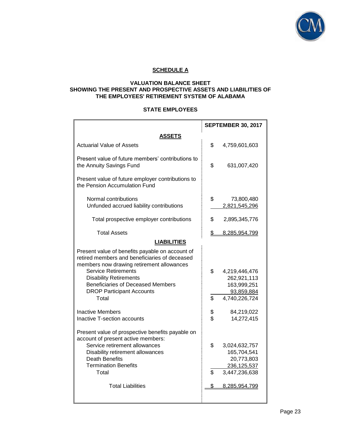

## **SCHEDULE A**

### **VALUATION BALANCE SHEET SHOWING THE PRESENT AND PROSPECTIVE ASSETS AND LIABILITIES OF THE EMPLOYEES' RETIREMENT SYSTEM OF ALABAMA**

#### **STATE EMPLOYEES**

|                                                                                                                                               | <b>SEPTEMBER 30, 2017</b>          |
|-----------------------------------------------------------------------------------------------------------------------------------------------|------------------------------------|
| <b>ASSETS</b>                                                                                                                                 |                                    |
| <b>Actuarial Value of Assets</b>                                                                                                              | \$<br>4,759,601,603                |
| Present value of future members' contributions to<br>the Annuity Savings Fund                                                                 | \$<br>631,007,420                  |
| Present value of future employer contributions to<br>the Pension Accumulation Fund                                                            |                                    |
| Normal contributions                                                                                                                          | \$<br>73,800,480                   |
| Unfunded accrued liability contributions                                                                                                      | 2,821,545,296                      |
| Total prospective employer contributions                                                                                                      | \$<br>2,895,345,776                |
| <b>Total Assets</b>                                                                                                                           | \$<br>8,285,954,799                |
| <b>LIABILITIES</b>                                                                                                                            |                                    |
| Present value of benefits payable on account of<br>retired members and beneficiaries of deceased<br>members now drawing retirement allowances |                                    |
| <b>Service Retirements</b><br><b>Disability Retirements</b>                                                                                   | \$<br>4,219,446,476<br>262,921,113 |
| <b>Beneficiaries of Deceased Members</b>                                                                                                      | 163,999,251                        |
| <b>DROP Participant Accounts</b>                                                                                                              | 93,859,884                         |
| Total                                                                                                                                         | \$<br>4,740,226,724                |
| <b>Inactive Members</b>                                                                                                                       | \$<br>84,219,022                   |
| Inactive T-section accounts                                                                                                                   | \$<br>14,272,415                   |
| Present value of prospective benefits payable on<br>account of present active members:                                                        |                                    |
| Service retirement allowances                                                                                                                 | \$<br>3,024,632,757                |
| Disability retirement allowances                                                                                                              | 165,704,541                        |
| <b>Death Benefits</b>                                                                                                                         | 20,773,803                         |
| <b>Termination Benefits</b>                                                                                                                   | 236, 125, 537                      |
| Total                                                                                                                                         | \$<br>3,447,236,638                |
| <b>Total Liabilities</b>                                                                                                                      | \$<br>8,285,954,799                |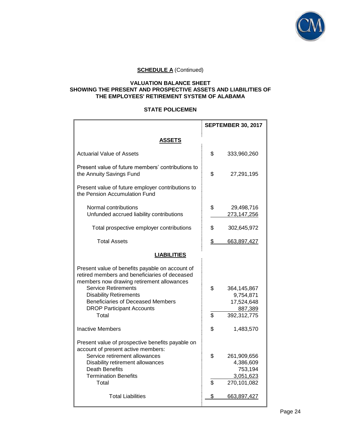

#### **VALUATION BALANCE SHEET SHOWING THE PRESENT AND PROSPECTIVE ASSETS AND LIABILITIES OF THE EMPLOYEES' RETIREMENT SYSTEM OF ALABAMA**

#### **STATE POLICEMEN**

|                                                                                                                                                                                                                                                                                                       | <b>SEPTEMBER 30, 2017</b> |                                                                  |
|-------------------------------------------------------------------------------------------------------------------------------------------------------------------------------------------------------------------------------------------------------------------------------------------------------|---------------------------|------------------------------------------------------------------|
| <b>ASSETS</b>                                                                                                                                                                                                                                                                                         |                           |                                                                  |
| <b>Actuarial Value of Assets</b>                                                                                                                                                                                                                                                                      | \$                        | 333,960,260                                                      |
| Present value of future members' contributions to<br>the Annuity Savings Fund                                                                                                                                                                                                                         | \$                        | 27,291,195                                                       |
| Present value of future employer contributions to<br>the Pension Accumulation Fund                                                                                                                                                                                                                    |                           |                                                                  |
| Normal contributions<br>Unfunded accrued liability contributions                                                                                                                                                                                                                                      | \$                        | 29,498,716<br>273,147,256                                        |
| Total prospective employer contributions                                                                                                                                                                                                                                                              | \$                        | 302,645,972                                                      |
| <b>Total Assets</b>                                                                                                                                                                                                                                                                                   | \$                        | 663,897,427                                                      |
| <b>LIABILITIES</b>                                                                                                                                                                                                                                                                                    |                           |                                                                  |
| Present value of benefits payable on account of<br>retired members and beneficiaries of deceased<br>members now drawing retirement allowances<br><b>Service Retirements</b><br><b>Disability Retirements</b><br><b>Beneficiaries of Deceased Members</b><br><b>DROP Participant Accounts</b><br>Total | \$<br>\$                  | 364,145,867<br>9,754,871<br>17,524,648<br>887,389<br>392,312,775 |
| <b>Inactive Members</b>                                                                                                                                                                                                                                                                               | \$                        | 1,483,570                                                        |
| Present value of prospective benefits payable on<br>account of present active members:<br>Service retirement allowances<br>Disability retirement allowances<br><b>Death Benefits</b><br><b>Termination Benefits</b><br>Total                                                                          | \$<br>\$                  | 261,909,656<br>4,386,609<br>753,194<br>3,051,623<br>270,101,082  |
| <b>Total Liabilities</b>                                                                                                                                                                                                                                                                              | \$                        | 663,897,427                                                      |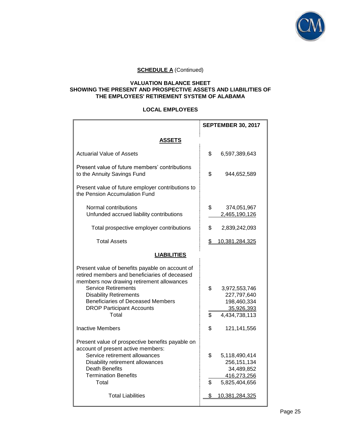

#### **VALUATION BALANCE SHEET SHOWING THE PRESENT AND PROSPECTIVE ASSETS AND LIABILITIES OF THE EMPLOYEES' RETIREMENT SYSTEM OF ALABAMA**

#### **LOCAL EMPLOYEES**

|                                                                                                                                                                                                                                                                                                       | <b>SEPTEMBER 30, 2017</b>                                                                |  |
|-------------------------------------------------------------------------------------------------------------------------------------------------------------------------------------------------------------------------------------------------------------------------------------------------------|------------------------------------------------------------------------------------------|--|
| <b>ASSETS</b>                                                                                                                                                                                                                                                                                         |                                                                                          |  |
| <b>Actuarial Value of Assets</b>                                                                                                                                                                                                                                                                      | \$<br>6,597,389,643                                                                      |  |
| Present value of future members' contributions<br>to the Annuity Savings Fund                                                                                                                                                                                                                         | \$<br>944,652,589                                                                        |  |
| Present value of future employer contributions to<br>the Pension Accumulation Fund                                                                                                                                                                                                                    |                                                                                          |  |
| Normal contributions<br>Unfunded accrued liability contributions                                                                                                                                                                                                                                      | \$<br>374,051,967<br>2,465,190,126                                                       |  |
| Total prospective employer contributions                                                                                                                                                                                                                                                              | \$<br>2,839,242,093                                                                      |  |
| <b>Total Assets</b>                                                                                                                                                                                                                                                                                   | \$<br>10,381,284,325                                                                     |  |
| <b>LIABILITIES</b>                                                                                                                                                                                                                                                                                    |                                                                                          |  |
| Present value of benefits payable on account of<br>retired members and beneficiaries of deceased<br>members now drawing retirement allowances<br><b>Service Retirements</b><br><b>Disability Retirements</b><br><b>Beneficiaries of Deceased Members</b><br><b>DROP Participant Accounts</b><br>Total | \$<br>3,972,553,746<br>227,797,640<br>198,460,334<br>35,926,393<br>\$<br>4,434,738,113   |  |
| <b>Inactive Members</b>                                                                                                                                                                                                                                                                               | \$<br>121,141,556                                                                        |  |
| Present value of prospective benefits payable on<br>account of present active members:<br>Service retirement allowances<br>Disability retirement allowances<br><b>Death Benefits</b><br><b>Termination Benefits</b><br>Total                                                                          | \$<br>5,118,490,414<br>256, 151, 134<br>34,489,852<br>416,273,256<br>\$<br>5,825,404,656 |  |
| <b>Total Liabilities</b>                                                                                                                                                                                                                                                                              | 10,381,284,325<br>S.                                                                     |  |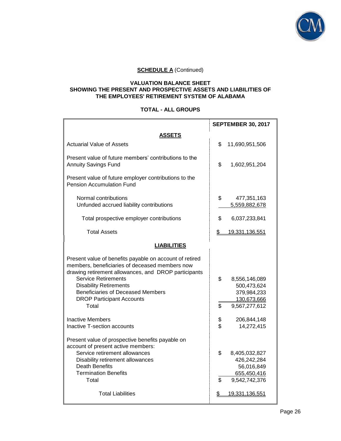

#### **VALUATION BALANCE SHEET SHOWING THE PRESENT AND PROSPECTIVE ASSETS AND LIABILITIES OF THE EMPLOYEES' RETIREMENT SYSTEM OF ALABAMA**

## **TOTAL - ALL GROUPS**

|                                                                                                                                                                                                                                                                                                                           | <b>SEPTEMBER 30, 2017</b> |                                                                             |
|---------------------------------------------------------------------------------------------------------------------------------------------------------------------------------------------------------------------------------------------------------------------------------------------------------------------------|---------------------------|-----------------------------------------------------------------------------|
| ASSETS                                                                                                                                                                                                                                                                                                                    |                           |                                                                             |
| <b>Actuarial Value of Assets</b>                                                                                                                                                                                                                                                                                          | \$                        | 11,690,951,506                                                              |
| Present value of future members' contributions to the<br><b>Annuity Savings Fund</b>                                                                                                                                                                                                                                      | \$                        | 1,602,951,204                                                               |
| Present value of future employer contributions to the<br><b>Pension Accumulation Fund</b>                                                                                                                                                                                                                                 |                           |                                                                             |
| Normal contributions<br>Unfunded accrued liability contributions                                                                                                                                                                                                                                                          | \$                        | 477,351,163<br>5,559,882,678                                                |
| Total prospective employer contributions                                                                                                                                                                                                                                                                                  | \$                        | 6,037,233,841                                                               |
| <b>Total Assets</b>                                                                                                                                                                                                                                                                                                       | \$                        | 19,331,136,551                                                              |
| <b>LIABILITIES</b>                                                                                                                                                                                                                                                                                                        |                           |                                                                             |
| Present value of benefits payable on account of retired<br>members, beneficiaries of deceased members now<br>drawing retirement allowances, and DROP participants<br><b>Service Retirements</b><br><b>Disability Retirements</b><br><b>Beneficiaries of Deceased Members</b><br><b>DROP Participant Accounts</b><br>Total | \$<br>\$                  | 8,556,146,089<br>500,473,624<br>379,984,233<br>130,673,666<br>9,567,277,612 |
| Inactive Members<br>Inactive T-section accounts                                                                                                                                                                                                                                                                           | \$<br>\$                  | 206,844,148<br>14,272,415                                                   |
| Present value of prospective benefits payable on<br>account of present active members:<br>Service retirement allowances<br>Disability retirement allowances<br><b>Death Benefits</b><br><b>Termination Benefits</b><br>Total                                                                                              | \$<br>\$                  | 8,405,032,827<br>426,242,284<br>56,016,849<br>655,450,416<br>9,542,742,376  |
| <b>Total Liabilities</b>                                                                                                                                                                                                                                                                                                  | \$                        | 19,331,136,551                                                              |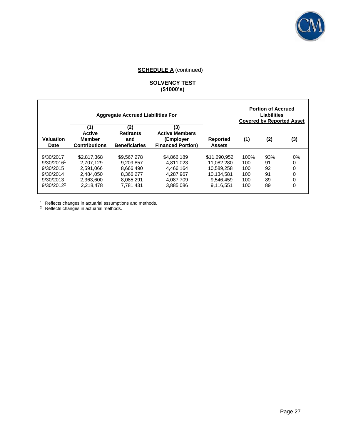

## **SOLVENCY TEST (\$1000's)**

|                          |                                                               | <b>Aggregate Accrued Liabilities For</b>               |                                                                       |                           |      | <b>Portion of Accrued</b><br><b>Liabilities</b><br><b>Covered by Reported Asset</b> |     |
|--------------------------|---------------------------------------------------------------|--------------------------------------------------------|-----------------------------------------------------------------------|---------------------------|------|-------------------------------------------------------------------------------------|-----|
| Valuation<br><b>Date</b> | (1)<br><b>Active</b><br><b>Member</b><br><b>Contributions</b> | (2)<br><b>Retirants</b><br>and<br><b>Beneficiaries</b> | (3)<br><b>Active Members</b><br>(Employer<br><b>Financed Portion)</b> | Reported<br><b>Assets</b> | (1)  | (2)                                                                                 | (3) |
| 9/30/2017 <sup>1</sup>   | \$2,817,368                                                   | \$9.567.278                                            | \$4,866,189                                                           | \$11.690.952              | 100% | 93%                                                                                 | 0%  |
| 9/30/2016 <sup>1</sup>   | 2.707.129                                                     | 9.209.857                                              | 4.811.023                                                             | 11.082.280                | 100  | 91                                                                                  | 0   |
| 9/30/2015                | 2.591.066                                                     | 8.666.490                                              | 4.466.164                                                             | 10.589.258                | 100  | 92                                                                                  | 0   |
| 9/30/2014                | 2.484.050                                                     | 8,366,277                                              | 4.287.967                                                             | 10.134.581                | 100  | 91                                                                                  | 0   |
| 9/30/2013                | 2.363.600                                                     | 8.085.291                                              | 4,087,709                                                             | 9.546.459                 | 100  | 89                                                                                  | 0   |
| $9/30/2012^2$            | 2.218.478                                                     | 7.781.431                                              | 3.885.086                                                             | 9.116.551                 | 100  | 89                                                                                  | 0   |

 $1$  Reflects changes in actuarial assumptions and methods.

<sup>2</sup> Reflects changes in actuarial methods.

П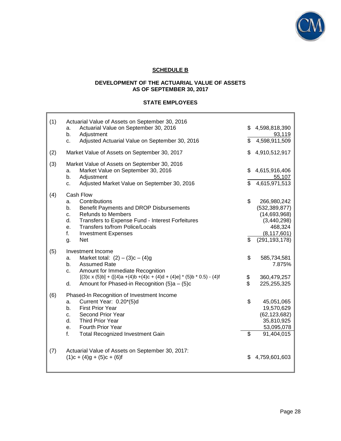

## **SCHEDULE B**

## **DEVELOPMENT OF THE ACTUARIAL VALUE OF ASSETS AS OF SEPTEMBER 30, 2017**

## **STATE EMPLOYEES**

| (1) | Actuarial Value of Assets on September 30, 2016                                          |          |                              |
|-----|------------------------------------------------------------------------------------------|----------|------------------------------|
|     | Actuarial Value on September 30, 2016<br>a.<br>b.<br>Adjustment                          |          | \$4,598,818,390<br>93,119    |
|     | Adjusted Actuarial Value on September 30, 2016<br>c.                                     | \$.      | 4,598,911,509                |
| (2) | Market Value of Assets on September 30, 2017                                             |          | \$4,910,512,917              |
| (3) | Market Value of Assets on September 30, 2016<br>Market Value on September 30, 2016<br>a. |          | \$4,615,916,406              |
|     | b.<br>Adjustment                                                                         |          | 55,107                       |
|     | Adjusted Market Value on September 30, 2016<br>c.                                        | \$       | 4,615,971,513                |
| (4) | Cash Flow                                                                                |          |                              |
|     | Contributions<br>a.                                                                      | \$       | 266,980,242                  |
|     | Benefit Payments and DROP Disbursements<br>b.                                            |          | (532, 389, 877)              |
|     | <b>Refunds to Members</b><br>c.                                                          |          | (14,693,968)                 |
|     | d.<br>Transfers to Expense Fund - Interest Forfeitures                                   |          | (3,440,298)                  |
|     | Transfers to/from Police/Locals<br>е.                                                    |          | 468,324                      |
|     | f.<br><b>Investment Expenses</b>                                                         |          | (8, 117, 601)                |
|     | <b>Net</b><br>g.                                                                         | \$       | (291, 193, 178)              |
| (5) | Investment Income                                                                        |          |                              |
|     | Market total: $(2) - (3)c - (4)g$<br>a.                                                  | \$       | 585,734,581                  |
|     | b <sub>1</sub><br><b>Assumed Rate</b>                                                    |          | 7.875%                       |
|     | Amount for Immediate Recognition<br>c.                                                   |          |                              |
|     | $[(3)c \times (5)b] + ([(4)a + (4)b + (4)c + (4)d + (4)e] * (5)b * 0.5) - (4)f$          |          | 360,479,257                  |
|     | Amount for Phased-in Recognition (5)a - (5)c<br>d.                                       | \$<br>\$ | 225,255,325                  |
|     |                                                                                          |          |                              |
| (6) | Phased-In Recognition of Investment Income                                               |          |                              |
|     | Current Year: 0.20*(5)d<br>a.<br><b>First Prior Year</b>                                 | \$       | 45,051,065                   |
|     | b.<br>Second Prior Year                                                                  |          | 19,570,629                   |
|     | C.<br>d.<br>Third Prior Year                                                             |          | (62, 123, 682)<br>35,810,925 |
|     | Fourth Prior Year<br>e.                                                                  |          | 53,095,078                   |
|     | f.<br><b>Total Recognized Investment Gain</b>                                            | \$       | 91,404,015                   |
|     |                                                                                          |          |                              |
|     |                                                                                          |          |                              |
| (7) | Actuarial Value of Assets on September 30, 2017:                                         |          |                              |
|     | $(1)c + (4)g + (5)c + (6)f$                                                              | \$.      | 4,759,601,603                |
|     |                                                                                          |          |                              |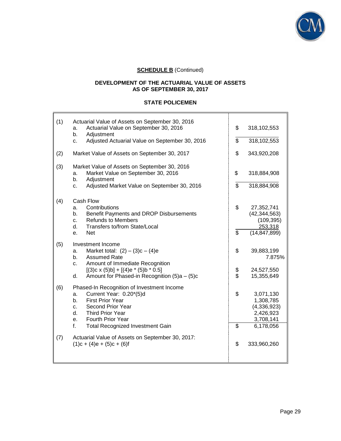

## **DEVELOPMENT OF THE ACTUARIAL VALUE OF ASSETS AS OF SEPTEMBER 30, 2017**

## **STATE POLICEMEN**

| (1) | Actuarial Value of Assets on September 30, 2016<br>Actuarial Value on September 30, 2016<br>a.<br>Adjustment<br>b.                                                                                                     | \$             | 318,102,553                                                     |
|-----|------------------------------------------------------------------------------------------------------------------------------------------------------------------------------------------------------------------------|----------------|-----------------------------------------------------------------|
|     | Adjusted Actuarial Value on September 30, 2016<br>C.                                                                                                                                                                   | \$             | 318,102,553                                                     |
| (2) | Market Value of Assets on September 30, 2017                                                                                                                                                                           | \$             | 343,920,208                                                     |
| (3) | Market Value of Assets on September 30, 2016<br>Market Value on September 30, 2016<br>a.<br>b.<br>Adjustment                                                                                                           | \$             | 318,884,908                                                     |
|     | Adjusted Market Value on September 30, 2016<br>c.                                                                                                                                                                      | \$             | 318,884,908                                                     |
| (4) | Cash Flow<br>Contributions<br>a.                                                                                                                                                                                       | \$             | 27,352,741                                                      |
|     | Benefit Payments and DROP Disbursements<br>b.<br><b>Refunds to Members</b><br>C.<br>Transfers to/from State/Local<br>d.                                                                                                |                | (42, 344, 563)<br>(109, 395)<br>253,318                         |
|     | <b>Net</b><br>е.                                                                                                                                                                                                       | \$             | (14, 847, 899)                                                  |
| (5) | Investment Income                                                                                                                                                                                                      |                |                                                                 |
|     | Market total: $(2) - (3)c - (4)e$<br>a.<br><b>Assumed Rate</b><br>$b_{1}$<br>Amount of Immediate Recognition<br>C.                                                                                                     | \$             | 39,883,199<br>7.875%                                            |
|     | $[(3)c \times (5)b] + [(4)e \times (5)b \times 0.5]$                                                                                                                                                                   | \$             | 24,527,550                                                      |
|     | Amount for Phased-in Recognition (5)a - (5)c<br>d.                                                                                                                                                                     | $\mathfrak{L}$ | 15,355,649                                                      |
| (6) | Phased-In Recognition of Investment Income<br>Current Year: 0.20*(5)d<br>a.<br><b>First Prior Year</b><br>b.<br>Second Prior Year<br>c.<br>d.<br><b>Third Prior Year</b><br><b>Fourth Prior Year</b><br>e <sub>1</sub> | \$             | 3,071,130<br>1,308,785<br>(4,336,923)<br>2,426,923<br>3,708,141 |
|     | f.<br><b>Total Recognized Investment Gain</b>                                                                                                                                                                          | \$             | 6,178,056                                                       |
| (7) | Actuarial Value of Assets on September 30, 2017:<br>$(1)c + (4)e + (5)c + (6)f$                                                                                                                                        | \$             | 333,960,260                                                     |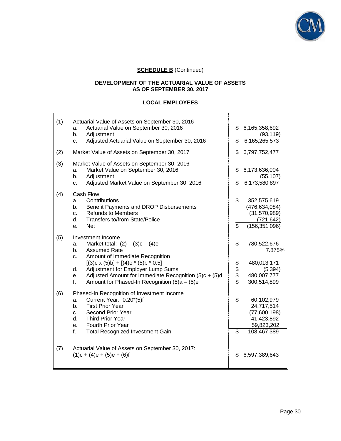

## **DEVELOPMENT OF THE ACTUARIAL VALUE OF ASSETS AS OF SEPTEMBER 30, 2017**

## **LOCAL EMPLOYEES**

| (1) | Actuarial Value of Assets on September 30, 2016<br>Actuarial Value on September 30, 2016<br>a.<br>b.<br>Adjustment<br>Adjusted Actuarial Value on September 30, 2016<br>c.                                                                                                                                                                                      | \$<br>\$       | 6,165,358,692<br>(93, 119)<br>6,165,265,573                                         |
|-----|-----------------------------------------------------------------------------------------------------------------------------------------------------------------------------------------------------------------------------------------------------------------------------------------------------------------------------------------------------------------|----------------|-------------------------------------------------------------------------------------|
| (2) | Market Value of Assets on September 30, 2017                                                                                                                                                                                                                                                                                                                    | \$             | 6,797,752,477                                                                       |
| (3) | Market Value of Assets on September 30, 2016<br>Market Value on September 30, 2016<br>a.<br>Adjustment<br>b.<br>Adjusted Market Value on September 30, 2016<br>c.                                                                                                                                                                                               | \$<br>\$       | 6,173,636,004<br>(55, 107)<br>6,173,580,897                                         |
| (4) | Cash Flow<br>Contributions<br>a.<br>Benefit Payments and DROP Disbursements<br>b.<br><b>Refunds to Members</b><br>c.<br>Transfers to/from State/Police<br>d.<br><b>Net</b><br>е.                                                                                                                                                                                | \$<br>\$       | 352,575,619<br>(476, 634, 084)<br>(31,570,989)<br>(721, 642)<br>(156, 351, 096)     |
| (5) | Investment Income<br>Market total: $(2) - (3)c - (4)e$<br>a.<br><b>Assumed Rate</b><br>$b_{-}$<br>Amount of Immediate Recognition<br>c.<br>$[(3)c \times (5)b] + [(4)e \times (5)b \times 0.5]$<br>Adjustment for Employer Lump Sums<br>d.<br>Adjusted Amount for Immediate Recognition (5)c + (5)d<br>е.<br>Amount for Phased-In Recognition (5)a - (5)e<br>f. | \$<br>\$\$\$\$ | 780,522,676<br>7.875%<br>480,013,171<br>(5, 394)<br>480,007,777<br>300,514,899      |
| (6) | Phased-In Recognition of Investment Income<br>Current Year: 0.20*(5)f<br>a.<br><b>First Prior Year</b><br>b.<br>Second Prior Year<br>c.<br>d.<br>Third Prior Year<br>Fourth Prior Year<br>e.<br><b>Total Recognized Investment Gain</b><br>f.                                                                                                                   | \$<br>\$       | 60,102,979<br>24,717,514<br>(77,600,198)<br>41,423,892<br>59,823,202<br>108,467,389 |
| (7) | Actuarial Value of Assets on September 30, 2017:<br>$(1)c + (4)e + (5)e + (6)f$                                                                                                                                                                                                                                                                                 | \$             | 6,597,389,643                                                                       |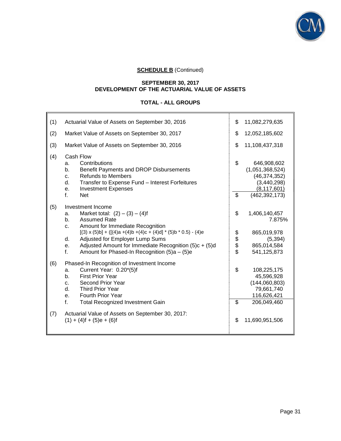

#### **SEPTEMBER 30, 2017 DEVELOPMENT OF THE ACTUARIAL VALUE OF ASSETS**

## **TOTAL - ALL GROUPS**

| (1) | Actuarial Value of Assets on September 30, 2016                                                                                                                                                                                                                                                                                                                                                                        | \$                   | 11,082,279,635                                                                                      |
|-----|------------------------------------------------------------------------------------------------------------------------------------------------------------------------------------------------------------------------------------------------------------------------------------------------------------------------------------------------------------------------------------------------------------------------|----------------------|-----------------------------------------------------------------------------------------------------|
| (2) | Market Value of Assets on September 30, 2017                                                                                                                                                                                                                                                                                                                                                                           | \$                   | 12,052,185,602                                                                                      |
| (3) | Market Value of Assets on September 30, 2016                                                                                                                                                                                                                                                                                                                                                                           | \$                   | 11,108,437,318                                                                                      |
| (4) | Cash Flow<br>Contributions<br>a.<br>Benefit Payments and DROP Disbursements<br>b.<br><b>Refunds to Members</b><br>c.<br>Transfer to Expense Fund - Interest Forfeitures<br>d.<br><b>Investment Expenses</b><br>е.<br>f.<br><b>Net</b>                                                                                                                                                                                  | \$<br>$\mathfrak{L}$ | 646,908,602<br>(1,051,368,524)<br>(46, 374, 352)<br>(3,440,298)<br>(8, 117, 601)<br>(462, 392, 173) |
| (5) | Investment Income<br>Market total: $(2) - (3) - (4)$ f<br>a.<br><b>Assumed Rate</b><br>b.<br>Amount for Immediate Recognition<br>c.<br>$[(3) \times (5) \text{b}] + ([(4) \text{a} + (4) \text{b} + (4) \text{c} + (4) \text{d}]$ * (5) b * 0.5) - (4) e<br>Adjusted for Employer Lump Sums<br>d.<br>Adjusted Amount for Immediate Recognition (5)c + (5)d<br>е.<br>f.<br>Amount for Phased-In Recognition (5)a - (5)e | \$<br>\$<br>\$\$     | 1,406,140,457<br>7.875%<br>865,019,978<br>(5, 394)<br>865,014,584<br>541,125,873                    |
| (6) | Phased-In Recognition of Investment Income<br>Current Year: 0.20*(5)f<br>a.<br><b>First Prior Year</b><br>b.<br>Second Prior Year<br>c.<br>d.<br><b>Third Prior Year</b><br><b>Fourth Prior Year</b><br>е.<br>f.<br><b>Total Recognized Investment Gain</b>                                                                                                                                                            | \$<br>\$             | 108,225,175<br>45,596,928<br>(144,060,803)<br>79,661,740<br>116,626,421<br>206,049,460              |
| (7) | Actuarial Value of Assets on September 30, 2017:<br>$(1) + (4)$ f + $(5)$ e + $(6)$ f                                                                                                                                                                                                                                                                                                                                  | \$                   | 11,690,951,506                                                                                      |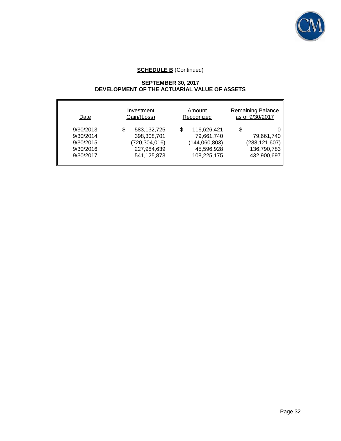

#### **SEPTEMBER 30, 2017 DEVELOPMENT OF THE ACTUARIAL VALUE OF ASSETS**

| Investment<br>Gain/(Loss)<br>Date                             |                                                                                   | Amount<br>Recognized                                                         | Remaining Balance<br>as of 9/30/2017                              |  |
|---------------------------------------------------------------|-----------------------------------------------------------------------------------|------------------------------------------------------------------------------|-------------------------------------------------------------------|--|
| 9/30/2013<br>9/30/2014<br>9/30/2015<br>9/30/2016<br>9/30/2017 | 583,132,725<br>\$<br>398,308,701<br>(720, 304, 016)<br>227,984,639<br>541,125,873 | 116,626,421<br>S<br>79,661,740<br>(144,060,803)<br>45,596,928<br>108,225,175 | \$<br>79,661,740<br>(288, 121, 607)<br>136,790,783<br>432,900,697 |  |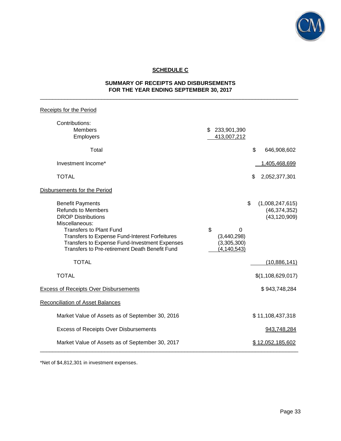

# **SCHEDULE C**

#### **SUMMARY OF RECEIPTS AND DISBURSEMENTS FOR THE YEAR ENDING SEPTEMBER 30, 2017** \_\_\_\_\_\_\_\_\_\_\_\_\_\_\_\_\_\_\_\_\_\_\_\_\_\_\_\_\_\_\_\_\_\_\_\_\_\_\_\_\_\_\_\_\_\_\_\_\_\_\_\_\_\_\_\_\_\_\_\_\_\_\_\_\_\_\_\_\_\_\_\_\_\_\_\_\_\_\_\_\_\_\_\_

| Receipts for the Period                                                                                                                                                                                                                                                                           |                                                        |    |                                                     |
|---------------------------------------------------------------------------------------------------------------------------------------------------------------------------------------------------------------------------------------------------------------------------------------------------|--------------------------------------------------------|----|-----------------------------------------------------|
| Contributions:<br><b>Members</b><br>Employers                                                                                                                                                                                                                                                     | \$ 233,901,390<br>413,007,212                          |    |                                                     |
| Total                                                                                                                                                                                                                                                                                             |                                                        | \$ | 646,908,602                                         |
| Investment Income*                                                                                                                                                                                                                                                                                |                                                        |    | 1,405,468,699                                       |
| <b>TOTAL</b>                                                                                                                                                                                                                                                                                      |                                                        | \$ | 2,052,377,301                                       |
| Disbursements for the Period                                                                                                                                                                                                                                                                      |                                                        |    |                                                     |
| <b>Benefit Payments</b><br><b>Refunds to Members</b><br><b>DROP Distributions</b><br>Miscellaneous:<br><b>Transfers to Plant Fund</b><br>Transfers to Expense Fund-Interest Forfeitures<br>Transfers to Expense Fund-Investment Expenses<br><b>Transfers to Pre-retirement Death Benefit Fund</b> | \$<br>0<br>(3,440,298)<br>(3,305,300)<br>(4, 140, 543) | \$ | (1,008,247,615)<br>(46, 374, 352)<br>(43, 120, 909) |
| <b>TOTAL</b>                                                                                                                                                                                                                                                                                      |                                                        |    | (10,886,141)                                        |
| <b>TOTAL</b>                                                                                                                                                                                                                                                                                      |                                                        |    | \$(1,108,629,017)                                   |
| <b>Excess of Receipts Over Disbursements</b>                                                                                                                                                                                                                                                      |                                                        |    | \$943,748,284                                       |
| <b>Reconciliation of Asset Balances</b>                                                                                                                                                                                                                                                           |                                                        |    |                                                     |
| Market Value of Assets as of September 30, 2016                                                                                                                                                                                                                                                   |                                                        |    | \$11,108,437,318                                    |
| <b>Excess of Receipts Over Disbursements</b>                                                                                                                                                                                                                                                      |                                                        |    | 943,748,284                                         |
| Market Value of Assets as of September 30, 2017                                                                                                                                                                                                                                                   |                                                        |    | \$12,052,185,602                                    |

\*Net of \$4,812,301 in investment expenses.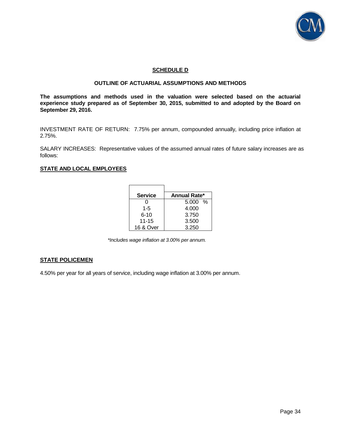

#### **SCHEDULE D**

#### **OUTLINE OF ACTUARIAL ASSUMPTIONS AND METHODS**

**The assumptions and methods used in the valuation were selected based on the actuarial experience study prepared as of September 30, 2015, submitted to and adopted by the Board on September 29, 2016.** 

INVESTMENT RATE OF RETURN: 7.75% per annum, compounded annually, including price inflation at 2.75%.

SALARY INCREASES: Representative values of the assumed annual rates of future salary increases are as follows:

#### **STATE AND LOCAL EMPLOYEES**

| <b>Service</b> | Annual Rate* |
|----------------|--------------|
| 0              | $5.000\%$    |
| $1 - 5$        | 4.000        |
| $6 - 10$       | 3.750        |
| $11 - 15$      | 3.500        |
| 16 & Over      | 3.250        |

*\*Includes wage inflation at 3.00% per annum.* 

#### **STATE POLICEMEN**

4.50% per year for all years of service, including wage inflation at 3.00% per annum.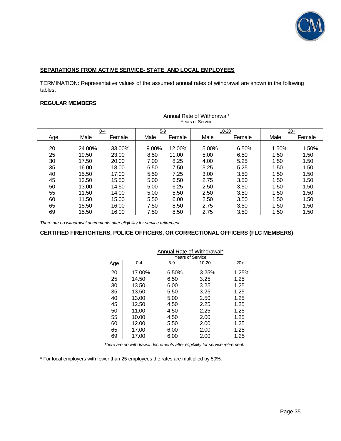

#### **SEPARATIONS FROM ACTIVE SERVICE- STATE AND LOCAL EMPLOYEES**

TERMINATION: Representative values of the assumed annual rates of withdrawal are shown in the following tables:

#### **REGULAR MEMBERS**

|     |         |        |       |        | <b>Years of Service</b> |        |       |        |
|-----|---------|--------|-------|--------|-------------------------|--------|-------|--------|
|     | $0 - 4$ |        | $5-9$ |        |                         | 10-20  | $20+$ |        |
| Age | Male    | Female | Male  | Female | Male                    | Female | Male  | Female |
| 20  | 24.00%  | 33.00% | 9.00% | 12.00% | 5.00%                   | 6.50%  | 1.50% | 1.50%  |
| 25  | 19.50   | 23.00  | 8.50  | 11.00  | 5.00                    | 6.50   | 1.50  | 1.50   |
| 30  | 17.50   | 20.00  | 7.00  | 8.25   | 4.00                    | 5.25   | 1.50  | 1.50   |
| 35  | 16.00   | 18.00  | 6.50  | 7.50   | 3.25                    | 5.25   | 1.50  | 1.50   |
| 40  | 15.50   | 17.00  | 5.50  | 7.25   | 3.00                    | 3.50   | 1.50  | 1.50   |
| 45  | 13.50   | 15.50  | 5.00  | 6.50   | 2.75                    | 3.50   | 1.50  | 1.50   |
| 50  | 13.00   | 14.50  | 5.00  | 6.25   | 2.50                    | 3.50   | 1.50  | 1.50   |
| 55  | 11.50   | 14.00  | 5.00  | 5.50   | 2.50                    | 3.50   | 1.50  | 1.50   |
| 60  | 11.50   | 15.00  | 5.50  | 6.00   | 2.50                    | 3.50   | 1.50  | 1.50   |
| 65  | 15.50   | 16.00  | 7.50  | 8.50   | 2.75                    | 3.50   | 1.50  | 1.50   |
| 69  | 15.50   | 16.00  | 7.50  | 8.50   | 2.75                    | 3.50   | 1.50  | 1.50   |

Annual Rate of Withdrawal\*

*There are no withdrawal decrements after eligibility for service retirement.* 

#### **CERTIFIED FIREFIGHTERS, POLICE OFFICERS, OR CORRECTIONAL OFFICERS (FLC MEMBERS)**

|     | Annual Rate of Withdrawal* |            |       |       |  |  |
|-----|----------------------------|------------|-------|-------|--|--|
|     | <b>Years of Service</b>    |            |       |       |  |  |
| Age | 0-4                        | <u>5-9</u> | 10-20 | $20+$ |  |  |
| 20  | 17.00%                     | 6.50%      | 3.25% | 1.25% |  |  |
| 25  | 14.50                      | 6.50       | 3.25  | 1.25  |  |  |
| 30  | 13.50                      | 6.00       | 3.25  | 1.25  |  |  |
| 35  | 13.50                      | 5.50       | 3.25  | 1.25  |  |  |
| 40  | 13.00                      | 5.00       | 2.50  | 1.25  |  |  |
| 45  | 12.50                      | 4.50       | 2.25  | 1.25  |  |  |
| 50  | 11.00                      | 4.50       | 2.25  | 1.25  |  |  |
| 55  | 10.00                      | 4.50       | 2.00  | 1.25  |  |  |
| 60  | 12.00                      | 5.50       | 2.00  | 1.25  |  |  |
| 65  | 17.00                      | 6.00       | 2.00  | 1.25  |  |  |
| 69  | 17.00                      | 6.00       | 2.00  | 1.25  |  |  |

*There are no withdrawal decrements after eligibility for service retirement.* 

\* For local employers with fewer than 25 employees the rates are multiplied by 50%.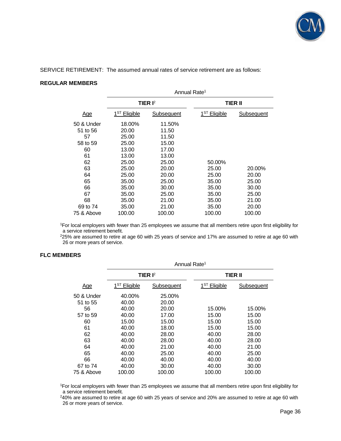

SERVICE RETIREMENT: The assumed annual rates of service retirement are as follows:

### **REGULAR MEMBERS**

|                        | Annual Rate <sup>1</sup> |                     |                          |                   |  |
|------------------------|--------------------------|---------------------|--------------------------|-------------------|--|
|                        |                          | TIER I <sup>2</sup> |                          | TIER II           |  |
| <u>Age</u>             | 1 <sup>ST</sup> Eligible | <b>Subsequent</b>   | 1 <sup>ST</sup> Eligible | <b>Subsequent</b> |  |
| 50 & Under<br>51 to 56 | 18.00%<br>20.00          | 11.50%<br>11.50     |                          |                   |  |
| 57<br>58 to 59         | 25.00<br>25.00           | 11.50<br>15.00      |                          |                   |  |
| 60<br>61               | 13.00<br>13.00           | 17.00<br>13.00      |                          |                   |  |
| 62<br>63               | 25.00<br>25.00           | 25.00<br>20.00      | 50.00%<br>25.00          | 20.00%            |  |
| 64<br>65               | 25.00<br>35.00           | 20.00<br>25.00      | 25.00<br>35.00           | 20.00<br>25.00    |  |
| 66<br>67               | 35.00<br>35.00           | 30.00<br>25.00      | 35.00<br>35.00           | 30.00<br>25.00    |  |
| 68<br>69 to 74         | 35.00<br>35.00           | 21.00<br>21.00      | 35.00<br>35.00           | 21.00<br>20.00    |  |
| 75 & Above             | 100.00                   | 100.00              | 100.00                   | 100.00            |  |

<sup>1</sup>For local employers with fewer than 25 employees we assume that all members retire upon first eligibility for a service retirement benefit.

<sup>2</sup>25% are assumed to retire at age 60 with 25 years of service and 17% are assumed to retire at age 60 with 26 or more years of service.

#### **FLC MEMBERS**

|            | Annual Rate <sup>1</sup> |            |                          |                |  |
|------------|--------------------------|------------|--------------------------|----------------|--|
|            |                          | TIER $I2$  |                          | <b>TIER II</b> |  |
| <u>Age</u> | 1 <sup>ST</sup> Eligible | Subsequent | 1 <sup>ST</sup> Eligible | Subsequent     |  |
| 50 & Under | 40.00%                   | 25.00%     |                          |                |  |
| 51 to 55   | 40.00                    | 20.00      |                          |                |  |
| 56         | 40.00                    | 20.00      | 15.00%                   | 15.00%         |  |
| 57 to 59   | 40.00                    | 17.00      | 15.00                    | 15.00          |  |
| 60         | 15.00                    | 15.00      | 15.00                    | 15.00          |  |
| 61         | 40.00                    | 18.00      | 15.00                    | 15.00          |  |
| 62         | 40.00                    | 28.00      | 40.00                    | 28.00          |  |
| 63         | 40.00                    | 28.00      | 40.00                    | 28.00          |  |
| 64         | 40.00                    | 21.00      | 40.00                    | 21.00          |  |
| 65         | 40.00                    | 25.00      | 40.00                    | 25.00          |  |
| 66         | 40.00                    | 40.00      | 40.00                    | 40.00          |  |
| 67 to 74   | 40.00                    | 30.00      | 40.00                    | 30.00          |  |
| 75 & Above | 100.00                   | 100.00     | 100.00                   | 100.00         |  |

<sup>1</sup>For local employers with fewer than 25 employees we assume that all members retire upon first eligibility for a service retirement benefit.

<sup>2</sup>40% are assumed to retire at age 60 with 25 years of service and 20% are assumed to retire at age 60 with 26 or more years of service.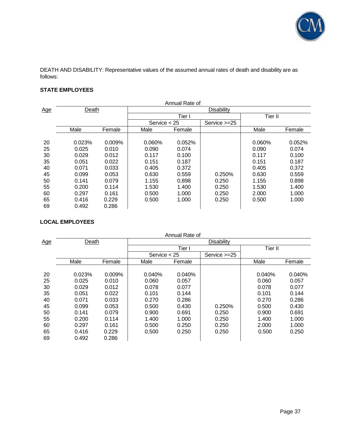

DEATH AND DISABILITY: Representative values of the assumed annual rates of death and disability are as follows:

# **STATE EMPLOYEES**

|            | Annual Rate of |        |                |        |                   |         |        |
|------------|----------------|--------|----------------|--------|-------------------|---------|--------|
| <u>Age</u> | Death          |        |                |        | <b>Disability</b> |         |        |
|            |                |        |                | Tier I |                   | Tier II |        |
|            |                |        | Service $<$ 25 |        | Service >=25      |         |        |
|            | Male           | Female | Male           | Female |                   | Male    | Female |
|            |                |        |                |        |                   |         |        |
| 20         | 0.023%         | 0.009% | 0.060%         | 0.052% |                   | 0.060%  | 0.052% |
| 25         | 0.025          | 0.010  | 0.090          | 0.074  |                   | 0.090   | 0.074  |
| 30         | 0.029          | 0.012  | 0.117          | 0.100  |                   | 0.117   | 0.100  |
| 35         | 0.051          | 0.022  | 0.151          | 0.187  |                   | 0.151   | 0.187  |
| 40         | 0.071          | 0.033  | 0.405          | 0.372  |                   | 0.405   | 0.372  |
| 45         | 0.099          | 0.053  | 0.630          | 0.559  | 0.250%            | 0.630   | 0.559  |
| 50         | 0.141          | 0.079  | 1.155          | 0.898  | 0.250             | 1.155   | 0.898  |
| 55         | 0.200          | 0.114  | 1.530          | 1.400  | 0.250             | 1.530   | 1.400  |
| 60         | 0.297          | 0.161  | 0.500          | 1.000  | 0.250             | 2.000   | 1.000  |
| 65         | 0.416          | 0.229  | 0.500          | 1.000  | 0.250             | 0.500   | 1.000  |
| 69         | 0.492          | 0.286  |                |        |                   |         |        |

# **LOCAL EMPLOYEES**

|            | Annual Rate of |        |                |        |                   |         |        |  |
|------------|----------------|--------|----------------|--------|-------------------|---------|--------|--|
| <u>Age</u> | <b>Death</b>   |        |                |        | <b>Disability</b> |         |        |  |
|            |                |        |                | Tier I |                   | Tier II |        |  |
|            |                |        | Service $<$ 25 |        | Service $>=25$    |         |        |  |
|            | Male           | Female | Male           | Female |                   | Male    | Female |  |
|            |                |        |                |        |                   |         |        |  |
| 20         | 0.023%         | 0.009% | 0.040%         | 0.040% |                   | 0.040%  | 0.040% |  |
| 25         | 0.025          | 0.010  | 0.060          | 0.057  |                   | 0.060   | 0.057  |  |
| 30         | 0.029          | 0.012  | 0.078          | 0.077  |                   | 0.078   | 0.077  |  |
| 35         | 0.051          | 0.022  | 0.101          | 0.144  |                   | 0.101   | 0.144  |  |
| 40         | 0.071          | 0.033  | 0.270          | 0.286  |                   | 0.270   | 0.286  |  |
| 45         | 0.099          | 0.053  | 0.500          | 0.430  | 0.250%            | 0.500   | 0.430  |  |
| 50         | 0.141          | 0.079  | 0.900          | 0.691  | 0.250             | 0.900   | 0.691  |  |
| 55         | 0.200          | 0.114  | 1.400          | 1.000  | 0.250             | 1.400   | 1.000  |  |
| 60         | 0.297          | 0.161  | 0.500          | 0.250  | 0.250             | 2.000   | 1.000  |  |
| 65         | 0.416          | 0.229  | 0.500          | 0.250  | 0.250             | 0.500   | 0.250  |  |
| 69         | 0.492          | 0.286  |                |        |                   |         |        |  |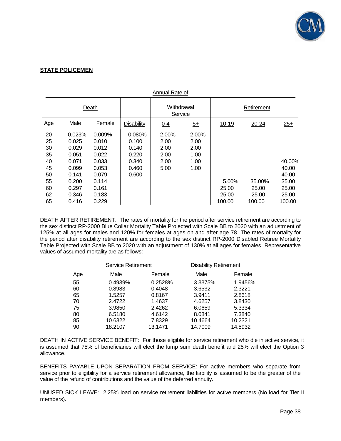

#### **STATE POLICEMEN**

|                                                                | Annual Rate of                                                                                   |                                                                                                  |                                                              |                                               |                                               |                                   |                                    |                                                               |
|----------------------------------------------------------------|--------------------------------------------------------------------------------------------------|--------------------------------------------------------------------------------------------------|--------------------------------------------------------------|-----------------------------------------------|-----------------------------------------------|-----------------------------------|------------------------------------|---------------------------------------------------------------|
|                                                                | Death                                                                                            |                                                                                                  |                                                              | Withdrawal<br>Service                         |                                               | Retirement                        |                                    |                                                               |
| Age                                                            | Male                                                                                             | Female                                                                                           | <b>Disability</b>                                            | 0-4                                           | $\overline{5+}$                               | $10 - 19$                         | 20-24                              | $25+$                                                         |
| 20<br>25<br>30<br>35<br>40<br>45<br>50<br>55<br>60<br>62<br>65 | 0.023%<br>0.025<br>0.029<br>0.051<br>0.071<br>0.099<br>0.141<br>0.200<br>0.297<br>0.346<br>0.416 | 0.009%<br>0.010<br>0.012<br>0.022<br>0.033<br>0.053<br>0.079<br>0.114<br>0.161<br>0.183<br>0.229 | 0.080%<br>0.100<br>0.140<br>0.220<br>0.340<br>0.460<br>0.600 | 2.00%<br>2.00<br>2.00<br>2.00<br>2.00<br>5.00 | 2.00%<br>2.00<br>2.00<br>1.00<br>1.00<br>1.00 | 5.00%<br>25.00<br>25.00<br>100.00 | 35.00%<br>25.00<br>25.00<br>100.00 | 40.00%<br>40.00<br>40.00<br>35.00<br>25.00<br>25.00<br>100.00 |

DEATH AFTER RETIREMENT: The rates of mortality for the period after service retirement are according to the sex distinct RP-2000 Blue Collar Mortality Table Projected with Scale BB to 2020 with an adjustment of 125% at all ages for males and 120% for females at ages on and after age 78. The rates of mortality for the period after disability retirement are according to the sex distinct RP-2000 Disabled Retiree Mortality Table Projected with Scale BB to 2020 with an adjustment of 130% at all ages for females. Representative values of assumed mortality are as follows:

|            | <b>Service Retirement</b> |         | <b>Disability Retirement</b> |         |
|------------|---------------------------|---------|------------------------------|---------|
| <u>Age</u> | Male                      | Female  | Male                         | Female  |
| 55         | 0.4939%                   | 0.2528% | 3.3375%                      | 1.9456% |
| 60         | 0.8983                    | 0.4048  | 3.6532                       | 2.3221  |
| 65         | 1.5257                    | 0.8167  | 3.9411                       | 2.8618  |
| 70         | 2.4722                    | 1.4637  | 4.6257                       | 3.8430  |
| 75         | 3.9850                    | 2.4262  | 6.0659                       | 5.3334  |
| 80         | 6.5180                    | 4.6142  | 8.0841                       | 7.3840  |
| 85         | 10.6322                   | 7.8329  | 10.4664                      | 10.2321 |
| 90         | 18.2107                   | 13.1471 | 14.7009                      | 14.5932 |

DEATH IN ACTIVE SERVICE BENEFIT: For those eligible for service retirement who die in active service, it is assumed that 75% of beneficiaries will elect the lump sum death benefit and 25% will elect the Option 3 allowance.

BENEFITS PAYABLE UPON SEPARATION FROM SERVICE: For active members who separate from service prior to eligibility for a service retirement allowance, the liability is assumed to be the greater of the value of the refund of contributions and the value of the deferred annuity.

UNUSED SICK LEAVE: 2.25% load on service retirement liabilities for active members (No load for Tier II members).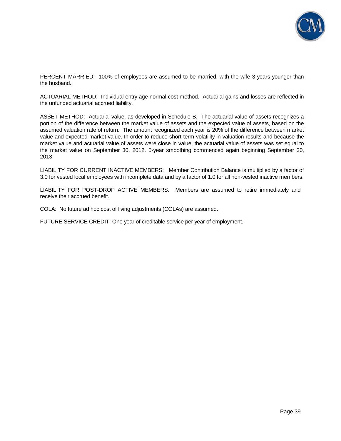

PERCENT MARRIED: 100% of employees are assumed to be married, with the wife 3 years younger than the husband.

ACTUARIAL METHOD: Individual entry age normal cost method. Actuarial gains and losses are reflected in the unfunded actuarial accrued liability.

ASSET METHOD: Actuarial value, as developed in Schedule B. The actuarial value of assets recognizes a portion of the difference between the market value of assets and the expected value of assets, based on the assumed valuation rate of return. The amount recognized each year is 20% of the difference between market value and expected market value. In order to reduce short-term volatility in valuation results and because the market value and actuarial value of assets were close in value, the actuarial value of assets was set equal to the market value on September 30, 2012. 5-year smoothing commenced again beginning September 30, 2013.

LIABILITY FOR CURRENT INACTIVE MEMBERS: Member Contribution Balance is multiplied by a factor of 3.0 for vested local employees with incomplete data and by a factor of 1.0 for all non-vested inactive members.

LIABILITY FOR POST-DROP ACTIVE MEMBERS: Members are assumed to retire immediately and receive their accrued benefit.

COLA: No future ad hoc cost of living adjustments (COLAs) are assumed.

FUTURE SERVICE CREDIT: One year of creditable service per year of employment.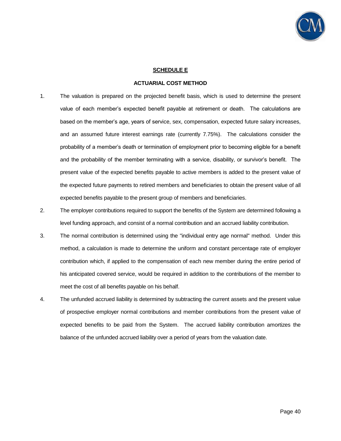

#### **SCHEDULE E**

#### **ACTUARIAL COST METHOD**

- 1. The valuation is prepared on the projected benefit basis, which is used to determine the present value of each member's expected benefit payable at retirement or death. The calculations are based on the member's age, years of service, sex, compensation, expected future salary increases, and an assumed future interest earnings rate (currently 7.75%). The calculations consider the probability of a member's death or termination of employment prior to becoming eligible for a benefit and the probability of the member terminating with a service, disability, or survivor's benefit. The present value of the expected benefits payable to active members is added to the present value of the expected future payments to retired members and beneficiaries to obtain the present value of all expected benefits payable to the present group of members and beneficiaries.
- 2. The employer contributions required to support the benefits of the System are determined following a level funding approach, and consist of a normal contribution and an accrued liability contribution.
- 3. The normal contribution is determined using the "individual entry age normal" method. Under this method, a calculation is made to determine the uniform and constant percentage rate of employer contribution which, if applied to the compensation of each new member during the entire period of his anticipated covered service, would be required in addition to the contributions of the member to meet the cost of all benefits payable on his behalf.
- 4. The unfunded accrued liability is determined by subtracting the current assets and the present value of prospective employer normal contributions and member contributions from the present value of expected benefits to be paid from the System. The accrued liability contribution amortizes the balance of the unfunded accrued liability over a period of years from the valuation date.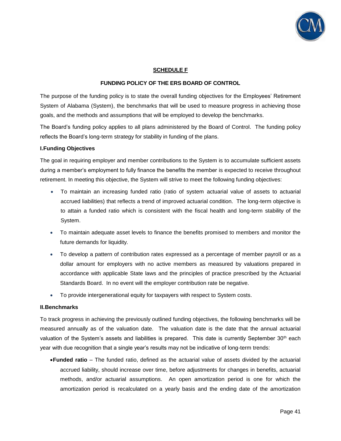

#### **SCHEDULE F**

#### **FUNDING POLICY OF THE ERS BOARD OF CONTROL**

The purpose of the funding policy is to state the overall funding objectives for the Employees' Retirement System of Alabama (System), the benchmarks that will be used to measure progress in achieving those goals, and the methods and assumptions that will be employed to develop the benchmarks.

The Board's funding policy applies to all plans administered by the Board of Control. The funding policy reflects the Board's long-term strategy for stability in funding of the plans.

#### **I. Funding Objectives**

The goal in requiring employer and member contributions to the System is to accumulate sufficient assets during a member's employment to fully finance the benefits the member is expected to receive throughout retirement. In meeting this objective, the System will strive to meet the following funding objectives:

- To maintain an increasing funded ratio (ratio of system actuarial value of assets to actuarial accrued liabilities) that reflects a trend of improved actuarial condition. The long-term objective is to attain a funded ratio which is consistent with the fiscal health and long-term stability of the System.
- To maintain adequate asset levels to finance the benefits promised to members and monitor the future demands for liquidity.
- To develop a pattern of contribution rates expressed as a percentage of member payroll or as a dollar amount for employers with no active members as measured by valuations prepared in accordance with applicable State laws and the principles of practice prescribed by the Actuarial Standards Board. In no event will the employer contribution rate be negative.
- To provide intergenerational equity for taxpayers with respect to System costs.

#### **II. Benchmarks**

To track progress in achieving the previously outlined funding objectives, the following benchmarks will be measured annually as of the valuation date. The valuation date is the date that the annual actuarial valuation of the System's assets and liabilities is prepared. This date is currently September  $30<sup>th</sup>$  each year with due recognition that a single year's results may not be indicative of long-term trends:

**Funded ratio** – The funded ratio, defined as the actuarial value of assets divided by the actuarial accrued liability, should increase over time, before adjustments for changes in benefits, actuarial methods, and/or actuarial assumptions. An open amortization period is one for which the amortization period is recalculated on a yearly basis and the ending date of the amortization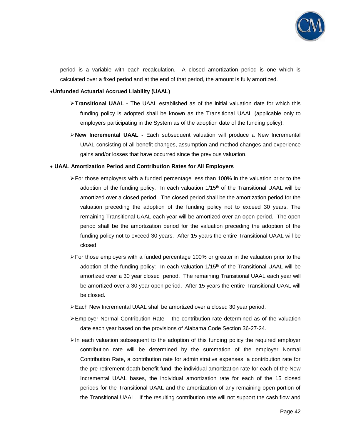

period is a variable with each recalculation. A closed amortization period is one which is calculated over a fixed period and at the end of that period, the amount is fully amortized.

#### **Unfunded Actuarial Accrued Liability (UAAL)**

- **Transitional UAAL -** The UAAL established as of the initial valuation date for which this funding policy is adopted shall be known as the Transitional UAAL (applicable only to employers participating in the System as of the adoption date of the funding policy).
- **New Incremental UAAL -** Each subsequent valuation will produce a New Incremental UAAL consisting of all benefit changes, assumption and method changes and experience gains and/or losses that have occurred since the previous valuation.

#### **UAAL Amortization Period and Contribution Rates for All Employers**

- $\triangleright$  For those employers with a funded percentage less than 100% in the valuation prior to the adoption of the funding policy: In each valuation  $1/15<sup>th</sup>$  of the Transitional UAAL will be amortized over a closed period. The closed period shall be the amortization period for the valuation preceding the adoption of the funding policy not to exceed 30 years. The remaining Transitional UAAL each year will be amortized over an open period. The open period shall be the amortization period for the valuation preceding the adoption of the funding policy not to exceed 30 years. After 15 years the entire Transitional UAAL will be closed.
- For those employers with a funded percentage 100% or greater in the valuation prior to the adoption of the funding policy: In each valuation  $1/15<sup>th</sup>$  of the Transitional UAAL will be amortized over a 30 year closed period. The remaining Transitional UAAL each year will be amortized over a 30 year open period. After 15 years the entire Transitional UAAL will be closed.
- Each New Incremental UAAL shall be amortized over a closed 30 year period.
- $\triangleright$  Employer Normal Contribution Rate the contribution rate determined as of the valuation date each year based on the provisions of Alabama Code Section 36-27-24.
- $\triangleright$  In each valuation subsequent to the adoption of this funding policy the required employer contribution rate will be determined by the summation of the employer Normal Contribution Rate, a contribution rate for administrative expenses, a contribution rate for the pre-retirement death benefit fund, the individual amortization rate for each of the New Incremental UAAL bases, the individual amortization rate for each of the 15 closed periods for the Transitional UAAL and the amortization of any remaining open portion of the Transitional UAAL. If the resulting contribution rate will not support the cash flow and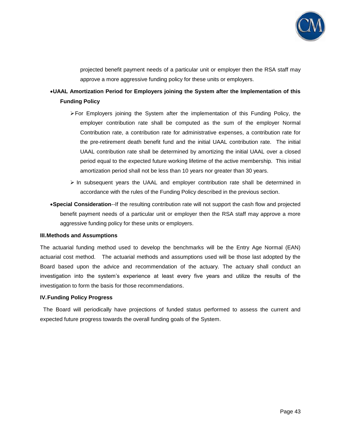

projected benefit payment needs of a particular unit or employer then the RSA staff may approve a more aggressive funding policy for these units or employers.

# **UAAL Amortization Period for Employers joining the System after the Implementation of this Funding Policy**

- $\triangleright$  For Employers joining the System after the implementation of this Funding Policy, the employer contribution rate shall be computed as the sum of the employer Normal Contribution rate, a contribution rate for administrative expenses, a contribution rate for the pre-retirement death benefit fund and the initial UAAL contribution rate. The initial UAAL contribution rate shall be determined by amortizing the initial UAAL over a closed period equal to the expected future working lifetime of the active membership. This initial amortization period shall not be less than 10 years nor greater than 30 years.
- $\triangleright$  In subsequent years the UAAL and employer contribution rate shall be determined in accordance with the rules of the Funding Policy described in the previous section.
- **Special Consideration**--If the resulting contribution rate will not support the cash flow and projected benefit payment needs of a particular unit or employer then the RSA staff may approve a more aggressive funding policy for these units or employers.

#### **III. Methods and Assumptions**

The actuarial funding method used to develop the benchmarks will be the Entry Age Normal (EAN) actuarial cost method. The actuarial methods and assumptions used will be those last adopted by the Board based upon the advice and recommendation of the actuary. The actuary shall conduct an investigation into the system's experience at least every five years and utilize the results of the investigation to form the basis for those recommendations.

#### **IV. Funding Policy Progress**

 The Board will periodically have projections of funded status performed to assess the current and expected future progress towards the overall funding goals of the System.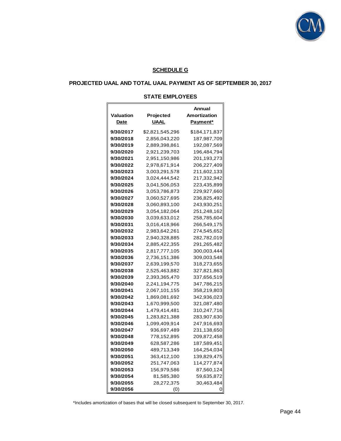

#### **SCHEDULE G**

# **PROJECTED UAAL AND TOTAL UAAL PAYMENT AS OF SEPTEMBER 30, 2017**

#### **STATE EMPLOYEES**

| Valuation<br>Date | Projected<br>UAAL | Annual<br>Amortization<br>Payment* |
|-------------------|-------------------|------------------------------------|
| 9/30/2017         | \$2,821,545,296   | \$184,171,837                      |
| 9/30/2018         | 2,856,043,220     | 187,987,709                        |
| 9/30/2019         | 2,889,398,861     | 192,087,569                        |
| 9/30/2020         | 2,921,239,703     | 196,484,794                        |
| 9/30/2021         | 2,951,150,986     | 201,193,273                        |
| 9/30/2022         | 2,978,671,914     | 206,227,409                        |
| 9/30/2023         | 3,003,291,578     | 211,602,133                        |
| 9/30/2024         | 3,024,444,542     | 217,332,942                        |
| 9/30/2025         | 3,041,506,053     | 223,435,899                        |
| 9/30/2026         | 3,053,786,873     | 229,927,660                        |
| 9/30/2027         | 3,060,527,695     | 236,825,492                        |
| 9/30/2028         | 3,060,893,100     | 243,930,251                        |
| 9/30/2029         | 3,054,182,064     | 251,248,162                        |
| 9/30/2030         | 3,039,633,012     | 258,785,604                        |
| 9/30/2031         | 3,016,418,966     | 266,549,175                        |
| 9/30/2032         | 2,983,642,261     | 274,545,652                        |
| 9/30/2033         | 2,940,328,885     | 282,782,019                        |
| 9/30/2034         | 2,885,422,355     | 291,265,482                        |
| 9/30/2035         | 2,817,777,105     | 300,003,444                        |
| 9/30/2036         | 2,736,151,386     | 309,003,548                        |
| 9/30/2037         | 2,639,199,570     | 318,273,655                        |
| 9/30/2038         | 2,525,463,882     | 327,821,863                        |
| 9/30/2039         | 2,393,365,470     | 337,656,519                        |
| 9/30/2040         | 2,241,194,775     | 347,786,215                        |
| 9/30/2041         | 2,067,101,155     | 358,219,803                        |
| 9/30/2042         | 1,869,081,692     | 342,936,023                        |
| 9/30/2043         | 1,670,999,500     | 321,087,480                        |
| 9/30/2044         | 1,479,414,481     | 310,247,716                        |
| 9/30/2045         | 1,283,821,388     | 283,907,630                        |
| 9/30/2046         | 1,099,409,914     | 247,916,693                        |
| 9/30/2047         | 936,697,489       | 231,138,650                        |
| 9/30/2048         | 778,152,895       | 209,872,458                        |
| 9/30/2049         | 628,587,286       | 187,589,451                        |
| 9/30/2050         | 489,713,349       | 164,254,034                        |
| 9/30/2051         | 363,412,100       | 139,829,475                        |
| 9/30/2052         | 251,747,063       | 114,277,874                        |
| 9/30/2053         | 156,979,586       | 87,560,124                         |
| 9/30/2054         | 81,585,380        | 59,635,872                         |
| 9/30/2055         | 28,272,375        | 30,463,484                         |
| 9/30/2056         | (0)               | O                                  |

\*Includes amortization of bases that will be closed subsequent to September 30, 2017.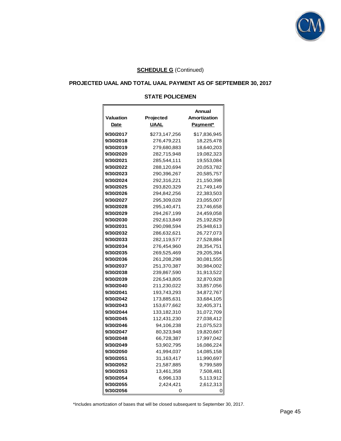

# **PROJECTED UAAL AND TOTAL UAAL PAYMENT AS OF SEPTEMBER 30, 2017**

#### **STATE POLICEMEN**

| <b>Valuation</b><br>Date | Projected<br><b>UAAL</b> | Annual<br>Amortization<br>Payment* |
|--------------------------|--------------------------|------------------------------------|
|                          |                          |                                    |
| 9/30/2017                | \$273,147,256            | \$17,836,945                       |
| 9/30/2018                | 276,479,221              | 18,225,478                         |
| 9/30/2019                | 279,680,883              | 18,640,203                         |
| 9/30/2020                | 282,715,948              | 19,082,323                         |
| 9/30/2021                | 285,544,111              | 19,553,084                         |
| 9/30/2022                | 288,120,694              | 20,053,782                         |
| 9/30/2023                | 290,396,267              | 20,585,757                         |
| 9/30/2024                | 292,316,221              | 21,150,398                         |
| 9/30/2025                | 293,820,329              | 21,749,149                         |
| 9/30/2026                | 294,842,256              | 22,383,503                         |
| 9/30/2027                | 295,309,028              | 23,055,007                         |
| 9/30/2028                | 295,140,471              | 23,746,658                         |
| 9/30/2029                | 294,267,199              | 24,459,058                         |
| 9/30/2030                | 292,613,849              | 25,192,829                         |
| 9/30/2031                | 290,098,594              | 25,948,613                         |
| 9/30/2032                | 286,632,621              | 26,727,073                         |
| 9/30/2033                | 282,119,577              | 27,528,884                         |
| 9/30/2034                | 276,454,960              | 28,354,751                         |
| 9/30/2035                | 269,525,469              | 29,205,394                         |
| 9/30/2036                | 261,208,298              | 30,081,555                         |
| 9/30/2037                | 251,370,387              | 30,984,002                         |
| 9/30/2038                | 239,867,590              | 31,913,522                         |
| 9/30/2039                | 226,543,805              | 32,870,928                         |
| 9/30/2040                | 211,230,022              | 33,857,056                         |
| 9/30/2041                | 193,743,293              | 34,872,767                         |
| 9/30/2042                | 173,885,631              | 33,684,105                         |
| 9/30/2043                | 153,677,662              | 32,405,371                         |
| 9/30/2044                | 133,182,310              | 31,072,709                         |
| 9/30/2045                | 112,431,230              | 27,038,412                         |
| 9/30/2046                | 94,106,238               | 21,075,523                         |
| 9/30/2047                | 80,323,948               | 19,820,667                         |
| 9/30/2048                | 66,728,387               | 17,997,042                         |
| 9/30/2049                | 53,902,795               | 16,086,224                         |
| 9/30/2050                | 41,994,037               | 14,085,158                         |
| 9/30/2051                | 31,163,417               | 11,990,697                         |
| 9/30/2052                | 21,587,885               | 9,799,589                          |
| 9/30/2053                | 13,461,358               | 7,508,481                          |
| 9/30/2054                | 6,996,133                | 5,113,912                          |
| 9/30/2055                | 2,424,421                | 2,612,313                          |
| 9/30/2056                | O                        |                                    |

\*Includes amortization of bases that will be closed subsequent to September 30, 2017.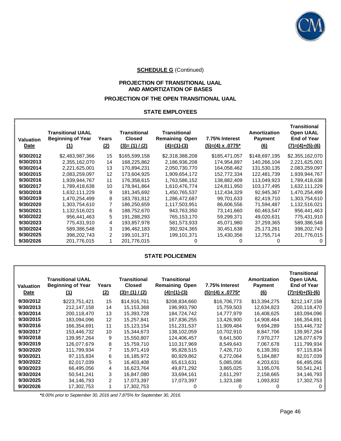

# **PROJECTION OF TRANSITIONAL UAAL AND AMORTIZATION OF BASES**

# **PROJECTION OF THE OPEN TRANSITIONAL UAAL**

#### **STATE EMPLOYEES**

| <b>Valuation</b><br>Date | <b>Transitional UAAL</b><br><b>Beginning of Year</b><br>(1) | Years<br>(2) | <b>Transitional</b><br><b>Closed</b><br>$(3)=(1) / (2)$ | <b>Transitional</b><br><b>Remaining Open</b><br>$(4)=(1)-(3)$ | 7.75% Interest<br>$(5)=(4) \times .0775$ * | Amortization<br><b>Payment</b><br>(6) | Transitional<br><b>Open UAAL</b><br><b>End of Year</b><br>$(7)=(4)+(5)-(6)$ |
|--------------------------|-------------------------------------------------------------|--------------|---------------------------------------------------------|---------------------------------------------------------------|--------------------------------------------|---------------------------------------|-----------------------------------------------------------------------------|
| 9/30/2012                | \$2,483,987,366                                             | 15           | \$165,599,158                                           | \$2,318,388,208                                               | \$185,471,057                              | \$148,697,195                         | \$2,355,162,070                                                             |
| 9/30/2013                | 2,355,162,070                                               | 14           | 168,225,862                                             | 2,186,936,208                                                 | 174,954,897                                | 140,266,104                           | 2,221,625,001                                                               |
| 9/30/2014                | 2,221,625,001                                               | 13           | 170,894,231                                             | 2,050,730,770                                                 | 164,058,462                                | 131,530,135                           | 2,083,259,097                                                               |
| 9/30/2015                | 2.083.259.097                                               | 12           | 173.604.925                                             | 1,909,654,172                                                 | 152,772,334                                | 122.481.739                           | 1,939,944,767                                                               |
| 9/30/2016                | 1,939,944,767                                               | 11           | 176,358,615                                             | 1,763,586,152                                                 | 138,882,409                                | 113,049,923                           | 1,789,418,638                                                               |
| 9/30/2017                | 1,789,418,638                                               | 10           | 178,941,864                                             | 1,610,476,774                                                 | 124,811,950                                | 103,177,495                           | 1,632,111,229                                                               |
| 9/30/2018                | 1,632,111,229                                               | 9            | 181,345,692                                             | 1,450,765,537                                                 | 112,434,329                                | 92,945,367                            | 1,470,254,499                                                               |
| 9/30/2019                | 1,470,254,499                                               | 8            | 183,781,812                                             | 1,286,472,687                                                 | 99,701,633                                 | 82,419,710                            | 1,303,754,610                                                               |
| 9/30/2020                | 1,303,754,610                                               | 7            | 186,250,659                                             | 1,117,503,951                                                 | 86,606,556                                 | 71,594,487                            | 1,132,516,021                                                               |
| 9/30/2021                | 1,132,516,021                                               | 6            | 188,752,670                                             | 943,763,350                                                   | 73,141,660                                 | 60,463,547                            | 956,441,463                                                                 |
| 9/30/2022                | 956.441.463                                                 | 5            | 191.288.293                                             | 765,153,170                                                   | 59,299,371                                 | 49.020.631                            | 775,431,910                                                                 |
| 9/30/2023                | 775,431,910                                                 | 4            | 193,857,978                                             | 581,573,933                                                   | 45,071,980                                 | 37,259,365                            | 589,386,548                                                                 |
| 9/30/2024                | 589,386,548                                                 | 3            | 196,462,183                                             | 392,924,365                                                   | 30,451,638                                 | 25,173,261                            | 398,202,743                                                                 |
| 9/30/2025                | 398,202,743                                                 | 2            | 199,101,371                                             | 199,101,371                                                   | 15,430,356                                 | 12,755,714                            | 201,776,015                                                                 |
| 9/30/2026                | 201,776,015                                                 |              | 201,776,015                                             |                                                               |                                            |                                       |                                                                             |

#### **STATE POLICEMEN**

| Valuation<br>Date | <b>Transitional UAAL</b><br><b>Beginning of Year</b><br><u>(1)</u> | Years<br>(2) | <b>Transitional</b><br><b>Closed</b><br>$(3)=(1) / (2)$ | <b>Transitional</b><br><b>Remaining Open</b><br>$(4)=(1)-(3)$ | 7.75% Interest<br>$(5)=(4) \times .0775*$ | <b>Amortization</b><br><b>Payment</b><br><u>(6)</u> | <b>Transitional</b><br><b>Open UAAL</b><br><b>End of Year</b><br>$(7)=(4)+(5)-(6)$ |
|-------------------|--------------------------------------------------------------------|--------------|---------------------------------------------------------|---------------------------------------------------------------|-------------------------------------------|-----------------------------------------------------|------------------------------------------------------------------------------------|
| 9/30/2012         | \$223,751,421                                                      | 15           | \$14,916,761                                            | \$208,834,660                                                 | \$16,706,773                              | \$13,394,275                                        | \$212,147,158                                                                      |
| 9/30/2013         | 212,147,158                                                        | 14           | 15,153,368                                              | 196,993,790                                                   | 15,759,503                                | 12,634,823                                          | 200,118,470                                                                        |
| 9/30/2014         | 200,118,470                                                        | 13           | 15,393,728                                              | 184,724,742                                                   | 14,777,979                                | 16,408,625                                          | 183,094,096                                                                        |
| 9/30/2015         | 183,094,096                                                        | 12           | 15,257,841                                              | 167,836,255                                                   | 13,426,900                                | 14,908,464                                          | 166,354,691                                                                        |
| 9/30/2016         | 166,354,691                                                        | 11           | 15,123,154                                              | 151,231,537                                                   | 11,909,484                                | 9,694,289                                           | 153,446,732                                                                        |
| 9/30/2017         | 153,446,732                                                        | 10           | 15,344,673                                              | 138,102,059                                                   | 10,702,910                                | 8,847,706                                           | 139,957,264                                                                        |
| 9/30/2018         | 139,957,264                                                        | 9            | 15,550,807                                              | 124,406,457                                                   | 9,641,500                                 | 7,970,277                                           | 126,077,679                                                                        |
| 9/30/2019         | 126.077.679                                                        | 8            | 15,759,710                                              | 110,317,969                                                   | 8,549,643                                 | 7,067,678                                           | 111,799,934                                                                        |
| 9/30/2020         | 111,799,934                                                        | 7            | 15,971,419                                              | 95,828,515                                                    | 7,426,710                                 | 6,139,391                                           | 97,115,834                                                                         |
| 9/30/2021         | 97,115,834                                                         | 6            | 16,185,972                                              | 80,929,862                                                    | 6,272,064                                 | 5,184,887                                           | 82,017,039                                                                         |
| 9/30/2022         | 82,017,039                                                         | 5            | 16,403,408                                              | 65,613,631                                                    | 5,085,056                                 | 4,203,631                                           | 66,495,056                                                                         |
| 9/30/2023         | 66,495,056                                                         | 4            | 16,623,764                                              | 49,871,292                                                    | 3,865,025                                 | 3,195,076                                           | 50,541,241                                                                         |
| 9/30/2024         | 50.541.241                                                         | 3            | 16.847.080                                              | 33.694.161                                                    | 2,611,297                                 | 2,158,665                                           | 34,146,793                                                                         |
| 9/30/2025         | 34,146,793                                                         | 2            | 17,073,397                                              | 17,073,397                                                    | 1,323,188                                 | 1,093,832                                           | 17,302,753                                                                         |
| 9/30/2026         | 17,302,753                                                         |              | 17,302,753                                              | O)                                                            |                                           |                                                     | $\Omega$                                                                           |

**\****8.00% prior to September 30, 2016 and 7.875% for September 30, 2016.*

Г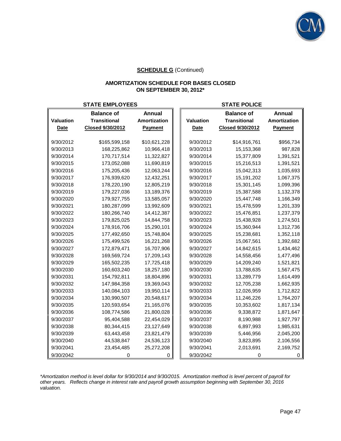

#### **AMORTIZATION SCHEDULE FOR BASES CLOSED ON SEPTEMBER 30, 2012\***

# **STATE EMPLOYEES STATE POLICE**

|             | <b>Balance of</b>   | <b>Annual</b>  |             | <b>Balance of</b>   | <b>Annual</b>  |
|-------------|---------------------|----------------|-------------|---------------------|----------------|
| Valuation   | <b>Transitional</b> | Amortization   | Valuation   | <b>Transitional</b> | Amortization   |
| <b>Date</b> | Closed 9/30/2012    | <b>Payment</b> | <b>Date</b> | Closed 9/30/2012    | <b>Payment</b> |
|             |                     |                |             |                     |                |
| 9/30/2012   | \$165,599,158       | \$10,621,228   | 9/30/2012   | \$14,916,761        | \$956,734      |
| 9/30/2013   | 168,225,862         | 10,966,418     | 9/30/2013   | 15,153,368          | 987,828        |
| 9/30/2014   | 170,717,514         | 11,322,827     | 9/30/2014   | 15,377,809          | 1,391,521      |
| 9/30/2015   | 173,052,088         | 11,690,819     | 9/30/2015   | 15,216,513          | 1,391,521      |
| 9/30/2016   | 175,205,436         | 12,063,244     | 9/30/2016   | 15,042,313          | 1,035,693      |
| 9/30/2017   | 176,939,620         | 12,432,251     | 9/30/2017   | 15, 191, 202        | 1,067,375      |
| 9/30/2018   | 178,220,190         | 12,805,219     | 9/30/2018   | 15,301,145          | 1,099,396      |
| 9/30/2019   | 179,227,036         | 13,189,376     | 9/30/2019   | 15,387,588          | 1,132,378      |
| 9/30/2020   | 179,927,755         | 13,585,057     | 9/30/2020   | 15,447,748          | 1,166,349      |
| 9/30/2021   | 180,287,099         | 13,992,609     | 9/30/2021   | 15,478,599          | 1,201,339      |
| 9/30/2022   | 180,266,740         | 14,412,387     | 9/30/2022   | 15,476,851          | 1,237,379      |
| 9/30/2023   | 179,825,025         | 14,844,758     | 9/30/2023   | 15,438,928          | 1,274,501      |
| 9/30/2024   | 178,916,706         | 15,290,101     | 9/30/2024   | 15,360,944          | 1,312,736      |
| 9/30/2025   | 177,492,650         | 15,748,804     | 9/30/2025   | 15,238,681          | 1,352,118      |
| 9/30/2026   | 175,499,526         | 16,221,268     | 9/30/2026   | 15,067,561          | 1,392,682      |
| 9/30/2027   | 172,879,471         | 16,707,906     | 9/30/2027   | 14,842,615          | 1,434,462      |
| 9/30/2028   | 169,569,724         | 17,209,143     | 9/30/2028   | 14,558,456          | 1,477,496      |
| 9/30/2029   | 165,502,235         | 17,725,418     | 9/30/2029   | 14,209,240          | 1,521,821      |
| 9/30/2030   | 160,603,240         | 18,257,180     | 9/30/2030   | 13,788,635          | 1,567,475      |
| 9/30/2031   | 154,792,811         | 18,804,896     | 9/30/2031   | 13,289,779          | 1,614,499      |
| 9/30/2032   | 147,984,358         | 19,369,043     | 9/30/2032   | 12,705,238          | 1,662,935      |
| 9/30/2033   | 140,084,103         | 19,950,114     | 9/30/2033   | 12,026,959          | 1,712,822      |
| 9/30/2034   | 130,990,507         | 20,548,617     | 9/30/2034   | 11,246,226          | 1,764,207      |
| 9/30/2035   | 120,593,654         | 21,165,076     | 9/30/2035   | 10,353,602          | 1,817,134      |
| 9/30/2036   | 108,774,586         | 21,800,028     | 9/30/2036   | 9,338,872           | 1,871,647      |
| 9/30/2037   | 95,404,588          | 22,454,029     | 9/30/2037   | 8,190,988           | 1,927,797      |
| 9/30/2038   | 80,344,415          | 23,127,649     | 9/30/2038   | 6,897,993           | 1,985,631      |
| 9/30/2039   | 63,443,458          | 23,821,479     | 9/30/2039   | 5,446,956           | 2,045,200      |
| 9/30/2040   | 44,538,847          | 24,536,123     | 9/30/2040   | 3,823,895           | 2,106,556      |
| 9/30/2041   | 23,454,485          | 25,272,208     | 9/30/2041   | 2,013,691           | 2,169,752      |
| 9/30/2042   |                     | 0              | 9/30/2042   | O                   |                |

*\*Amortization method is level dollar for 9/30/2014 and 9/30/2015. Amortization method is level percent of payroll for other years. Reflects change in interest rate and payroll growth assumption beginning with September 30, 2016 valuation.*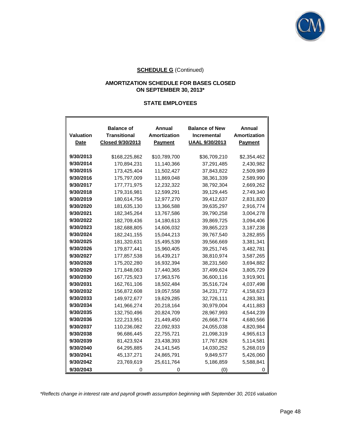

#### **AMORTIZATION SCHEDULE FOR BASES CLOSED ON SEPTEMBER 30, 2013\***

#### **STATE EMPLOYEES**

| Valuation<br><b>Date</b> | <b>Balance of</b><br>Transitional<br><b>Closed 9/30/2013</b> | Annual<br>Amortization<br><b>Payment</b> | <b>Balance of New</b><br><b>Incremental</b><br><b>UAAL 9/30/2013</b> | Annual<br><b>Amortization</b><br><b>Payment</b> |
|--------------------------|--------------------------------------------------------------|------------------------------------------|----------------------------------------------------------------------|-------------------------------------------------|
|                          |                                                              |                                          |                                                                      |                                                 |
| 9/30/2013                | \$168,225,862                                                | \$10,789,700                             | \$36,709,210                                                         | \$2,354,462                                     |
| 9/30/2014                | 170,894,231                                                  | 11,140,366                               | 37,291,485                                                           | 2,430,982                                       |
| 9/30/2015                | 173,425,404                                                  | 11,502,427                               | 37,843,822                                                           | 2,509,989                                       |
| 9/30/2016                | 175,797,009                                                  | 11,869,048                               | 38,361,339                                                           | 2,589,990                                       |
| 9/30/2017                | 177,771,975                                                  | 12,232,322                               | 38,792,304                                                           | 2,669,262                                       |
| 9/30/2018                | 179,316,981                                                  | 12,599,291                               | 39,129,445                                                           | 2,749,340                                       |
| 9/30/2019                | 180,614,756                                                  | 12,977,270                               | 39,412,637                                                           | 2,831,820                                       |
| 9/30/2020                | 181,635,130                                                  | 13,366,588                               | 39,635,297                                                           | 2,916,774                                       |
| 9/30/2021                | 182,345,264                                                  | 13,767,586                               | 39.790.258                                                           | 3,004,278                                       |
| 9/30/2022                | 182,709,436                                                  | 14,180,613                               | 39,869,725                                                           | 3,094,406                                       |
| 9/30/2023                | 182,688,805                                                  | 14,606,032                               | 39,865,223                                                           | 3,187,238                                       |
| 9/30/2024                | 182,241,155                                                  | 15,044,213                               | 39,767,540                                                           | 3,282,855                                       |
| 9/30/2025                | 181,320,631                                                  | 15,495,539                               | 39,566,669                                                           | 3,381,341                                       |
| 9/30/2026                | 179,877,441                                                  | 15,960,405                               | 39,251,745                                                           | 3,482,781                                       |
| 9/30/2027                | 177,857,538                                                  | 16,439,217                               | 38,810,974                                                           | 3,587,265                                       |
| 9/30/2028                | 175,202,280                                                  | 16,932,394                               | 38,231,560                                                           | 3,694,882                                       |
| 9/30/2029                | 171,848,063                                                  | 17,440,365                               | 37,499,624                                                           | 3,805,729                                       |
| 9/30/2030                | 167,725,923                                                  | 17,963,576                               | 36,600,116                                                           | 3,919,901                                       |
| 9/30/2031                | 162,761,106                                                  | 18,502,484                               | 35,516,724                                                           | 4,037,498                                       |
| 9/30/2032                | 156,872,608                                                  | 19,057,558                               | 34,231,772                                                           | 4,158,623                                       |
| 9/30/2033                | 149,972,677                                                  | 19,629,285                               | 32,726,111                                                           | 4,283,381                                       |
| 9/30/2034                | 141,966,274                                                  | 20,218,164                               | 30,979,004                                                           | 4,411,883                                       |
| 9/30/2035                | 132,750,496                                                  | 20,824,709                               | 28,967,993                                                           | 4,544,239                                       |
| 9/30/2036                | 122,213,951                                                  | 21,449,450                               | 26,668,774                                                           | 4,680,566                                       |
| 9/30/2037                | 110,236,082                                                  | 22,092,933                               | 24,055,038                                                           | 4,820,984                                       |
| 9/30/2038                | 96,686,445                                                   | 22,755,721                               | 21,098,319                                                           | 4,965,613                                       |
| 9/30/2039                | 81,423,924                                                   | 23,438,393                               | 17,767,826                                                           | 5,114,581                                       |
| 9/30/2040                | 64,295,885                                                   | 24,141,545                               | 14,030,252                                                           | 5,268,019                                       |
| 9/30/2041                | 45,137,271                                                   | 24,865,791                               | 9,849,577                                                            | 5,426,060                                       |
| 9/30/2042                | 23,769,619                                                   | 25,611,764                               | 5,186,859                                                            | 5,588,841                                       |
| 9/30/2043                | O)                                                           | $\Omega$                                 | (0)                                                                  |                                                 |

*\*Reflects change in interest rate and payroll growth assumption beginning with September 30, 2016 valuation*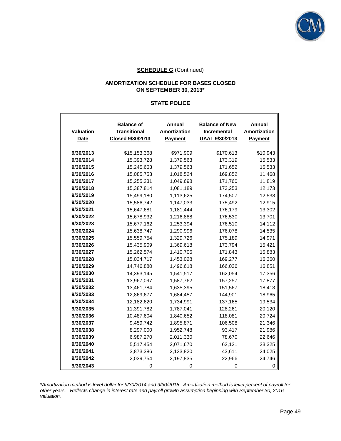

#### **AMORTIZATION SCHEDULE FOR BASES CLOSED ON SEPTEMBER 30, 2013\***

#### **STATE POLICE**

|                  | <b>Balance of</b>   | Annual              | <b>Balance of New</b> | Annual       |
|------------------|---------------------|---------------------|-----------------------|--------------|
| <b>Valuation</b> | <b>Transitional</b> | <b>Amortization</b> | Incremental           | Amortization |
| <b>Date</b>      | Closed 9/30/2013    | Payment             | <b>UAAL 9/30/2013</b> | Payment      |
| 9/30/2013        | \$15,153,368        | \$971,909           | \$170,613             | \$10,943     |
| 9/30/2014        | 15,393,728          | 1,379,563           | 173,319               | 15,533       |
| 9/30/2015        | 15,245,663          | 1,379,563           | 171,652               | 15,533       |
| 9/30/2016        | 15,085,753          | 1,018,524           | 169,852               | 11,468       |
| 9/30/2017        | 15,255,231          | 1,049,698           | 171,760               | 11,819       |
| 9/30/2018        | 15,387,814          | 1,081,189           | 173,253               | 12,173       |
| 9/30/2019        | 15,499,180          | 1,113,625           | 174,507               | 12,538       |
| 9/30/2020        | 15,586,742          | 1,147,033           | 175,492               | 12,915       |
| 9/30/2021        | 15,647,681          | 1,181,444           | 176,179               | 13,302       |
| 9/30/2022        | 15,678,932          | 1,216,888           | 176,530               | 13,701       |
| 9/30/2023        | 15,677,162          | 1,253,394           | 176,510               | 14,112       |
| 9/30/2024        | 15,638,747          | 1,290,996           | 176,078               | 14,535       |
| 9/30/2025        | 15,559,754          | 1,329,726           | 175,189               | 14,971       |
| 9/30/2026        | 15,435,909          | 1,369,618           | 173,794               | 15,421       |
| 9/30/2027        | 15,262,574          | 1,410,706           | 171,843               | 15,883       |
| 9/30/2028        | 15,034,717          | 1,453,028           | 169,277               | 16,360       |
| 9/30/2029        | 14,746,880          | 1,496,618           | 166,036               | 16,851       |
| 9/30/2030        | 14,393,145          | 1,541,517           | 162,054               | 17,356       |
| 9/30/2031        | 13,967,097          | 1,587,762           | 157,257               | 17,877       |
| 9/30/2032        | 13,461,784          | 1,635,395           | 151,567               | 18,413       |
| 9/30/2033        | 12,869,677          | 1,684,457           | 144,901               | 18,965       |
| 9/30/2034        | 12,182,620          | 1,734,991           | 137,165               | 19,534       |
| 9/30/2035        | 11,391,782          | 1,787,041           | 128,261               | 20,120       |
| 9/30/2036        | 10,487,604          | 1,840,652           | 118,081               | 20,724       |
| 9/30/2037        | 9,459,742           | 1,895,871           | 106,508               | 21,346       |
| 9/30/2038        | 8,297,000           | 1,952,748           | 93,417                | 21,986       |
| 9/30/2039        | 6,987,270           | 2,011,330           | 78,670                | 22,646       |
| 9/30/2040        | 5,517,454           | 2,071,670           | 62,121                | 23,325       |
| 9/30/2041        | 3,873,386           | 2,133,820           | 43,611                | 24,025       |
| 9/30/2042        | 2,039,754           | 2,197,835           | 22,966                | 24,746       |
| 9/30/2043        | 0                   | 0                   | 0                     | 0            |

*\*Amortization method is level dollar for 9/30/2014 and 9/30/2015. Amortization method is level percent of payroll for other years. Reflects change in interest rate and payroll growth assumption beginning with September 30, 2016 valuation.*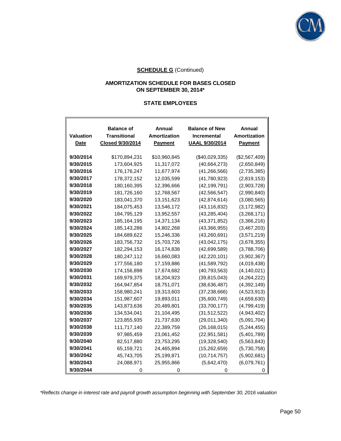

#### **AMORTIZATION SCHEDULE FOR BASES CLOSED ON SEPTEMBER 30, 2014\***

#### **STATE EMPLOYEES**

| Valuation<br>Date | <b>Balance of</b><br>Transitional<br>Closed 9/30/2014 | Annual<br><b>Amortization</b><br><b>Payment</b> | <b>Balance of New</b><br><b>Incremental</b><br><b>UAAL 9/30/2014</b> | Annual<br><b>Amortization</b><br>Payment |
|-------------------|-------------------------------------------------------|-------------------------------------------------|----------------------------------------------------------------------|------------------------------------------|
| 9/30/2014         | \$170,894,231                                         | \$10,960,845                                    | (\$40,029,335)                                                       | (\$2,567,409)                            |
| 9/30/2015         | 173,604,925                                           | 11,317,072                                      | (40,664,273)                                                         | (2,650,849)                              |
| 9/30/2016         | 176,176,247                                           | 11,677,974                                      | (41, 266, 566)                                                       | (2,735,385)                              |
| 9/30/2017         | 178,372,152                                           | 12,035,599                                      | (41,780,923)                                                         | (2,819,153)                              |
| 9/30/2018         | 180,160,395                                           | 12,396,666                                      | (42, 199, 791)                                                       | (2,903,728)                              |
| 9/30/2019         | 181,726,160                                           | 12,768,567                                      | (42, 566, 547)                                                       | (2,990,840)                              |
| 9/30/2020         | 183,041,370                                           | 13,151,623                                      | (42, 874, 614)                                                       | (3,080,565)                              |
| 9/30/2021         | 184,075,453                                           | 13,546,172                                      | (43, 116, 832)                                                       | (3, 172, 982)                            |
| 9/30/2022         | 184,795,129                                           | 13,952,557                                      | (43, 285, 404)                                                       | (3,268,171)                              |
| 9/30/2023         | 185,164,195                                           | 14,371,134                                      | (43, 371, 852)                                                       | (3,366,216)                              |
| 9/30/2024         | 185, 143, 286                                         | 14,802,268                                      | (43,366,955)                                                         | (3,467,203)                              |
| 9/30/2025         | 184,689,622                                           | 15,246,336                                      | (43,260,691)                                                         | (3,571,219)                              |
| 9/30/2026         | 183,756,732                                           | 15,703,726                                      | (43,042,175)                                                         | (3,678,355)                              |
| 9/30/2027         | 182,294,153                                           | 16,174,838                                      | (42,699,589)                                                         | (3,788,706)                              |
| 9/30/2028         | 180,247,112                                           | 16,660,083                                      | (42, 220, 101)                                                       | (3,902,367)                              |
| 9/30/2029         | 177,556,180                                           | 17,159,886                                      | (41,589,792)                                                         | (4,019,438)                              |
| 9/30/2030         | 174,156,898                                           | 17,674,682                                      | (40,793,563)                                                         | (4, 140, 021)                            |
| 9/30/2031         | 169.979.375                                           | 18,204,923                                      | (39, 815, 043)                                                       | (4,264,222)                              |
| 9/30/2032         | 164,947,854                                           | 18,751,071                                      | (38, 636, 487)                                                       | (4,392,149)                              |
| 9/30/2033         | 158,980,241                                           | 19,313,603                                      | (37, 238, 666)                                                       | (4,523,913)                              |
| 9/30/2034         | 151,987,607                                           | 19,893,011                                      | (35,600,749)                                                         | (4,659,630)                              |
| 9/30/2035         | 143,873,636                                           | 20,489,801                                      | (33,700,177)                                                         | (4,799,419)                              |
| 9/30/2036         | 134,534,041                                           | 21,104,495                                      | (31, 512, 522)                                                       | (4,943,402)                              |
| 9/30/2037         | 123,855,935                                           | 21,737,630                                      | (29,011,340)                                                         | (5,091,704)                              |
| 9/30/2038         | 111,717,140                                           | 22,389,759                                      | (26, 168, 015)                                                       | (5, 244, 455)                            |
| 9/30/2039         | 97,985,459                                            | 23,061,452                                      | (22, 951, 581)                                                       | (5,401,789)                              |
| 9/30/2040         | 82,517,880                                            | 23,753,295                                      | (19,328,540)                                                         | (5,563,843)                              |
| 9/30/2041         | 65,159,721                                            | 24,465,894                                      | (15,262,659)                                                         | (5,730,758)                              |
| 9/30/2042         | 45,743,705                                            | 25,199,871                                      | (10,714,757)                                                         | (5,902,681)                              |
| 9/30/2043         | 24,088,971                                            | 25,955,866                                      | (5,642,470)                                                          | (6,079,761)                              |
| 9/30/2044         |                                                       |                                                 |                                                                      |                                          |

*\*Reflects change in interest rate and payroll growth assumption beginning with September 30, 2016 valuation*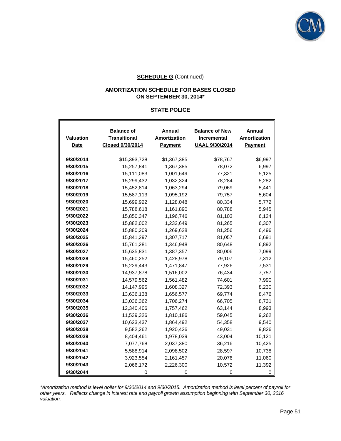

#### **AMORTIZATION SCHEDULE FOR BASES CLOSED ON SEPTEMBER 30, 2014\***

#### **STATE POLICE**

| Valuation<br><b>Date</b> | <b>Balance of</b><br><b>Transitional</b><br>Closed 9/30/2014 | Annual<br>Amortization<br>Payment | <b>Balance of New</b><br><b>Incremental</b><br><b>UAAL 9/30/2014</b> | Annual<br>Amortization<br>Payment |
|--------------------------|--------------------------------------------------------------|-----------------------------------|----------------------------------------------------------------------|-----------------------------------|
| 9/30/2014                | \$15,393,728                                                 | \$1,367,385                       | \$78,767                                                             | \$6,997                           |
| 9/30/2015                | 15,257,841                                                   | 1,367,385                         | 78,072                                                               | 6,997                             |
| 9/30/2016                | 15,111,083                                                   | 1,001,649                         | 77,321                                                               | 5,125                             |
| 9/30/2017                | 15,299,432                                                   | 1,032,324                         | 78,284                                                               | 5,282                             |
| 9/30/2018                | 15,452,814                                                   | 1,063,294                         | 79,069                                                               | 5,441                             |
| 9/30/2019                | 15,587,113                                                   | 1,095,192                         | 79,757                                                               | 5,604                             |
| 9/30/2020                | 15,699,922                                                   | 1,128,048                         | 80,334                                                               | 5,772                             |
| 9/30/2021                | 15,788,618                                                   | 1,161,890                         | 80,788                                                               | 5,945                             |
| 9/30/2022                | 15,850,347                                                   | 1,196,746                         | 81,103                                                               | 6,124                             |
| 9/30/2023                | 15,882,002                                                   | 1,232,649                         | 81,265                                                               | 6,307                             |
| 9/30/2024                | 15,880,209                                                   | 1,269,628                         | 81,256                                                               | 6,496                             |
| 9/30/2025                | 15,841,297                                                   | 1,307,717                         | 81,057                                                               | 6,691                             |
| 9/30/2026                | 15,761,281                                                   | 1,346,948                         | 80,648                                                               | 6,892                             |
| 9/30/2027                | 15,635,831                                                   | 1,387,357                         | 80,006                                                               | 7,099                             |
| 9/30/2028                | 15,460,252                                                   | 1,428,978                         | 79,107                                                               | 7,312                             |
| 9/30/2029                | 15,229,443                                                   | 1,471,847                         | 77,926                                                               | 7,531                             |
| 9/30/2030                | 14,937,878                                                   | 1,516,002                         | 76,434                                                               | 7,757                             |
| 9/30/2031                | 14,579,562                                                   | 1,561,482                         | 74,601                                                               | 7,990                             |
| 9/30/2032                | 14,147,995                                                   | 1,608,327                         | 72,393                                                               | 8,230                             |
| 9/30/2033                | 13,636,138                                                   | 1,656,577                         | 69,774                                                               | 8,476                             |
| 9/30/2034                | 13,036,362                                                   | 1,706,274                         | 66,705                                                               | 8,731                             |
| 9/30/2035                | 12,340,406                                                   | 1,757,462                         | 63,144                                                               | 8,993                             |
| 9/30/2036                | 11,539,326                                                   | 1,810,186                         | 59,045                                                               | 9,262                             |
| 9/30/2037                | 10,623,437                                                   | 1,864,492                         | 54,358                                                               | 9,540                             |
| 9/30/2038                | 9,582,262                                                    | 1,920,426                         | 49,031                                                               | 9,826                             |
| 9/30/2039                | 8,404,461                                                    | 1,978,039                         | 43,004                                                               | 10,121                            |
| 9/30/2040                | 7,077,768                                                    | 2,037,380                         | 36,216                                                               | 10,425                            |
| 9/30/2041                | 5,588,914                                                    | 2,098,502                         | 28,597                                                               | 10,738                            |
| 9/30/2042                | 3,923,554                                                    | 2,161,457                         | 20,076                                                               | 11,060                            |
| 9/30/2043                | 2,066,172                                                    | 2,226,300                         | 10,572                                                               | 11,392                            |
| 9/30/2044                | 0                                                            | 0                                 | 0                                                                    | O                                 |

*\*Amortization method is level dollar for 9/30/2014 and 9/30/2015. Amortization method is level percent of payroll for other years. Reflects change in interest rate and payroll growth assumption beginning with September 30, 2016 valuation.*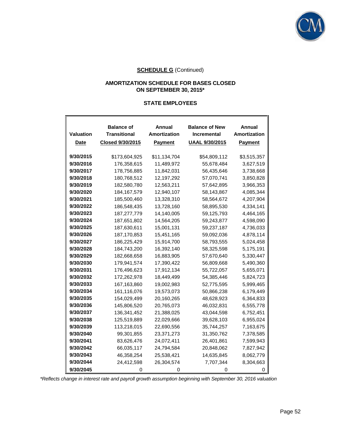

#### **AMORTIZATION SCHEDULE FOR BASES CLOSED ON SEPTEMBER 30, 2015\***

#### **STATE EMPLOYEES**

F

|                  | <b>Balance of</b>       | Annual              | <b>Balance of New</b> | Annual         |
|------------------|-------------------------|---------------------|-----------------------|----------------|
| <b>Valuation</b> | <b>Transitional</b>     | <b>Amortization</b> | Incremental           | Amortization   |
| Date             | <b>Closed 9/30/2015</b> | <b>Payment</b>      | <b>UAAL 9/30/2015</b> | <b>Payment</b> |
|                  |                         |                     |                       |                |
| 9/30/2015        | \$173,604,925           | \$11,134,704        | \$54,809,112          | \$3,515,357    |
| 9/30/2016        | 176,358,615             | 11,489,972          | 55,678,484            | 3,627,519      |
| 9/30/2017        | 178,756,885             | 11,842,031          | 56,435,646            | 3,738,668      |
| 9/30/2018        | 180,768,512             | 12,197,292          | 57,070,741            | 3,850,828      |
| 9/30/2019        | 182,580,780             | 12,563,211          | 57,642,895            | 3,966,353      |
| 9/30/2020        | 184, 167, 579           | 12,940,107          | 58,143,867            | 4,085,344      |
| 9/30/2021        | 185,500,460             | 13,328,310          | 58,564,672            | 4,207,904      |
| 9/30/2022        | 186,548,435             | 13,728,160          | 58,895,530            | 4,334,141      |
| 9/30/2023        | 187,277,779             | 14,140,005          | 59,125,793            | 4,464,165      |
| 9/30/2024        | 187,651,802             | 14,564,205          | 59,243,877            | 4,598,090      |
| 9/30/2025        | 187,630,611             | 15,001,131          | 59,237,187            | 4,736,033      |
| 9/30/2026        | 187, 170, 853           | 15,451,165          | 59,092,036            | 4,878,114      |
| 9/30/2027        | 186,225,429             | 15,914,700          | 58,793,555            | 5,024,458      |
| 9/30/2028        | 184,743,200             | 16,392,140          | 58,325,598            | 5,175,191      |
| 9/30/2029        | 182,668,658             | 16,883,905          | 57,670,640            | 5,330,447      |
| 9/30/2030        | 179,941,574             | 17,390,422          | 56,809,668            | 5,490,360      |
| 9/30/2031        | 176,496,623             | 17,912,134          | 55,722,057            | 5,655,071      |
| 9/30/2032        | 172,262,978             | 18,449,499          | 54,385,446            | 5,824,723      |
| 9/30/2033        | 167, 163, 860           | 19,002,983          | 52,775,595            | 5,999,465      |
| 9/30/2034        | 161,116,076             | 19,573,073          | 50,866,238            | 6,179,449      |
| 9/30/2035        | 154,029,499             | 20,160,265          | 48,628,923            | 6,364,833      |
| 9/30/2036        | 145,806,520             | 20,765,073          | 46,032,831            | 6,555,778      |
| 9/30/2037        | 136,341,452             | 21,388,025          | 43,044,598            | 6,752,451      |
| 9/30/2038        | 125,519,889             | 22,029,666          | 39,628,103            | 6,955,024      |
| 9/30/2039        | 113,218,015             | 22,690,556          | 35,744,257            | 7,163,675      |
| 9/30/2040        | 99,301,855              | 23,371,273          | 31,350,762            | 7,378,585      |
| 9/30/2041        | 83,626,476              | 24,072,411          | 26,401,861            | 7,599,943      |
| 9/30/2042        | 66,035,117              | 24,794,584          | 20,848,062            | 7,827,942      |
| 9/30/2043        | 46,358,254              | 25,538,421          | 14,635,845            | 8,062,779      |
| 9/30/2044        | 24,412,598              | 26,304,574          | 7,707,344             | 8,304,663      |
| 9/30/2045        |                         | $\Omega$            |                       |                |

*\*Reflects change in interest rate and payroll growth assumption beginning with September 30, 2016 valuation*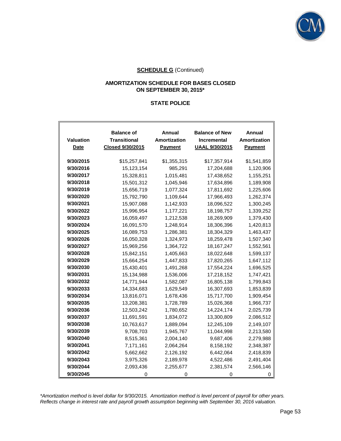

#### **AMORTIZATION SCHEDULE FOR BASES CLOSED ON SEPTEMBER 30, 2015\***

#### **STATE POLICE**

| <b>Valuation</b><br>Date | <b>Balance of</b><br>Transitional<br>Closed 9/30/2015 | Annual<br>Amortization<br><b>Payment</b> | <b>Balance of New</b><br>Incremental<br><b>UAAL 9/30/2015</b> | Annual<br>Amortization<br><b>Payment</b> |
|--------------------------|-------------------------------------------------------|------------------------------------------|---------------------------------------------------------------|------------------------------------------|
| 9/30/2015                | \$15,257,841                                          | \$1,355,315                              | \$17,357,914                                                  | \$1,541,859                              |
| 9/30/2016                | 15,123,154                                            | 985,291                                  | 17,204,688                                                    | 1,120,906                                |
| 9/30/2017                | 15,328,811                                            | 1,015,481                                | 17,438,652                                                    | 1,155,251                                |
| 9/30/2018                | 15,501,312                                            | 1,045,946                                | 17,634,896                                                    | 1,189,908                                |
| 9/30/2019                | 15,656,719                                            | 1,077,324                                | 17,811,692                                                    | 1,225,606                                |
| 9/30/2020                | 15,792,790                                            | 1,109,644                                | 17,966,493                                                    | 1,262,374                                |
| 9/30/2021                | 15,907,088                                            | 1,142,933                                | 18,096,522                                                    | 1,300,245                                |
| 9/30/2022                | 15,996,954                                            | 1,177,221                                | 18,198,757                                                    | 1,339,252                                |
| 9/30/2023                | 16,059,497                                            | 1,212,538                                | 18,269,909                                                    | 1,379,430                                |
| 9/30/2024                | 16,091,570                                            | 1,248,914                                | 18,306,396                                                    | 1,420,813                                |
| 9/30/2025                | 16,089,753                                            | 1,286,381                                | 18,304,329                                                    | 1,463,437                                |
| 9/30/2026                | 16,050,328                                            | 1,324,973                                | 18,259,478                                                    | 1,507,340                                |
| 9/30/2027                | 15,969,256                                            | 1,364,722                                | 18, 167, 247                                                  | 1,552,561                                |
| 9/30/2028                | 15,842,151                                            | 1,405,663                                | 18,022,648                                                    | 1,599,137                                |
| 9/30/2029                | 15,664,254                                            | 1,447,833                                | 17,820,265                                                    | 1,647,112                                |
| 9/30/2030                | 15,430,401                                            | 1,491,268                                | 17,554,224                                                    | 1,696,525                                |
| 9/30/2031                | 15,134,988                                            | 1,536,006                                | 17,218,152                                                    | 1,747,421                                |
| 9/30/2032                | 14,771,944                                            | 1,582,087                                | 16,805,138                                                    | 1,799,843                                |
| 9/30/2033                | 14,334,683                                            | 1,629,549                                | 16,307,693                                                    | 1,853,839                                |
| 9/30/2034                | 13,816,071                                            | 1,678,436                                | 15,717,700                                                    | 1,909,454                                |
| 9/30/2035                | 13,208,381                                            | 1,728,789                                | 15,026,368                                                    | 1,966,737                                |
| 9/30/2036                | 12,503,242                                            | 1,780,652                                | 14,224,174                                                    | 2,025,739                                |
| 9/30/2037                | 11,691,591                                            | 1,834,072                                | 13,300,809                                                    | 2,086,512                                |
| 9/30/2038                | 10,763,617                                            | 1,889,094                                | 12,245,109                                                    | 2,149,107                                |
| 9/30/2039                | 9,708,703                                             | 1,945,767                                | 11,044,998                                                    | 2,213,580                                |
| 9/30/2040                | 8,515,361                                             | 2,004,140                                | 9,687,406                                                     | 2,279,988                                |
| 9/30/2041                | 7,171,161                                             | 2,064,264                                | 8,158,192                                                     | 2,348,387                                |
| 9/30/2042                | 5,662,662                                             | 2,126,192                                | 6,442,064                                                     | 2,418,839                                |
| 9/30/2043                | 3,975,326                                             | 2,189,978                                | 4,522,486                                                     | 2,491,404                                |
| 9/30/2044                | 2,093,436                                             | 2,255,677                                | 2,381,574                                                     | 2,566,146                                |
| 9/30/2045                | 0                                                     | 0                                        | 0                                                             |                                          |

*\*Amortization method is level dollar for 9/30/2015. Amortization method is level percent of payroll for other years. Reflects change in interest rate and payroll growth assumption beginning with September 30, 2016 valuation.*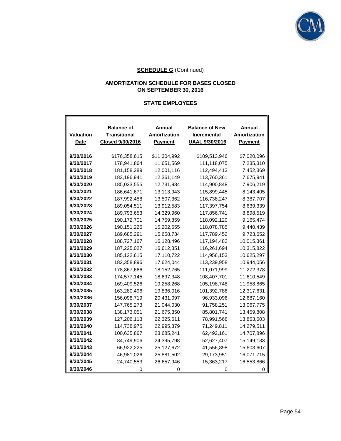

### **AMORTIZATION SCHEDULE FOR BASES CLOSED ON SEPTEMBER 30, 2016**

#### **STATE EMPLOYEES**

 $\mathbf{r}$ 

| Valuation<br>Date | <b>Balance of</b><br><b>Transitional</b><br>Closed 9/30/2016 | Annual<br>Amortization<br><b>Payment</b> | <b>Balance of New</b><br><b>Incremental</b><br><b>UAAL 9/30/2016</b> | Annual<br><b>Amortization</b><br><b>Payment</b> |
|-------------------|--------------------------------------------------------------|------------------------------------------|----------------------------------------------------------------------|-------------------------------------------------|
| 9/30/2016         | \$176,358,615                                                | \$11,304,992                             | \$109,513,946                                                        | \$7,020,096                                     |
| 9/30/2017         | 178,941,864                                                  | 11,651,569                               | 111,118,075                                                          | 7,235,310                                       |
| 9/30/2018         | 181,158,289                                                  | 12,001,116                               | 112,494,413                                                          | 7,452,369                                       |
| 9/30/2019         | 183,196,941                                                  | 12,361,149                               | 113,760,361                                                          | 7,675,941                                       |
| 9/30/2020         | 185,033,555                                                  | 12,731,984                               | 114,900,848                                                          | 7,906,219                                       |
| 9/30/2021         | 186,641,671                                                  | 13,113,943                               | 115,899,445                                                          | 8,143,405                                       |
| 9/30/2022         | 187,992,458                                                  | 13,507,362                               | 116,738,247                                                          | 8,387,707                                       |
| 9/30/2023         | 189,054,511                                                  | 13,912,583                               | 117,397,754                                                          | 8,639,339                                       |
| 9/30/2024         | 189,793,653                                                  | 14,329,960                               | 117,856,741                                                          | 8,898,519                                       |
| 9/30/2025         | 190,172,701                                                  | 14,759,859                               | 118,092,120                                                          | 9,165,474                                       |
| 9/30/2026         | 190,151,226                                                  | 15,202,655                               | 118,078,785                                                          | 9,440,439                                       |
| 9/30/2027         | 189,685,291                                                  | 15,658,734                               | 117,789,452                                                          | 9,723,652                                       |
| 9/30/2028         | 188,727,167                                                  | 16,128,496                               | 117,194,482                                                          | 10,015,361                                      |
| 9/30/2029         | 187,225,027                                                  | 16,612,351                               | 116,261,694                                                          | 10,315,822                                      |
| 9/30/2030         | 185,122,615                                                  | 17,110,722                               | 114,956,153                                                          | 10,625,297                                      |
| 9/30/2031         | 182,358,896                                                  | 17,624,044                               | 113,239,958                                                          | 10,944,056                                      |
| 9/30/2032         | 178,867,666                                                  | 18, 152, 765                             | 111,071,999                                                          | 11,272,378                                      |
| 9/30/2033         | 174,577,145                                                  | 18,697,348                               | 108,407,701                                                          | 11,610,549                                      |
| 9/30/2034         | 169,409,526                                                  | 19,258,268                               | 105,198,748                                                          | 11,958,865                                      |
| 9/30/2035         | 163,280,496                                                  | 19,836,016                               | 101,392,786                                                          | 12,317,631                                      |
| 9/30/2036         | 156,098,719                                                  | 20,431,097                               | 96,933,096                                                           | 12,687,160                                      |
| 9/30/2037         | 147,765,273                                                  | 21,044,030                               | 91,758,251                                                           | 13,067,775                                      |
| 9/30/2038         | 138,173,051                                                  | 21,675,350                               | 85,801,741                                                           | 13,459,808                                      |
| 9/30/2039         | 127,206,113                                                  | 22,325,611                               | 78,991,568                                                           | 13,863,603                                      |
| 9/30/2040         | 114,738,975                                                  | 22,995,379                               | 71,249,811                                                           | 14,279,511                                      |
| 9/30/2041         | 100,635,867                                                  | 23,685,241                               | 62,492,161                                                           | 14,707,896                                      |
| 9/30/2042         | 84,749,906                                                   | 24,395,798                               | 52,627,407                                                           | 15,149,133                                      |
| 9/30/2043         | 66,922,225                                                   | 25,127,672                               | 41,556,898                                                           | 15,603,607                                      |
| 9/30/2044         | 46,981,026                                                   | 25,881,502                               | 29,173,951                                                           | 16,071,715                                      |
| 9/30/2045         | 24,740,553                                                   | 26,657,946                               | 15,363,217                                                           | 16,553,866                                      |
| 9/30/2046         | 0                                                            | 0                                        | O                                                                    | 0                                               |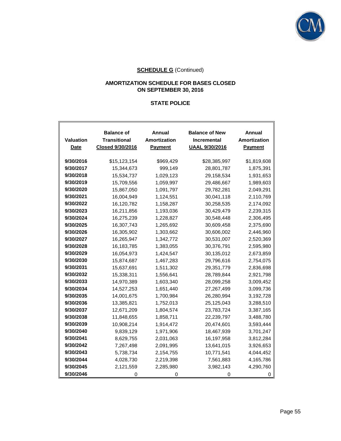

### **AMORTIZATION SCHEDULE FOR BASES CLOSED ON SEPTEMBER 30, 2016**

# **STATE POLICE**

| <b>Valuation</b> | <b>Balance of</b><br><b>Transitional</b> | Annual<br>Amortization | <b>Balance of New</b><br>Incremental | Annual<br>Amortization |
|------------------|------------------------------------------|------------------------|--------------------------------------|------------------------|
| <b>Date</b>      | Closed 9/30/2016                         | <b>Payment</b>         | <b>UAAL 9/30/2016</b>                | Payment                |
|                  |                                          |                        |                                      |                        |
| 9/30/2016        | \$15,123,154                             | \$969,429              | \$28,385,997                         | \$1,819,608            |
| 9/30/2017        | 15,344,673                               | 999,149                | 28,801,787                           | 1,875,391              |
| 9/30/2018        | 15,534,737                               | 1,029,123              | 29,158,534                           | 1,931,653              |
| 9/30/2019        | 15,709,556                               | 1,059,997              | 29,486,667                           | 1,989,603              |
| 9/30/2020        | 15,867,050                               | 1,091,797              | 29,782,281                           | 2,049,291              |
| 9/30/2021        | 16,004,949                               | 1,124,551              | 30,041,118                           | 2,110,769              |
| 9/30/2022        | 16,120,782                               | 1,158,287              | 30,258,535                           | 2,174,092              |
| 9/30/2023        | 16,211,856                               | 1,193,036              | 30,429,479                           | 2,239,315              |
| 9/30/2024        | 16,275,239                               | 1,228,827              | 30,548,448                           | 2,306,495              |
| 9/30/2025        | 16,307,743                               | 1,265,692              | 30,609,458                           | 2,375,690              |
| 9/30/2026        | 16,305,902                               | 1,303,662              | 30,606,002                           | 2,446,960              |
| 9/30/2027        | 16,265,947                               | 1,342,772              | 30,531,007                           | 2,520,369              |
| 9/30/2028        | 16,183,785                               | 1,383,055              | 30,376,791                           | 2,595,980              |
| 9/30/2029        | 16,054,973                               | 1,424,547              | 30,135,012                           | 2,673,859              |
| 9/30/2030        | 15,874,687                               | 1,467,283              | 29,796,616                           | 2,754,075              |
| 9/30/2031        | 15,637,691                               | 1,511,302              | 29,351,779                           | 2,836,698              |
| 9/30/2032        | 15,338,311                               | 1,556,641              | 28,789,844                           | 2,921,798              |
| 9/30/2033        | 14,970,389                               | 1,603,340              | 28,099,258                           | 3,009,452              |
| 9/30/2034        | 14,527,253                               | 1,651,440              | 27,267,499                           | 3,099,736              |
| 9/30/2035        | 14,001,675                               | 1,700,984              | 26,280,994                           | 3,192,728              |
| 9/30/2036        | 13,385,821                               | 1,752,013              | 25,125,043                           | 3,288,510              |
| 9/30/2037        | 12,671,209                               | 1,804,574              | 23,783,724                           | 3,387,165              |
| 9/30/2038        | 11,848,655                               | 1,858,711              | 22,239,797                           | 3,488,780              |
| 9/30/2039        | 10,908,214                               | 1,914,472              | 20,474,601                           | 3,593,444              |
| 9/30/2040        | 9,839,129                                | 1,971,906              | 18,467,939                           | 3,701,247              |
| 9/30/2041        | 8,629,755                                | 2,031,063              | 16,197,958                           | 3,812,284              |
| 9/30/2042        | 7,267,498                                | 2,091,995              | 13,641,015                           | 3,926,653              |
| 9/30/2043        | 5,738,734                                | 2,154,755              | 10,771,541                           | 4,044,452              |
| 9/30/2044        | 4,028,730                                | 2,219,398              | 7,561,883                            | 4,165,786              |
| 9/30/2045        | 2,121,559                                | 2,285,980              | 3,982,143                            | 4,290,760              |
| 9/30/2046        | 0                                        | 0                      | 0                                    | Ω                      |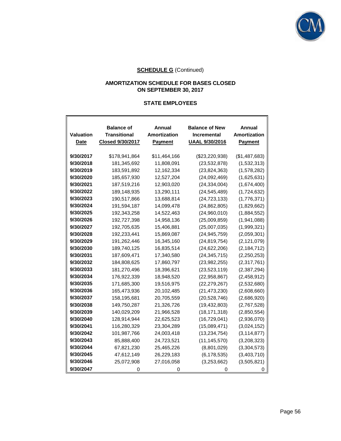

ı,

# **SCHEDULE G** (Continued)

#### **AMORTIZATION SCHEDULE FOR BASES CLOSED ON SEPTEMBER 30, 2017**

#### **STATE EMPLOYEES**

F

| Valuation<br><b>Date</b> | <b>Balance of</b><br>Transitional<br>Closed 9/30/2017 | Annual<br>Amortization<br><b>Payment</b> | <b>Balance of New</b><br><b>Incremental</b><br><b>UAAL 9/30/2016</b> | Annual<br>Amortization<br><b>Payment</b> |
|--------------------------|-------------------------------------------------------|------------------------------------------|----------------------------------------------------------------------|------------------------------------------|
| 9/30/2017                | \$178,941,864                                         | \$11,464,166                             | (\$23,220,938)                                                       | (\$1,487,683)                            |
| 9/30/2018                | 181,345,692                                           | 11,808,091                               | (23, 532, 878)                                                       | (1,532,313)                              |
| 9/30/2019                | 183,591,892                                           | 12,162,334                               | (23, 824, 363)                                                       | (1,578,282)                              |
| 9/30/2020                | 185,657,930                                           | 12,527,204                               | (24,092,469)                                                         | (1,625,631)                              |
| 9/30/2021                | 187,519,216                                           | 12,903,020                               | (24, 334, 004)                                                       | (1,674,400)                              |
| 9/30/2022                | 189,148,935                                           | 13,290,111                               | (24.545.489)                                                         | (1,724,632)                              |
| 9/30/2023                | 190,517,866                                           | 13,688,814                               | (24, 723, 133)                                                       | (1,776,371)                              |
| 9/30/2024                | 191,594,187                                           | 14,099,478                               | (24, 862, 805)                                                       | (1,829,662)                              |
| 9/30/2025                | 192,343,258                                           | 14,522,463                               | (24,960,010)                                                         | (1,884,552)                              |
| 9/30/2026                | 192,727,398                                           | 14,958,136                               | (25,009,859)                                                         | (1,941,088)                              |
| 9/30/2027                | 192,705,635                                           | 15,406,881                               | (25,007,035)                                                         | (1,999,321)                              |
| 9/30/2028                | 192,233,441                                           | 15,869,087                               | (24, 945, 759)                                                       | (2,059,301)                              |
| 9/30/2029                | 191,262,446                                           | 16,345,160                               | (24, 819, 754)                                                       | (2, 121, 079)                            |
| 9/30/2030                | 189,740,125                                           | 16,835,514                               | (24, 622, 206)                                                       | (2, 184, 712)                            |
| 9/30/2031                | 187,609,471                                           | 17,340,580                               | (24, 345, 715)                                                       | (2,250,253)                              |
| 9/30/2032                | 184,808,625                                           | 17,860,797                               | (23, 982, 255)                                                       | (2,317,761)                              |
| 9/30/2033                | 181,270,496                                           | 18,396,621                               | (23, 523, 119)                                                       | (2,387,294)                              |
| 9/30/2034                | 176,922,339                                           | 18,948,520                               | (22,958,867)                                                         | (2,458,912)                              |
| 9/30/2035                | 171,685,300                                           | 19,516,975                               | (22, 279, 267)                                                       | (2,532,680)                              |
| 9/30/2036                | 165,473,936                                           | 20,102,485                               | (21, 473, 230)                                                       | (2,608,660)                              |
| 9/30/2037                | 158,195,681                                           | 20,705,559                               | (20, 528, 746)                                                       | (2,686,920)                              |
| 9/30/2038                | 149,750,287                                           | 21,326,726                               | (19, 432, 803)                                                       | (2,767,528)                              |
| 9/30/2039                | 140,029,209                                           | 21,966,528                               | (18, 171, 318)                                                       | (2,850,554)                              |
| 9/30/2040                | 128,914,944                                           | 22,625,523                               | (16, 729, 041)                                                       | (2,936,070)                              |
| 9/30/2041                | 116,280,329                                           | 23,304,289                               | (15,089,471)                                                         | (3,024,152)                              |
| 9/30/2042                | 101,987,766                                           | 24,003,418                               | (13, 234, 754)                                                       | (3, 114, 877)                            |
| 9/30/2043                | 85,888,400                                            | 24,723,521                               | (11, 145, 570)                                                       | (3,208,323)                              |
| 9/30/2044                | 67,821,230                                            | 25,465,226                               | (8,801,029)                                                          | (3,304,573)                              |
| 9/30/2045                | 47,612,149                                            | 26,229,183                               | (6, 178, 535)                                                        | (3,403,710)                              |
| 9/30/2046                | 25,072,908                                            | 27,016,058                               | (3,253,662)                                                          | (3,505,821)                              |
| 9/30/2047                |                                                       |                                          |                                                                      |                                          |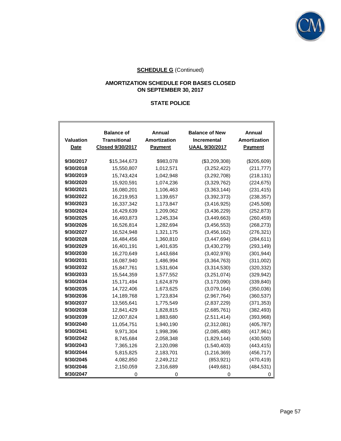

### **AMORTIZATION SCHEDULE FOR BASES CLOSED ON SEPTEMBER 30, 2017**

# **STATE POLICE**

| <b>Valuation</b><br>Date | <b>Balance of</b><br><b>Transitional</b><br>Closed 9/30/2017 | Annual<br>Amortization<br><b>Payment</b> | <b>Balance of New</b><br><b>Incremental</b><br><b>UAAL 9/30/2017</b> | Annual<br>Amortization<br><b>Payment</b> |  |  |
|--------------------------|--------------------------------------------------------------|------------------------------------------|----------------------------------------------------------------------|------------------------------------------|--|--|
|                          |                                                              |                                          |                                                                      |                                          |  |  |
| 9/30/2017                | \$15,344,673                                                 | \$983,078                                | (\$3,209,308)                                                        | (\$205,609)                              |  |  |
| 9/30/2018                | 15,550,807                                                   | 1,012,571                                | (3,252,422)                                                          | (211, 777)                               |  |  |
| 9/30/2019                | 15,743,424                                                   | 1,042,948                                | (3,292,708)                                                          | (218, 131)                               |  |  |
| 9/30/2020                | 15,920,591                                                   | 1,074,236                                | (3,329,762)                                                          | (224, 675)                               |  |  |
| 9/30/2021                | 16,080,201                                                   | 1,106,463                                | (3,363,144)                                                          | (231, 415)                               |  |  |
| 9/30/2022                | 16,219,953                                                   | 1,139,657                                | (3,392,373)                                                          | (238, 357)                               |  |  |
| 9/30/2023                | 16,337,342                                                   | 1,173,847                                | (3,416,925)                                                          | (245, 508)                               |  |  |
| 9/30/2024                | 16,429,639                                                   | 1,209,062                                | (3,436,229)                                                          | (252, 873)                               |  |  |
| 9/30/2025                | 16,493,873                                                   | 1,245,334                                | (3,449,663)                                                          | (260, 459)                               |  |  |
| 9/30/2026                | 16,526,814                                                   | 1,282,694                                | (3,456,553)                                                          | (268, 273)                               |  |  |
| 9/30/2027                | 16,524,948                                                   | 1,321,175                                | (3, 456, 162)                                                        | (276, 321)                               |  |  |
| 9/30/2028                | 16,484,456                                                   | 1,360,810                                | (3, 447, 694)                                                        | (284, 611)                               |  |  |
| 9/30/2029                | 16,401,191                                                   | 1,401,635                                | (3,430,279)                                                          | (293, 149)                               |  |  |
| 9/30/2030                | 16,270,649                                                   | 1,443,684                                | (3,402,976)                                                          | (301, 944)                               |  |  |
| 9/30/2031                | 16,087,940                                                   | 1,486,994                                | (3,364,763)                                                          | (311,002)                                |  |  |
| 9/30/2032                | 15,847,761                                                   | 1,531,604                                | (3,314,530)                                                          | (320, 332)                               |  |  |
| 9/30/2033                | 15,544,359                                                   | 1,577,552                                | (3,251,074)                                                          | (329, 942)                               |  |  |
| 9/30/2034                | 15,171,494                                                   | 1,624,879                                | (3, 173, 090)                                                        | (339, 840)                               |  |  |
| 9/30/2035                | 14,722,406                                                   | 1,673,625                                | (3,079,164)                                                          | (350, 036)                               |  |  |
| 9/30/2036                | 14,189,768                                                   | 1,723,834                                | (2,967,764)                                                          | (360, 537)                               |  |  |
| 9/30/2037                | 13,565,641                                                   | 1,775,549                                | (2,837,229)                                                          | (371, 353)                               |  |  |
| 9/30/2038                | 12,841,429                                                   | 1,828,815                                | (2,685,761)                                                          | (382, 493)                               |  |  |
| 9/30/2039                | 12,007,824                                                   | 1,883,680                                | (2,511,414)                                                          | (393,968)                                |  |  |
| 9/30/2040                | 11,054,751                                                   | 1,940,190                                | (2,312,081)                                                          | (405, 787)                               |  |  |
| 9/30/2041                | 9,971,304                                                    | 1,998,396                                | (2,085,480)                                                          | (417, 961)                               |  |  |
| 9/30/2042                | 8,745,684                                                    | 2,058,348                                | (1,829,144)                                                          | (430, 500)                               |  |  |
| 9/30/2043                | 7,365,126                                                    | 2,120,098                                | (1,540,403)                                                          | (443, 415)                               |  |  |
| 9/30/2044                | 5,815,825                                                    | 2,183,701                                | (1,216,369)                                                          | (456, 717)                               |  |  |
| 9/30/2045                | 4,082,850                                                    | 2,249,212                                | (853, 921)                                                           | (470, 419)                               |  |  |
| 9/30/2046                | 2,150,059                                                    | 2,316,689                                | (449, 681)                                                           | (484, 531)                               |  |  |
| 9/30/2047                | 0                                                            | 0                                        | O                                                                    | O                                        |  |  |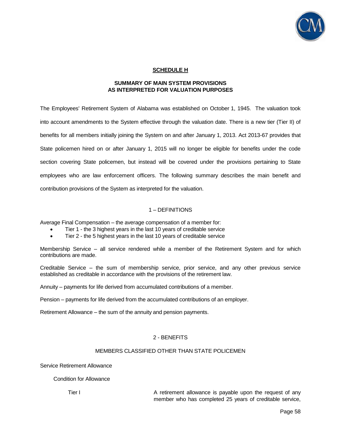

#### **SCHEDULE H**

#### **SUMMARY OF MAIN SYSTEM PROVISIONS AS INTERPRETED FOR VALUATION PURPOSES**

The Employees' Retirement System of Alabama was established on October 1, 1945. The valuation took into account amendments to the System effective through the valuation date. There is a new tier (Tier II) of benefits for all members initially joining the System on and after January 1, 2013. Act 2013-67 provides that State policemen hired on or after January 1, 2015 will no longer be eligible for benefits under the code section covering State policemen, but instead will be covered under the provisions pertaining to State employees who are law enforcement officers. The following summary describes the main benefit and contribution provisions of the System as interpreted for the valuation.

### 1 – DEFINITIONS

Average Final Compensation – the average compensation of a member for:

- Tier 1 the 3 highest years in the last 10 years of creditable service
- Tier 2 the 5 highest years in the last 10 years of creditable service

Membership Service – all service rendered while a member of the Retirement System and for which contributions are made.

Creditable Service – the sum of membership service, prior service, and any other previous service established as creditable in accordance with the provisions of the retirement law.

Annuity – payments for life derived from accumulated contributions of a member.

Pension – payments for life derived from the accumulated contributions of an employer.

Retirement Allowance – the sum of the annuity and pension payments.

#### 2 - BENEFITS

#### MEMBERS CLASSIFIED OTHER THAN STATE POLICEMEN

Service Retirement Allowance

Condition for Allowance

Tier I **A** retirement allowance is payable upon the request of any member who has completed 25 years of creditable service,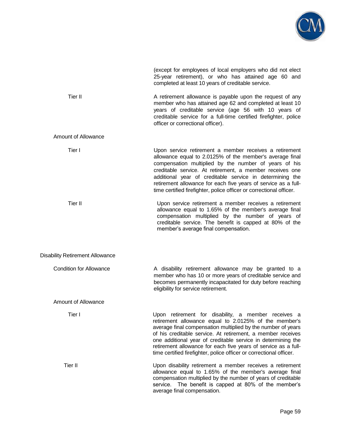

|                                        | (except for employees of local employers who did not elect<br>25-year retirement), or who has attained age 60 and<br>completed at least 10 years of creditable service.                                                                                                                                                                                                                                                                              |
|----------------------------------------|------------------------------------------------------------------------------------------------------------------------------------------------------------------------------------------------------------------------------------------------------------------------------------------------------------------------------------------------------------------------------------------------------------------------------------------------------|
| Tier II                                | A retirement allowance is payable upon the request of any<br>member who has attained age 62 and completed at least 10<br>years of creditable service (age 56 with 10 years of<br>creditable service for a full-time certified firefighter, police<br>officer or correctional officer).                                                                                                                                                               |
| <b>Amount of Allowance</b>             |                                                                                                                                                                                                                                                                                                                                                                                                                                                      |
| Tier I                                 | Upon service retirement a member receives a retirement<br>allowance equal to 2.0125% of the member's average final<br>compensation multiplied by the number of years of his<br>creditable service. At retirement, a member receives one<br>additional year of creditable service in determining the<br>retirement allowance for each five years of service as a full-<br>time certified firefighter, police officer or correctional officer.         |
| Tier II                                | Upon service retirement a member receives a retirement<br>allowance equal to 1.65% of the member's average final<br>compensation multiplied by the number of years of<br>creditable service. The benefit is capped at 80% of the<br>member's average final compensation.                                                                                                                                                                             |
| <b>Disability Retirement Allowance</b> |                                                                                                                                                                                                                                                                                                                                                                                                                                                      |
| <b>Condition for Allowance</b>         | A disability retirement allowance may be granted to a<br>member who has 10 or more years of creditable service and<br>becomes permanently incapacitated for duty before reaching<br>eligibility for service retirement.                                                                                                                                                                                                                              |
| <b>Amount of Allowance</b>             |                                                                                                                                                                                                                                                                                                                                                                                                                                                      |
| Tier I                                 | Upon retirement for disability, a member receives a<br>retirement allowance equal to 2.0125% of the member's<br>average final compensation multiplied by the number of years<br>of his creditable service. At retirement, a member receives<br>one additional year of creditable service in determining the<br>retirement allowance for each five years of service as a full-<br>time certified firefighter, police officer or correctional officer. |
| Tier II                                | Upon disability retirement a member receives a retirement<br>allowance equal to 1.65% of the member's average final<br>compensation multiplied by the number of years of creditable<br>service. The benefit is capped at 80% of the member's<br>average final compensation.                                                                                                                                                                          |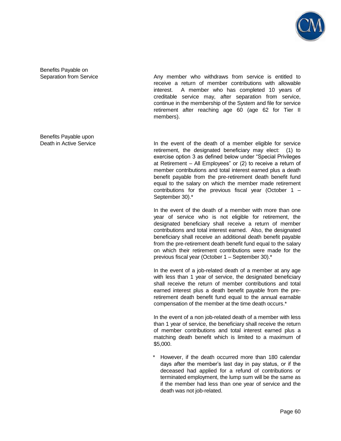

Benefits Payable on

Separation from Service **Any member** who withdraws from service is entitled to receive a return of member contributions with allowable interest. A member who has completed 10 years of creditable service may, after separation from service, continue in the membership of the System and file for service retirement after reaching age 60 (age 62 for Tier II members).

Benefits Payable upon

Death in Active Service **In the event of the death of a member eligible for service** retirement, the designated beneficiary may elect: (1) to exercise option 3 as defined below under "Special Privileges at Retirement – All Employees" or (2) to receive a return of member contributions and total interest earned plus a death benefit payable from the pre-retirement death benefit fund equal to the salary on which the member made retirement contributions for the previous fiscal year (October 1 – September 30).\*

> In the event of the death of a member with more than one year of service who is not eligible for retirement, the designated beneficiary shall receive a return of member contributions and total interest earned. Also, the designated beneficiary shall receive an additional death benefit payable from the pre-retirement death benefit fund equal to the salary on which their retirement contributions were made for the previous fiscal year (October 1 – September 30).\*

> In the event of a job-related death of a member at any age with less than 1 year of service, the designated beneficiary shall receive the return of member contributions and total earned interest plus a death benefit payable from the preretirement death benefit fund equal to the annual earnable compensation of the member at the time death occurs.\*

> In the event of a non job-related death of a member with less than 1 year of service, the beneficiary shall receive the return of member contributions and total interest earned plus a matching death benefit which is limited to a maximum of \$5,000.

> However, if the death occurred more than 180 calendar days after the member's last day in pay status, or if the deceased had applied for a refund of contributions or terminated employment, the lump sum will be the same as if the member had less than one year of service and the death was not job-related.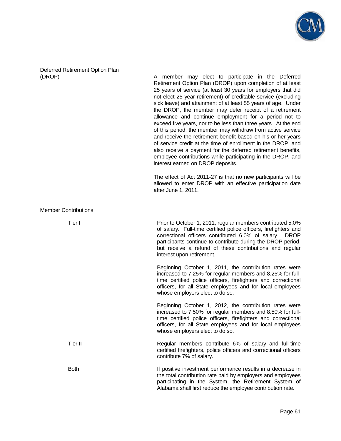

Deferred Retirement Option Plan

(DROP) A member may elect to participate in the Deferred Retirement Option Plan (DROP) upon completion of at least 25 years of service (at least 30 years for employers that did not elect 25 year retirement) of creditable service (excluding sick leave) and attainment of at least 55 years of age. Under the DROP, the member may defer receipt of a retirement allowance and continue employment for a period not to exceed five years, nor to be less than three years. At the end of this period, the member may withdraw from active service and receive the retirement benefit based on his or her years of service credit at the time of enrollment in the DROP, and also receive a payment for the deferred retirement benefits, employee contributions while participating in the DROP, and interest earned on DROP deposits.

> The effect of Act 2011-27 is that no new participants will be allowed to enter DROP with an effective participation date after June 1, 2011.

Member Contributions

Tier I **Prior to October 1, 2011, regular members contributed 5.0%** of salary. Full-time certified police officers, firefighters and correctional officers contributed 6.0% of salary. DROP participants continue to contribute during the DROP period, but receive a refund of these contributions and regular interest upon retirement.

> Beginning October 1, 2011, the contribution rates were increased to 7.25% for regular members and 8.25% for fulltime certified police officers, firefighters and correctional officers, for all State employees and for local employees whose employers elect to do so.

> Beginning October 1, 2012, the contribution rates were increased to 7.50% for regular members and 8.50% for fulltime certified police officers, firefighters and correctional officers, for all State employees and for local employees whose employers elect to do so.

Tier II **Tier II** Regular members contribute 6% of salary and full-time certified firefighters, police officers and correctional officers contribute 7% of salary.

Both If positive investment performance results in a decrease in the total contribution rate paid by employers and employees participating in the System, the Retirement System of Alabama shall first reduce the employee contribution rate.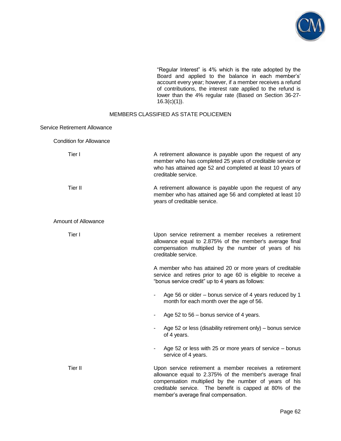

 "Regular Interest" is 4% which is the rate adopted by the Board and applied to the balance in each member's' account every year; however, if a member receives a refund of contributions, the interest rate applied to the refund is lower than the 4% regular rate (Based on Section 36-27-  $16.3(c)(1)$ ).

#### MEMBERS CLASSIFIED AS STATE POLICEMEN

#### Service Retirement Allowance

Condition for Allowance

| Tier I              | A retirement allowance is payable upon the request of any<br>member who has completed 25 years of creditable service or<br>who has attained age 52 and completed at least 10 years of<br>creditable service.                                                                  |
|---------------------|-------------------------------------------------------------------------------------------------------------------------------------------------------------------------------------------------------------------------------------------------------------------------------|
| Tier II             | A retirement allowance is payable upon the request of any<br>member who has attained age 56 and completed at least 10<br>years of creditable service.                                                                                                                         |
| Amount of Allowance |                                                                                                                                                                                                                                                                               |
| Tier I              | Upon service retirement a member receives a retirement<br>allowance equal to 2.875% of the member's average final<br>compensation multiplied by the number of years of his<br>creditable service.                                                                             |
|                     | A member who has attained 20 or more years of creditable<br>service and retires prior to age 60 is eligible to receive a<br>"bonus service credit" up to 4 years as follows:                                                                                                  |
|                     | Age 56 or older – bonus service of 4 years reduced by 1<br>month for each month over the age of 56.                                                                                                                                                                           |
|                     | Age 52 to 56 – bonus service of 4 years.                                                                                                                                                                                                                                      |
|                     | Age 52 or less (disability retirement only) – bonus service<br>of 4 years.                                                                                                                                                                                                    |
|                     | Age 52 or less with 25 or more years of service – bonus<br>service of 4 years.                                                                                                                                                                                                |
| Tier II             | Upon service retirement a member receives a retirement<br>allowance equal to 2.375% of the member's average final<br>compensation multiplied by the number of years of his<br>creditable service. The benefit is capped at 80% of the<br>member's average final compensation. |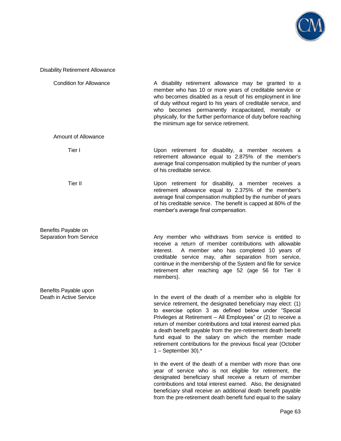

#### Disability Retirement Allowance

| <b>Condition for Allowance</b> | A disability retirement allowance may be granted to a<br>member who has 10 or more years of creditable service or<br>who becomes disabled as a result of his employment in line<br>of duty without regard to his years of creditable service, and<br>who becomes permanently incapacitated, mentally or<br>physically, for the further performance of duty before reaching<br>the minimum age for service retirement.                                                                                                                  |  |  |  |  |  |
|--------------------------------|----------------------------------------------------------------------------------------------------------------------------------------------------------------------------------------------------------------------------------------------------------------------------------------------------------------------------------------------------------------------------------------------------------------------------------------------------------------------------------------------------------------------------------------|--|--|--|--|--|
| <b>Amount of Allowance</b>     |                                                                                                                                                                                                                                                                                                                                                                                                                                                                                                                                        |  |  |  |  |  |
| Tier I                         | Upon retirement for disability, a member receives a<br>retirement allowance equal to 2.875% of the member's<br>average final compensation multiplied by the number of years<br>of his creditable service.                                                                                                                                                                                                                                                                                                                              |  |  |  |  |  |
| Tier II                        | Upon retirement for disability, a member receives a<br>retirement allowance equal to 2.375% of the member's<br>average final compensation multiplied by the number of years<br>of his creditable service. The benefit is capped at 80% of the<br>member's average final compensation.                                                                                                                                                                                                                                                  |  |  |  |  |  |
| Benefits Payable on            |                                                                                                                                                                                                                                                                                                                                                                                                                                                                                                                                        |  |  |  |  |  |
| Separation from Service        | Any member who withdraws from service is entitled to<br>receive a return of member contributions with allowable<br>A member who has completed 10 years of<br>interest.<br>creditable service may, after separation from service,<br>continue in the membership of the System and file for service<br>retirement after reaching age 52 (age 56 for Tier II<br>members).                                                                                                                                                                 |  |  |  |  |  |
| Benefits Payable upon          |                                                                                                                                                                                                                                                                                                                                                                                                                                                                                                                                        |  |  |  |  |  |
| Death in Active Service        | In the event of the death of a member who is eligible for<br>service retirement, the designated beneficiary may elect: (1)<br>to exercise option 3 as defined below under "Special<br>Privileges at Retirement - All Employees" or (2) to receive a<br>return of member contributions and total interest earned plus<br>a death benefit payable from the pre-retirement death benefit<br>fund equal to the salary on which the member made<br>retirement contributions for the previous fiscal year (October<br>1 – September 30). $*$ |  |  |  |  |  |
|                                | In the event of the death of a member with more than one<br>year of service who is not eligible for retirement, the<br>designated beneficiary shall receive a return of member                                                                                                                                                                                                                                                                                                                                                         |  |  |  |  |  |

contributions and total interest earned. Also, the designated beneficiary shall receive an additional death benefit payable from the pre-retirement death benefit fund equal to the salary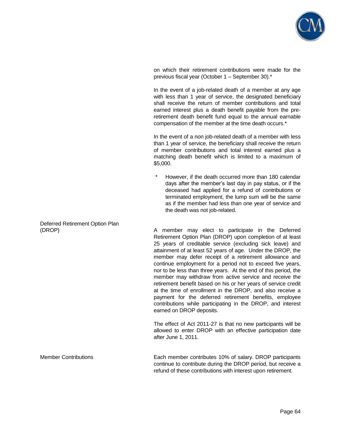

on which their retirement contributions were made for the previous fiscal year (October 1 – September 30).\*

 In the event of a job-related death of a member at any age with less than 1 year of service, the designated beneficiary shall receive the return of member contributions and total earned interest plus a death benefit payable from the preretirement death benefit fund equal to the annual earnable compensation of the member at the time death occurs.\*

 In the event of a non job-related death of a member with less than 1 year of service, the beneficiary shall receive the return of member contributions and total interest earned plus a matching death benefit which is limited to a maximum of \$5,000.

However, if the death occurred more than 180 calendar days after the member's last day in pay status, or if the deceased had applied for a refund of contributions or terminated employment, the lump sum will be the same as if the member had less than one year of service and the death was not job-related.

(DROP) A member may elect to participate in the Deferred Retirement Option Plan (DROP) upon completion of at least 25 years of creditable service (excluding sick leave) and attainment of at least 52 years of age. Under the DROP, the member may defer receipt of a retirement allowance and continue employment for a period not to exceed five years, nor to be less than three years. At the end of this period, the member may withdraw from active service and receive the retirement benefit based on his or her years of service credit at the time of enrollment in the DROP, and also receive a payment for the deferred retirement benefits, employee contributions while participating in the DROP, and interest earned on DROP deposits.

> The effect of Act 2011-27 is that no new participants will be allowed to enter DROP with an effective participation date after June 1, 2011.

Member Contributions Each member contributes 10% of salary. DROP participants continue to contribute during the DROP period, but receive a refund of these contributions with interest upon retirement.

Deferred Retirement Option Plan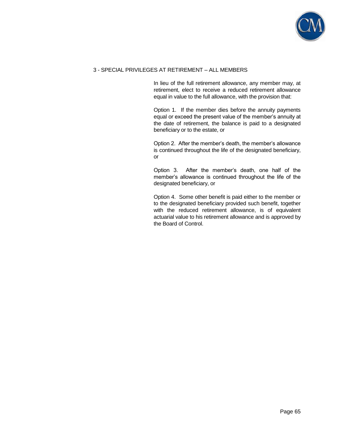

#### 3 - SPECIAL PRIVILEGES AT RETIREMENT – ALL MEMBERS

 In lieu of the full retirement allowance, any member may, at retirement, elect to receive a reduced retirement allowance equal in value to the full allowance, with the provision that:

 Option 1. If the member dies before the annuity payments equal or exceed the present value of the member's annuity at the date of retirement, the balance is paid to a designated beneficiary or to the estate, or

 Option 2. After the member's death, the member's allowance is continued throughout the life of the designated beneficiary, or

 Option 3. After the member's death, one half of the member's allowance is continued throughout the life of the designated beneficiary, or

 Option 4. Some other benefit is paid either to the member or to the designated beneficiary provided such benefit, together with the reduced retirement allowance, is of equivalent actuarial value to his retirement allowance and is approved by the Board of Control.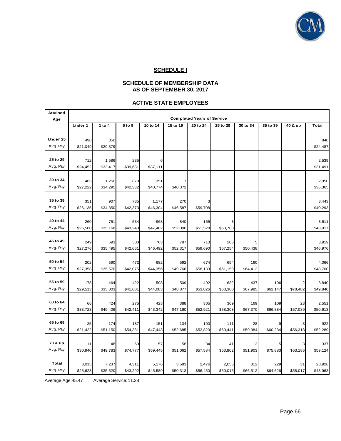

#### **SCHEDULE I**

#### **SCHEDULE OF MEMBERSHIP DATA AS OF SEPTEMBER 30, 2017**

#### **ACTIVE STATE EMPLOYEES**

| <b>Attained</b> | <b>Completed Years of Service</b> |          |          |          |          |          |          |          |          |                |                 |
|-----------------|-----------------------------------|----------|----------|----------|----------|----------|----------|----------|----------|----------------|-----------------|
| Age             | Under 1                           | 1 to 4   | 5 to 9   | 10 to 14 | 15 to 19 | 20 to 24 | 25 to 29 | 30 to 34 | 35 to 39 | 40 & up        | <b>Total</b>    |
|                 |                                   |          |          |          |          |          |          |          |          |                |                 |
| Under 25        |                                   | 350      |          |          |          |          |          |          |          |                |                 |
| Avg. Pay        | 498<br>\$21,049                   | \$29,379 |          |          |          |          |          |          |          |                | 848<br>\$24,487 |
|                 |                                   |          |          |          |          |          |          |          |          |                |                 |
| 25 to 29        | 712                               | 1,586    | 235      |          |          |          |          |          |          |                | 2,539           |
| Avg. Pay        | \$24,452                          | \$33,417 | \$39,681 | \$37,111 |          |          |          |          |          |                | \$31,491        |
|                 |                                   |          |          |          |          |          |          |          |          |                |                 |
| 30 to 34        | 463                               | 1,250    | 879      | 351      |          |          |          |          |          |                | 2,950           |
| Avg. Pay        | \$27,222                          | \$34,295 | \$42,332 | \$40,774 | \$40,372 |          |          |          |          |                | \$36,365        |
|                 |                                   |          |          |          |          |          |          |          |          |                |                 |
| 35 to 39        | 351                               | 907      | 735      | 1,177    | 270      | 3        |          |          |          |                | 3,443           |
| Avg. Pay        | \$26,135                          | \$34,350 | \$42,373 | \$46,304 | \$46,587 | \$59,708 |          |          |          |                | \$40,293        |
|                 |                                   |          |          |          |          |          |          |          |          |                |                 |
| 40 to 44        | 260                               | 751      | 534      | 968      | 840      | 155      | 3        |          |          |                | 3,511           |
| Avg. Pay        | \$26,580                          | \$35,168 | \$43,240 | \$47,482 | \$52,000 | \$51,528 | \$50,780 |          |          |                | \$43,917        |
|                 |                                   |          |          |          |          |          |          |          |          |                |                 |
| 45 to 49        | 249                               | 693      | 503      | 763      | 787      | 713      | 206      | 5        |          |                | 3,919           |
| Avg. Pay        | \$27,276                          | \$35,495 | \$42,661 | \$46,492 | \$52,317 | \$59,690 | \$57,254 | \$50,438 |          |                | \$46,976        |
|                 |                                   |          |          |          |          |          |          |          |          |                |                 |
| 50 to 54        | 202                               | 590      | 472      | 682      | 592      | 674      | 694      | 160      |          |                | 4,066           |
| Avg. Pay        | \$27,358                          | \$35,570 | \$42,075 | \$44,356 | \$49,766 | \$58,133 | \$61,159 | \$64,412 |          |                | \$48,700        |
| 55 to 59        |                                   |          |          |          |          |          |          |          |          |                |                 |
| Avg. Pay        | 178                               | 464      | 422      | 598      | 509      | 492      | 632      | 437      | 106      |                | 3,840           |
|                 | \$29,513                          | \$35,003 | \$41,601 | \$44,083 | \$48,877 | \$53,826 | \$60,380 | \$67,985 | \$62,147 | \$78,482       | \$49,840        |
| 60 to 64        | 66                                | 424      | 275      | 423      | 388      | 305      | 369      | 169      | 109      |                | 2,551           |
| Avg. Pay        | \$33,723                          | \$49,406 | \$42,411 | \$43,342 | \$47,160 | \$52,921 | \$58,308 | \$67,370 | \$66,884 | 23<br>\$57,089 | \$50,613        |
|                 |                                   |          |          |          |          |          |          |          |          |                |                 |
| 65 to 69        | 25                                | 174      | 187      | 151      | 134      | 100      | 111      | 28       |          |                | 922             |
| Avg. Pay        | \$21,422                          | \$51,150 | \$54,381 | \$47,443 | \$52,685 | \$52,823 | \$60,441 | \$59,984 | \$60,234 | \$56,318       | \$52,289        |
|                 |                                   |          |          |          |          |          |          |          |          |                |                 |
| 70 & up         | 11                                | 48       | 69       | 57       | 56       | 34       | 41       | 13       |          |                | 337             |
| Avg. Pay        | \$30,940                          | \$49,783 | \$74,777 | \$59,445 | \$51,062 | \$57,584 | \$63,802 | \$51,903 | \$75,883 | \$53,185       | \$59,124        |
|                 |                                   |          |          |          |          |          |          |          |          |                |                 |
| <b>Total</b>    | 3,015                             | 7,237    | 4,311    | 5,176    | 3,583    | 2,476    | 2,056    | 812      | 229      | 31             | 28,926          |
| Avg. Pay        | \$25,623                          | \$35,620 | \$43,292 | \$45,589 | \$50,313 | \$56,450 | \$60,015 | \$66,512 | \$64,626 | \$58,017       | \$43,963        |

Average Age:45.47 Average Service: 11.28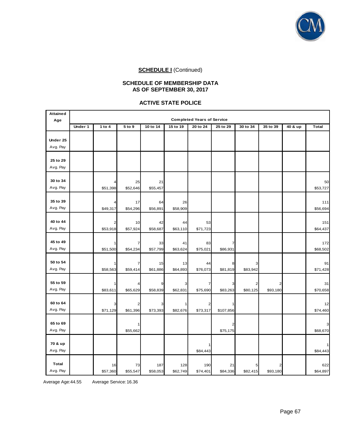

#### **SCHEDULE OF MEMBERSHIP DATA AS OF SEPTEMBER 30, 2017**

#### **ACTIVE STATE POLICE**

| <b>Attained</b> | <b>Completed Years of Service</b> |                |                |                 |                 |                 |                |               |                            |         |                 |
|-----------------|-----------------------------------|----------------|----------------|-----------------|-----------------|-----------------|----------------|---------------|----------------------------|---------|-----------------|
| Age             | Under 1                           | 1 to $4$       | 5 to 9         | 10 to 14        | 15 to 19        | 20 to 24        | 25 to 29       | 30 to 34      | 35 to 39                   | 40 & up | <b>Total</b>    |
|                 |                                   |                |                |                 |                 |                 |                |               |                            |         |                 |
| Under 25        |                                   |                |                |                 |                 |                 |                |               |                            |         |                 |
| Avg. Pay        |                                   |                |                |                 |                 |                 |                |               |                            |         |                 |
|                 |                                   |                |                |                 |                 |                 |                |               |                            |         |                 |
| 25 to 29        |                                   |                |                |                 |                 |                 |                |               |                            |         |                 |
| Avg. Pay        |                                   |                |                |                 |                 |                 |                |               |                            |         |                 |
| 30 to 34        |                                   | 4              | 25             | 21              |                 |                 |                |               |                            |         | 50              |
| Avg. Pay        |                                   | \$51,398       | \$52,646       | \$55,457        |                 |                 |                |               |                            |         | \$53,727        |
|                 |                                   |                |                |                 |                 |                 |                |               |                            |         |                 |
| 35 to 39        |                                   | 4              | 17             | 64              | 26              |                 |                |               |                            |         | 111             |
| Avg. Pay        |                                   | \$49,317       | \$54,296       | \$56,891        | \$58,909        |                 |                |               |                            |         | \$56,694        |
|                 |                                   |                |                |                 |                 |                 |                |               |                            |         |                 |
| 40 to 44        |                                   | $\overline{a}$ | 10             | 42              | 44              | 53              |                |               |                            |         | 151             |
| Avg. Pay        |                                   | \$53,918       | \$57,924       | \$58,687        | \$63,110        | \$71,723        |                |               |                            |         | \$64,437        |
| 45 to 49        |                                   | 1              | 7              | 33              | 41              | 83              | 7              |               |                            |         | 172             |
| Avg. Pay        |                                   | \$51,500       | \$54,234       | \$57,799        | \$63,624        | \$75,021        | \$86,931       |               |                            |         | \$68,502        |
|                 |                                   |                |                |                 |                 |                 |                |               |                            |         |                 |
| 50 to 54        |                                   | 1              | 7              | 15              | 13              | 44              | 8              | 3             |                            |         | 91              |
| Avg. Pay        |                                   | \$58,563       | \$59,414       | \$61,886        | \$64,893        | \$76,073        | \$81,819       | \$83,942      |                            |         | \$71,428        |
|                 |                                   |                |                |                 |                 |                 |                |               |                            |         |                 |
| 55 to 59        |                                   | 1              |                | 9               |                 |                 |                | 2             |                            |         | 31              |
| Avg. Pay        |                                   | \$83,611       | \$65,629       | \$58,839        | \$62,831        | \$75,690        | \$83,263       | \$80,125      | \$93,180                   |         | \$70,658        |
| 60 to 64        |                                   | 3              |                | 3               |                 |                 |                |               |                            |         | 12              |
| Avg. Pay        |                                   | \$71,129       | 2<br>\$61,396  | \$73,393        | \$82,676        | 2<br>\$73,317   | \$107,856      |               |                            |         | \$74,460        |
|                 |                                   |                |                |                 |                 |                 |                |               |                            |         |                 |
| 65 to 69        |                                   |                |                |                 |                 |                 | 2              |               |                            |         | $\mathbf{3}$    |
| Avg. Pay        |                                   |                | \$55,662       |                 |                 |                 | \$75,175       |               |                            |         | \$68,670        |
|                 |                                   |                |                |                 |                 |                 |                |               |                            |         |                 |
| 70 & up         |                                   |                |                |                 |                 |                 |                |               |                            |         | 1               |
| Avg. Pay        |                                   |                |                |                 |                 | \$84,443        |                |               |                            |         | \$84,443        |
| Total           |                                   |                |                |                 |                 |                 |                |               |                            |         |                 |
| Avg. Pay        |                                   | 16<br>\$57,360 | 73<br>\$55,547 | 187<br>\$58,053 | 128<br>\$62,749 | 190<br>\$74,401 | 21<br>\$84,336 | 5<br>\$82,415 | $\overline{2}$<br>\$93,180 |         | 622<br>\$64,897 |
|                 |                                   |                |                |                 |                 |                 |                |               |                            |         |                 |

Average Age:44.55 Average Service: 16.36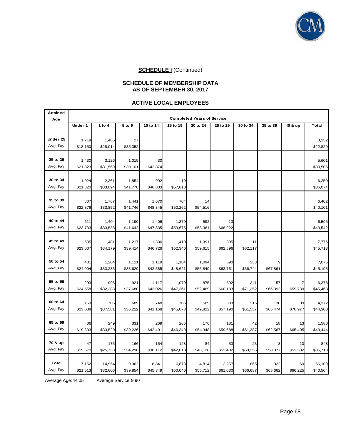

#### **SCHEDULE OF MEMBERSHIP DATA AS OF SEPTEMBER 30, 2017**

#### **ACTIVE LOCAL EMPLOYEES**

| <b>Attained</b>      | <b>Completed Years of Service</b> |                   |                   |                   |                   |                   |                 |                 |          |          |                   |
|----------------------|-----------------------------------|-------------------|-------------------|-------------------|-------------------|-------------------|-----------------|-----------------|----------|----------|-------------------|
| Age                  | Under 1                           | 1 to 4            | 5 to 9            | 10 to 14          | 15 to 19          | 20 to 24          | 25 to 29        | 30 to 34        | 35 to 39 | 40 & up  | <b>Total</b>      |
|                      |                                   |                   |                   |                   |                   |                   |                 |                 |          |          |                   |
| Under 25             | 1,719                             | 1,486             | 27                |                   |                   |                   |                 |                 |          |          | 3,232             |
| Avg. Pay             | \$18,150                          | \$28,014          | \$35,352          |                   |                   |                   |                 |                 |          |          | \$22,829          |
|                      |                                   |                   |                   |                   |                   |                   |                 |                 |          |          |                   |
| 25 to 29             | 1,430                             | 3,126             | 1,015             | 30                |                   |                   |                 |                 |          |          | 5,601             |
| Avg. Pay             | \$21,823                          | \$31,569          | \$39,101          | \$42,874          |                   |                   |                 |                 |          |          | \$30,506          |
|                      |                                   |                   |                   |                   |                   |                   |                 |                 |          |          |                   |
| 30 to 34             | 1,024                             | 2,361             | 1,854             | 992               | 19                |                   |                 |                 |          |          | 6,250             |
| Avg. Pay             | \$21,820                          | \$33,094          | \$41,778          | \$46,803          | \$57,818          |                   |                 |                 |          |          | \$36,074          |
|                      |                                   |                   |                   |                   |                   |                   |                 |                 |          |          |                   |
| 35 to 39             | 807                               | 1,767             | 1,441             | 1,670             | 704               | 14                |                 |                 |          |          | 6,402             |
| Avg. Pay             | \$22,879                          | \$33,852          | \$41,746          | \$48,345          | \$52,262          | \$54,516          |                 |                 |          |          | \$40,101          |
|                      |                                   |                   |                   |                   |                   |                   |                 |                 |          |          |                   |
| 40 to 44             | 611                               | 1,404             | 1,190             | 1,406             | 1,379             | 592               | 13              |                 |          |          | 6,595             |
| Avg. Pay             | \$23,733                          | \$33,538          | \$41,642          | \$47,335          | \$53,675          | \$58,361          | \$68,922        |                 |          |          | \$43,542          |
|                      |                                   |                   |                   |                   |                   |                   |                 |                 |          |          |                   |
| 45 to 49<br>Avg. Pay | 535                               | 1,481             | 1,217             | 1,336             | 1,410             | 1,391             | 395             | 11              |          |          | 7,776             |
|                      | \$23,007                          | \$34,179          | \$39,414          | \$46,726          | \$52,346          | \$59,615          | \$62,596        | \$62,117        |          |          | \$45,713          |
| 50 to 54             |                                   |                   |                   |                   |                   |                   |                 |                 |          |          |                   |
| Avg. Pay             | 431<br>\$24,004                   | 1,204<br>\$33,235 | 1,111<br>\$38,629 | 1,119<br>\$42,585 | 1,184<br>\$48,621 | 1,094<br>\$55,849 | 690<br>\$63,761 | 233<br>\$66,744 | \$67,861 |          | 7,075<br>\$45,195 |
|                      |                                   |                   |                   |                   |                   |                   |                 |                 |          |          |                   |
| 55 to 59             | 293                               | 996               | 921               | 1,117             | 1,079             | 875               | 592             | 341             | 157      |          | 6,378             |
| Avg. Pay             | \$24,558                          | \$32,383          | \$37,680          | \$43,026          | \$47,361          | \$52,469          | \$60,183        | \$71,252        | \$66,392 | \$59,739 | \$45,468          |
|                      |                                   |                   |                   |                   |                   |                   |                 |                 |          |          |                   |
| 60 to 64             | 169                               | 705               | 689               | 748               | 705               | 589               | 383             | 215             | 130      | 39       | 4,372             |
| Avg. Pay             | \$23,088                          | \$37,581          | \$36,212          | \$41,168          | \$45,073          | \$49,822          | \$57,190        | \$61,557        | \$65,474 | \$70,977 | \$44,300          |
|                      |                                   |                   |                   |                   |                   |                   |                 |                 |          |          |                   |
| 65 to 69             | 86                                | 249               | 331               | 269               | 265               | 176               | 131             | 42              | 18       | 13       | 1,580             |
| Avg. Pay             | \$19,303                          | \$33,520          | \$39,226          | \$42,491          | \$46,349          | \$54,348          | \$59,688        | \$61,387        | \$62,567 | \$65,405 | \$43,444          |
|                      |                                   |                   |                   |                   |                   |                   |                 |                 |          |          |                   |
| 70 & up              | 47                                | 175               | 166               | 154               | 128               | 84                | 53              | 23              |          | 10       | 848               |
| Avg. Pay             | \$15,570                          | \$25,733          | \$34,298          | \$36,112          | \$42,810          | \$48,120          | \$52,402        | \$58,256        | \$58,877 | \$53,302 | \$36,713          |
|                      |                                   |                   |                   |                   |                   |                   |                 |                 |          |          |                   |
| Total                | 7,152                             | 14,954            | 9,962             | 8,841             | 6,873             | 4,814             | 2,257           | 865             | 322      | 69       | 56,109            |
| Avg. Pay             | \$21,513                          | \$32,606          | \$39,854          | \$45,349          | \$50,040          | \$55,712          | \$61,030        | \$66,687        | \$65,662 | \$66,225 | \$40,504          |

Average Age: 44.05 Average Service: 9.90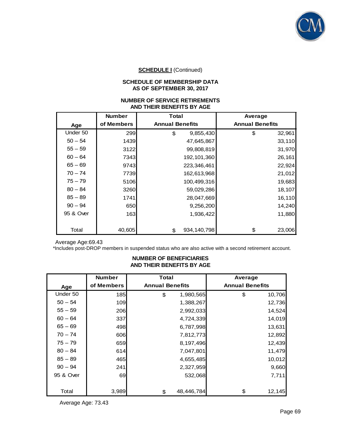

## **SCHEDULE I** (Continued)

### **SCHEDULE OF MEMBERSHIP DATA AS OF SEPTEMBER 30, 2017**

#### **NUMBER OF SERVICE RETIREMENTS AND THEIR BENEFITS BY AGE**

|           | <b>Number</b> | Total                  | Average                |
|-----------|---------------|------------------------|------------------------|
| Age       | of Members    | <b>Annual Benefits</b> | <b>Annual Benefits</b> |
| Under 50  | 299           | \$<br>9,855,430        | \$<br>32,961           |
| $50 - 54$ | 1439          | 47,645,867             | 33,110                 |
| $55 - 59$ | 3122          | 99,808,819             | 31,970                 |
| $60 - 64$ | 7343          | 192, 101, 360          | 26,161                 |
| $65 - 69$ | 9743          | 223,346,461            | 22,924                 |
| $70 - 74$ | 7739          | 162,613,968            | 21,012                 |
| $75 - 79$ | 5106          | 100,499,316            | 19,683                 |
| $80 - 84$ | 3260          | 59,029,286             | 18,107                 |
| $85 - 89$ | 1741          | 28,047,669             | 16,110                 |
| $90 - 94$ | 650           | 9,256,200              | 14,240                 |
| 95 & Over | 163           | 1,936,422              | 11,880                 |
|           |               |                        |                        |
| Total     | 40,605        | 934, 140, 798<br>\$    | \$<br>23,006           |

Average Age:69.43

\*Includes post-DROP members in suspended status who are also active with a second retirement account.

#### **NUMBER OF BENEFICIARIES AND THEIR BENEFITS BY AGE**

|           | <b>Number</b> | <b>Total</b>           | Average                |
|-----------|---------------|------------------------|------------------------|
| Age       | of Members    | <b>Annual Benefits</b> | <b>Annual Benefits</b> |
| Under 50  | 185           | 1,980,565<br>\$        | \$<br>10,706           |
| $50 - 54$ | 109           | 1,388,267              | 12,736                 |
| $55 - 59$ | 206           | 2,992,033              | 14,524                 |
| $60 - 64$ | 337           | 4,724,339              | 14,019                 |
| $65 - 69$ | 498           | 6,787,998              | 13,631                 |
| $70 - 74$ | 606           | 7,812,773              | 12,892                 |
| $75 - 79$ | 659           | 8,197,496              | 12,439                 |
| $80 - 84$ | 614           | 7,047,801              | 11,479                 |
| $85 - 89$ | 465           | 4,655,485              | 10,012                 |
| $90 - 94$ | 241           | 2,327,959              | 9,660                  |
| 95 & Over | 69            | 532,068                | 7,711                  |
|           |               |                        |                        |
| Total     | 3,989         | 48,446,784<br>\$       | \$<br>12,145           |